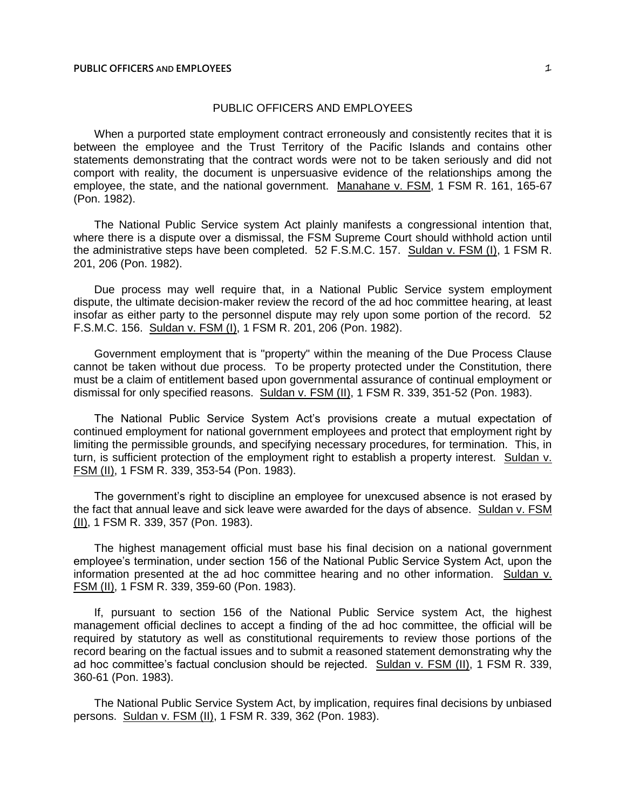When a purported state employment contract erroneously and consistently recites that it is between the employee and the Trust Territory of the Pacific Islands and contains other statements demonstrating that the contract words were not to be taken seriously and did not comport with reality, the document is unpersuasive evidence of the relationships among the employee, the state, and the national government. Manahane v. FSM, 1 FSM R. 161, 165-67 (Pon. 1982).

The National Public Service system Act plainly manifests a congressional intention that, where there is a dispute over a dismissal, the FSM Supreme Court should withhold action until the administrative steps have been completed. 52 F.S.M.C. 157. Suldan v. FSM (I), 1 FSM R. 201, 206 (Pon. 1982).

Due process may well require that, in a National Public Service system employment dispute, the ultimate decision-maker review the record of the ad hoc committee hearing, at least insofar as either party to the personnel dispute may rely upon some portion of the record. 52 F.S.M.C. 156. Suldan v. FSM (I), 1 FSM R. 201, 206 (Pon. 1982).

Government employment that is "property" within the meaning of the Due Process Clause cannot be taken without due process. To be property protected under the Constitution, there must be a claim of entitlement based upon governmental assurance of continual employment or dismissal for only specified reasons. Suldan v. FSM (II), 1 FSM R. 339, 351-52 (Pon. 1983).

The National Public Service System Act's provisions create a mutual expectation of continued employment for national government employees and protect that employment right by limiting the permissible grounds, and specifying necessary procedures, for termination. This, in turn, is sufficient protection of the employment right to establish a property interest. Suldan v. FSM (II), 1 FSM R. 339, 353-54 (Pon. 1983).

The government's right to discipline an employee for unexcused absence is not erased by the fact that annual leave and sick leave were awarded for the days of absence. Suldan v. FSM (II), 1 FSM R. 339, 357 (Pon. 1983).

The highest management official must base his final decision on a national government employee's termination, under section 156 of the National Public Service System Act, upon the information presented at the ad hoc committee hearing and no other information. Suldan v. FSM (II), 1 FSM R. 339, 359-60 (Pon. 1983).

If, pursuant to section 156 of the National Public Service system Act, the highest management official declines to accept a finding of the ad hoc committee, the official will be required by statutory as well as constitutional requirements to review those portions of the record bearing on the factual issues and to submit a reasoned statement demonstrating why the ad hoc committee's factual conclusion should be rejected. Suldan v. FSM (II), 1 FSM R. 339, 360-61 (Pon. 1983).

The National Public Service System Act, by implication, requires final decisions by unbiased persons. Suldan v. FSM (II), 1 FSM R. 339, 362 (Pon. 1983).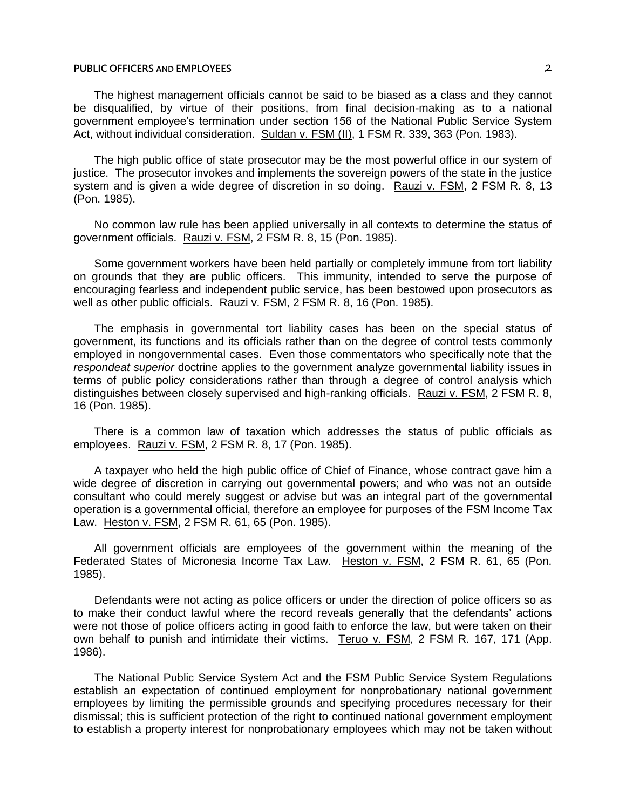The highest management officials cannot be said to be biased as a class and they cannot be disqualified, by virtue of their positions, from final decision-making as to a national government employee's termination under section 156 of the National Public Service System Act, without individual consideration. Suldan v. FSM (II), 1 FSM R. 339, 363 (Pon. 1983).

The high public office of state prosecutor may be the most powerful office in our system of justice. The prosecutor invokes and implements the sovereign powers of the state in the justice system and is given a wide degree of discretion in so doing. Rauzi v. FSM, 2 FSM R. 8, 13 (Pon. 1985).

No common law rule has been applied universally in all contexts to determine the status of government officials. Rauzi v. FSM, 2 FSM R. 8, 15 (Pon. 1985).

Some government workers have been held partially or completely immune from tort liability on grounds that they are public officers. This immunity, intended to serve the purpose of encouraging fearless and independent public service, has been bestowed upon prosecutors as well as other public officials. Rauzi v. FSM, 2 FSM R. 8, 16 (Pon. 1985).

The emphasis in governmental tort liability cases has been on the special status of government, its functions and its officials rather than on the degree of control tests commonly employed in nongovernmental cases. Even those commentators who specifically note that the *respondeat superior* doctrine applies to the government analyze governmental liability issues in terms of public policy considerations rather than through a degree of control analysis which distinguishes between closely supervised and high-ranking officials. Rauzi v. FSM, 2 FSM R. 8, 16 (Pon. 1985).

There is a common law of taxation which addresses the status of public officials as employees. Rauzi v. FSM, 2 FSM R. 8, 17 (Pon. 1985).

A taxpayer who held the high public office of Chief of Finance, whose contract gave him a wide degree of discretion in carrying out governmental powers; and who was not an outside consultant who could merely suggest or advise but was an integral part of the governmental operation is a governmental official, therefore an employee for purposes of the FSM Income Tax Law. Heston v. FSM, 2 FSM R. 61, 65 (Pon. 1985).

All government officials are employees of the government within the meaning of the Federated States of Micronesia Income Tax Law. Heston v. FSM, 2 FSM R. 61, 65 (Pon. 1985).

Defendants were not acting as police officers or under the direction of police officers so as to make their conduct lawful where the record reveals generally that the defendants' actions were not those of police officers acting in good faith to enforce the law, but were taken on their own behalf to punish and intimidate their victims. Teruo v. FSM, 2 FSM R. 167, 171 (App. 1986).

The National Public Service System Act and the FSM Public Service System Regulations establish an expectation of continued employment for nonprobationary national government employees by limiting the permissible grounds and specifying procedures necessary for their dismissal; this is sufficient protection of the right to continued national government employment to establish a property interest for nonprobationary employees which may not be taken without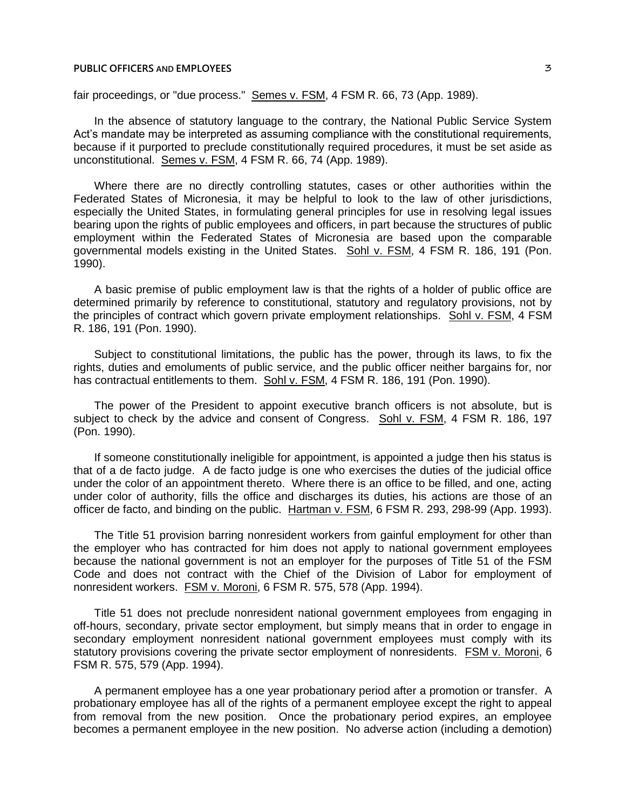fair proceedings, or "due process." Semes v. FSM, 4 FSM R. 66, 73 (App. 1989).

In the absence of statutory language to the contrary, the National Public Service System Act's mandate may be interpreted as assuming compliance with the constitutional requirements, because if it purported to preclude constitutionally required procedures, it must be set aside as unconstitutional. Semes v. FSM, 4 FSM R. 66, 74 (App. 1989).

Where there are no directly controlling statutes, cases or other authorities within the Federated States of Micronesia, it may be helpful to look to the law of other jurisdictions, especially the United States, in formulating general principles for use in resolving legal issues bearing upon the rights of public employees and officers, in part because the structures of public employment within the Federated States of Micronesia are based upon the comparable governmental models existing in the United States. Sohl v. FSM, 4 FSM R. 186, 191 (Pon. 1990).

A basic premise of public employment law is that the rights of a holder of public office are determined primarily by reference to constitutional, statutory and regulatory provisions, not by the principles of contract which govern private employment relationships. Sohl v. FSM, 4 FSM R. 186, 191 (Pon. 1990).

Subject to constitutional limitations, the public has the power, through its laws, to fix the rights, duties and emoluments of public service, and the public officer neither bargains for, nor has contractual entitlements to them. Sohl v. FSM, 4 FSM R. 186, 191 (Pon. 1990).

The power of the President to appoint executive branch officers is not absolute, but is subject to check by the advice and consent of Congress. Sohl v. FSM, 4 FSM R. 186, 197 (Pon. 1990).

If someone constitutionally ineligible for appointment, is appointed a judge then his status is that of a de facto judge. A de facto judge is one who exercises the duties of the judicial office under the color of an appointment thereto. Where there is an office to be filled, and one, acting under color of authority, fills the office and discharges its duties, his actions are those of an officer de facto, and binding on the public. Hartman v. FSM, 6 FSM R. 293, 298-99 (App. 1993).

The Title 51 provision barring nonresident workers from gainful employment for other than the employer who has contracted for him does not apply to national government employees because the national government is not an employer for the purposes of Title 51 of the FSM Code and does not contract with the Chief of the Division of Labor for employment of nonresident workers. FSM v. Moroni, 6 FSM R. 575, 578 (App. 1994).

Title 51 does not preclude nonresident national government employees from engaging in off-hours, secondary, private sector employment, but simply means that in order to engage in secondary employment nonresident national government employees must comply with its statutory provisions covering the private sector employment of nonresidents. FSM v. Moroni, 6 FSM R. 575, 579 (App. 1994).

A permanent employee has a one year probationary period after a promotion or transfer. A probationary employee has all of the rights of a permanent employee except the right to appeal from removal from the new position. Once the probationary period expires, an employee becomes a permanent employee in the new position. No adverse action (including a demotion)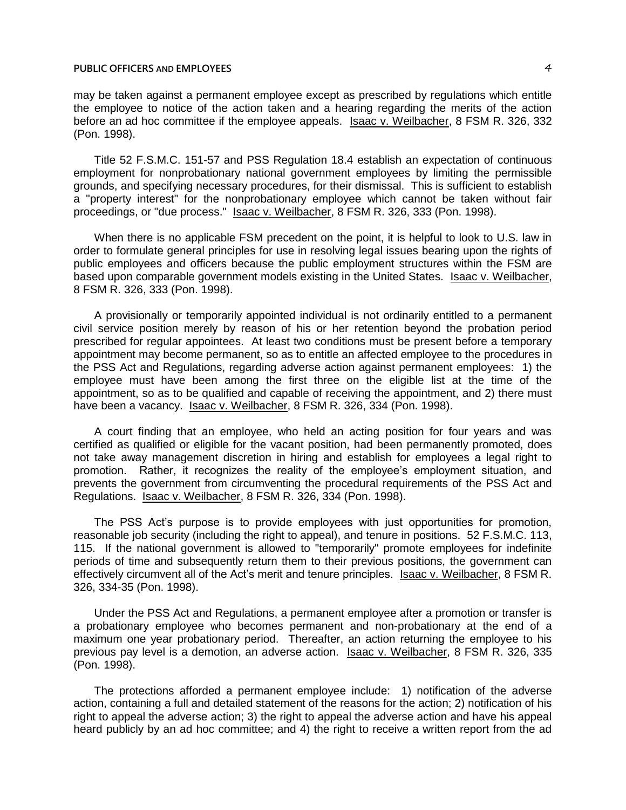may be taken against a permanent employee except as prescribed by regulations which entitle the employee to notice of the action taken and a hearing regarding the merits of the action before an ad hoc committee if the employee appeals. Isaac v. Weilbacher, 8 FSM R. 326, 332 (Pon. 1998).

Title 52 F.S.M.C. 151-57 and PSS Regulation 18.4 establish an expectation of continuous employment for nonprobationary national government employees by limiting the permissible grounds, and specifying necessary procedures, for their dismissal. This is sufficient to establish a "property interest" for the nonprobationary employee which cannot be taken without fair proceedings, or "due process." Isaac v. Weilbacher, 8 FSM R. 326, 333 (Pon. 1998).

When there is no applicable FSM precedent on the point, it is helpful to look to U.S. law in order to formulate general principles for use in resolving legal issues bearing upon the rights of public employees and officers because the public employment structures within the FSM are based upon comparable government models existing in the United States. Isaac v. Weilbacher, 8 FSM R. 326, 333 (Pon. 1998).

A provisionally or temporarily appointed individual is not ordinarily entitled to a permanent civil service position merely by reason of his or her retention beyond the probation period prescribed for regular appointees. At least two conditions must be present before a temporary appointment may become permanent, so as to entitle an affected employee to the procedures in the PSS Act and Regulations, regarding adverse action against permanent employees: 1) the employee must have been among the first three on the eligible list at the time of the appointment, so as to be qualified and capable of receiving the appointment, and 2) there must have been a vacancy. Isaac v. Weilbacher, 8 FSM R. 326, 334 (Pon. 1998).

A court finding that an employee, who held an acting position for four years and was certified as qualified or eligible for the vacant position, had been permanently promoted, does not take away management discretion in hiring and establish for employees a legal right to promotion. Rather, it recognizes the reality of the employee's employment situation, and prevents the government from circumventing the procedural requirements of the PSS Act and Regulations. Isaac v. Weilbacher, 8 FSM R. 326, 334 (Pon. 1998).

The PSS Act's purpose is to provide employees with just opportunities for promotion, reasonable job security (including the right to appeal), and tenure in positions. 52 F.S.M.C. 113, 115. If the national government is allowed to "temporarily" promote employees for indefinite periods of time and subsequently return them to their previous positions, the government can effectively circumvent all of the Act's merit and tenure principles. Isaac v. Weilbacher, 8 FSM R. 326, 334-35 (Pon. 1998).

Under the PSS Act and Regulations, a permanent employee after a promotion or transfer is a probationary employee who becomes permanent and non-probationary at the end of a maximum one year probationary period. Thereafter, an action returning the employee to his previous pay level is a demotion, an adverse action. Isaac v. Weilbacher, 8 FSM R. 326, 335 (Pon. 1998).

The protections afforded a permanent employee include: 1) notification of the adverse action, containing a full and detailed statement of the reasons for the action; 2) notification of his right to appeal the adverse action; 3) the right to appeal the adverse action and have his appeal heard publicly by an ad hoc committee; and 4) the right to receive a written report from the ad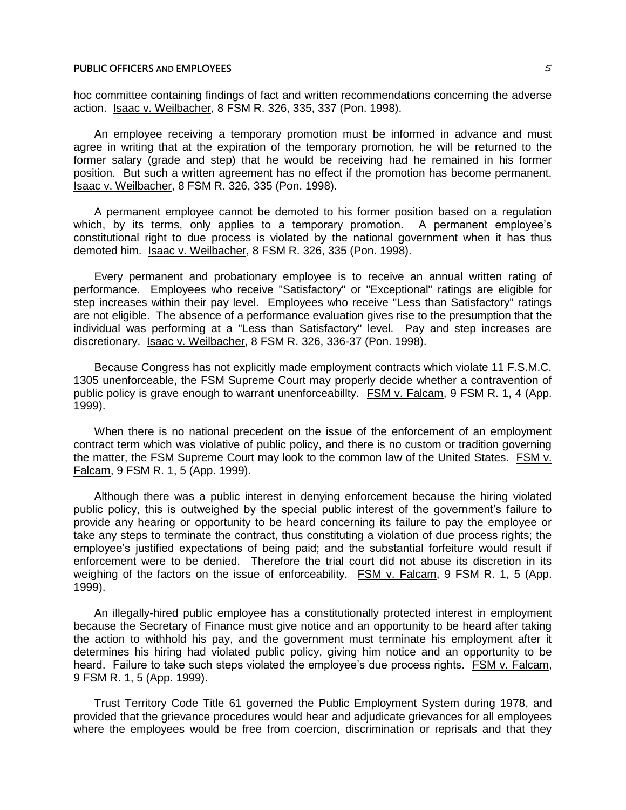hoc committee containing findings of fact and written recommendations concerning the adverse action. Isaac v. Weilbacher, 8 FSM R. 326, 335, 337 (Pon. 1998).

An employee receiving a temporary promotion must be informed in advance and must agree in writing that at the expiration of the temporary promotion, he will be returned to the former salary (grade and step) that he would be receiving had he remained in his former position. But such a written agreement has no effect if the promotion has become permanent. Isaac v. Weilbacher, 8 FSM R. 326, 335 (Pon. 1998).

A permanent employee cannot be demoted to his former position based on a regulation which, by its terms, only applies to a temporary promotion. A permanent employee's constitutional right to due process is violated by the national government when it has thus demoted him. Isaac v. Weilbacher, 8 FSM R. 326, 335 (Pon. 1998).

Every permanent and probationary employee is to receive an annual written rating of performance. Employees who receive "Satisfactory" or "Exceptional" ratings are eligible for step increases within their pay level. Employees who receive "Less than Satisfactory" ratings are not eligible. The absence of a performance evaluation gives rise to the presumption that the individual was performing at a "Less than Satisfactory" level. Pay and step increases are discretionary. Isaac v. Weilbacher, 8 FSM R. 326, 336-37 (Pon. 1998).

Because Congress has not explicitly made employment contracts which violate 11 F.S.M.C. 1305 unenforceable, the FSM Supreme Court may properly decide whether a contravention of public policy is grave enough to warrant unenforceabillty. FSM v. Falcam, 9 FSM R. 1, 4 (App. 1999).

When there is no national precedent on the issue of the enforcement of an employment contract term which was violative of public policy, and there is no custom or tradition governing the matter, the FSM Supreme Court may look to the common law of the United States. FSM v. Falcam, 9 FSM R. 1, 5 (App. 1999).

Although there was a public interest in denying enforcement because the hiring violated public policy, this is outweighed by the special public interest of the government's failure to provide any hearing or opportunity to be heard concerning its failure to pay the employee or take any steps to terminate the contract, thus constituting a violation of due process rights; the employee's justified expectations of being paid; and the substantial forfeiture would result if enforcement were to be denied. Therefore the trial court did not abuse its discretion in its weighing of the factors on the issue of enforceability. FSM v. Falcam, 9 FSM R. 1, 5 (App. 1999).

An illegally-hired public employee has a constitutionally protected interest in employment because the Secretary of Finance must give notice and an opportunity to be heard after taking the action to withhold his pay, and the government must terminate his employment after it determines his hiring had violated public policy, giving him notice and an opportunity to be heard. Failure to take such steps violated the employee's due process rights. FSM v. Falcam, 9 FSM R. 1, 5 (App. 1999).

Trust Territory Code Title 61 governed the Public Employment System during 1978, and provided that the grievance procedures would hear and adjudicate grievances for all employees where the employees would be free from coercion, discrimination or reprisals and that they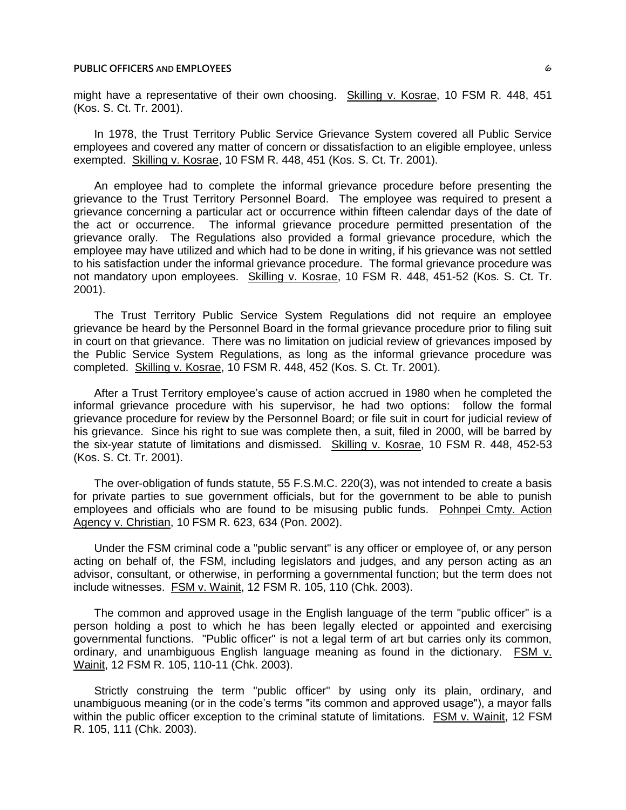might have a representative of their own choosing. Skilling v. Kosrae, 10 FSM R. 448, 451 (Kos. S. Ct. Tr. 2001).

In 1978, the Trust Territory Public Service Grievance System covered all Public Service employees and covered any matter of concern or dissatisfaction to an eligible employee, unless exempted. Skilling v. Kosrae, 10 FSM R. 448, 451 (Kos. S. Ct. Tr. 2001).

An employee had to complete the informal grievance procedure before presenting the grievance to the Trust Territory Personnel Board. The employee was required to present a grievance concerning a particular act or occurrence within fifteen calendar days of the date of the act or occurrence. The informal grievance procedure permitted presentation of the grievance orally. The Regulations also provided a formal grievance procedure, which the employee may have utilized and which had to be done in writing, if his grievance was not settled to his satisfaction under the informal grievance procedure. The formal grievance procedure was not mandatory upon employees. Skilling v. Kosrae, 10 FSM R. 448, 451-52 (Kos. S. Ct. Tr. 2001).

The Trust Territory Public Service System Regulations did not require an employee grievance be heard by the Personnel Board in the formal grievance procedure prior to filing suit in court on that grievance. There was no limitation on judicial review of grievances imposed by the Public Service System Regulations, as long as the informal grievance procedure was completed. Skilling v. Kosrae, 10 FSM R. 448, 452 (Kos. S. Ct. Tr. 2001).

After a Trust Territory employee's cause of action accrued in 1980 when he completed the informal grievance procedure with his supervisor, he had two options: follow the formal grievance procedure for review by the Personnel Board; or file suit in court for judicial review of his grievance. Since his right to sue was complete then, a suit, filed in 2000, will be barred by the six-year statute of limitations and dismissed. Skilling v. Kosrae, 10 FSM R. 448, 452-53 (Kos. S. Ct. Tr. 2001).

The over-obligation of funds statute, 55 F.S.M.C. 220(3), was not intended to create a basis for private parties to sue government officials, but for the government to be able to punish employees and officials who are found to be misusing public funds. Pohnpei Cmty. Action Agency v. Christian, 10 FSM R. 623, 634 (Pon. 2002).

Under the FSM criminal code a "public servant" is any officer or employee of, or any person acting on behalf of, the FSM, including legislators and judges, and any person acting as an advisor, consultant, or otherwise, in performing a governmental function; but the term does not include witnesses. FSM v. Wainit, 12 FSM R. 105, 110 (Chk. 2003).

The common and approved usage in the English language of the term "public officer" is a person holding a post to which he has been legally elected or appointed and exercising governmental functions. "Public officer" is not a legal term of art but carries only its common, ordinary, and unambiguous English language meaning as found in the dictionary. FSM v. Wainit, 12 FSM R. 105, 110-11 (Chk. 2003).

Strictly construing the term "public officer" by using only its plain, ordinary, and unambiguous meaning (or in the code's terms "its common and approved usage"), a mayor falls within the public officer exception to the criminal statute of limitations. FSM v. Wainit, 12 FSM R. 105, 111 (Chk. 2003).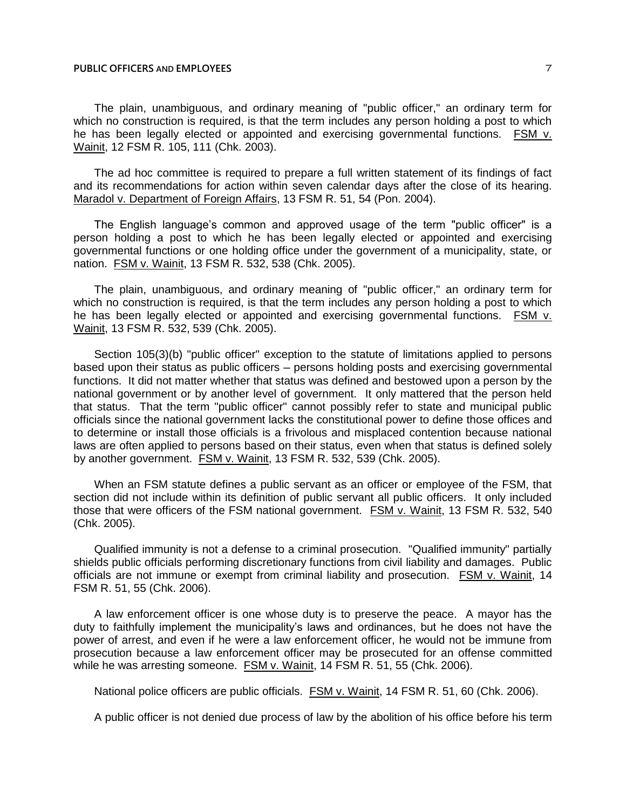The plain, unambiguous, and ordinary meaning of "public officer," an ordinary term for which no construction is required, is that the term includes any person holding a post to which he has been legally elected or appointed and exercising governmental functions. FSM v. Wainit, 12 FSM R. 105, 111 (Chk. 2003).

The ad hoc committee is required to prepare a full written statement of its findings of fact and its recommendations for action within seven calendar days after the close of its hearing. Maradol v. Department of Foreign Affairs, 13 FSM R. 51, 54 (Pon. 2004).

The English language's common and approved usage of the term "public officer" is a person holding a post to which he has been legally elected or appointed and exercising governmental functions or one holding office under the government of a municipality, state, or nation. FSM v. Wainit, 13 FSM R. 532, 538 (Chk. 2005).

The plain, unambiguous, and ordinary meaning of "public officer," an ordinary term for which no construction is required, is that the term includes any person holding a post to which he has been legally elected or appointed and exercising governmental functions. FSM v. Wainit, 13 FSM R. 532, 539 (Chk. 2005).

Section 105(3)(b) "public officer" exception to the statute of limitations applied to persons based upon their status as public officers – persons holding posts and exercising governmental functions. It did not matter whether that status was defined and bestowed upon a person by the national government or by another level of government. It only mattered that the person held that status. That the term "public officer" cannot possibly refer to state and municipal public officials since the national government lacks the constitutional power to define those offices and to determine or install those officials is a frivolous and misplaced contention because national laws are often applied to persons based on their status, even when that status is defined solely by another government. FSM v. Wainit, 13 FSM R. 532, 539 (Chk. 2005).

When an FSM statute defines a public servant as an officer or employee of the FSM, that section did not include within its definition of public servant all public officers. It only included those that were officers of the FSM national government. FSM v. Wainit, 13 FSM R. 532, 540 (Chk. 2005).

Qualified immunity is not a defense to a criminal prosecution. "Qualified immunity" partially shields public officials performing discretionary functions from civil liability and damages. Public officials are not immune or exempt from criminal liability and prosecution. FSM v. Wainit, 14 FSM R. 51, 55 (Chk. 2006).

A law enforcement officer is one whose duty is to preserve the peace. A mayor has the duty to faithfully implement the municipality's laws and ordinances, but he does not have the power of arrest, and even if he were a law enforcement officer, he would not be immune from prosecution because a law enforcement officer may be prosecuted for an offense committed while he was arresting someone. FSM v. Wainit, 14 FSM R. 51, 55 (Chk. 2006).

National police officers are public officials. FSM v. Wainit, 14 FSM R. 51, 60 (Chk. 2006).

A public officer is not denied due process of law by the abolition of his office before his term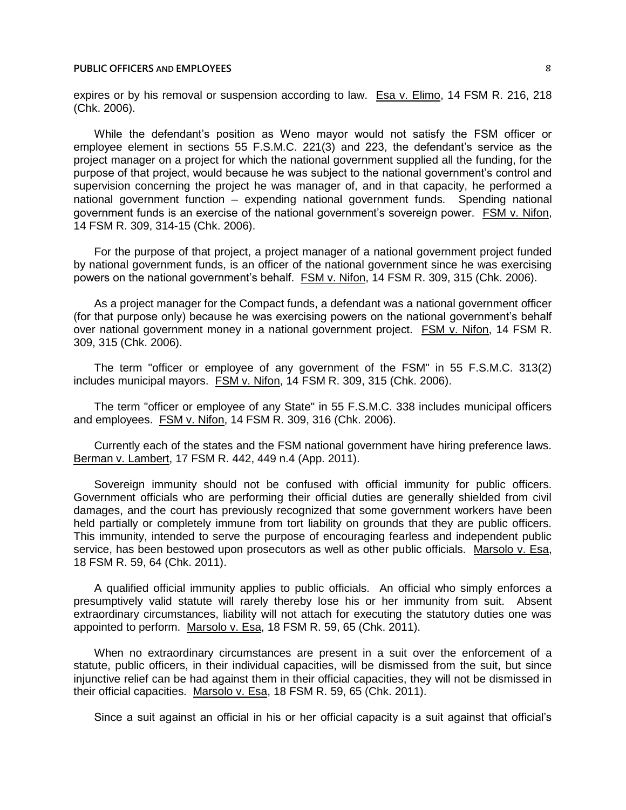expires or by his removal or suspension according to law. Esa v. Elimo, 14 FSM R. 216, 218 (Chk. 2006).

While the defendant's position as Weno mayor would not satisfy the FSM officer or employee element in sections 55 F.S.M.C. 221(3) and 223, the defendant's service as the project manager on a project for which the national government supplied all the funding, for the purpose of that project, would because he was subject to the national government's control and supervision concerning the project he was manager of, and in that capacity, he performed a national government function — expending national government funds. Spending national government funds is an exercise of the national government's sovereign power. FSM v. Nifon, 14 FSM R. 309, 314-15 (Chk. 2006).

For the purpose of that project, a project manager of a national government project funded by national government funds, is an officer of the national government since he was exercising powers on the national government's behalf. FSM v. Nifon, 14 FSM R. 309, 315 (Chk. 2006).

As a project manager for the Compact funds, a defendant was a national government officer (for that purpose only) because he was exercising powers on the national government's behalf over national government money in a national government project. FSM v. Nifon, 14 FSM R. 309, 315 (Chk. 2006).

The term "officer or employee of any government of the FSM" in 55 F.S.M.C. 313(2) includes municipal mayors. FSM v. Nifon, 14 FSM R. 309, 315 (Chk. 2006).

The term "officer or employee of any State" in 55 F.S.M.C. 338 includes municipal officers and employees. FSM v. Nifon, 14 FSM R. 309, 316 (Chk. 2006).

Currently each of the states and the FSM national government have hiring preference laws. Berman v. Lambert, 17 FSM R. 442, 449 n.4 (App. 2011).

Sovereign immunity should not be confused with official immunity for public officers. Government officials who are performing their official duties are generally shielded from civil damages, and the court has previously recognized that some government workers have been held partially or completely immune from tort liability on grounds that they are public officers. This immunity, intended to serve the purpose of encouraging fearless and independent public service, has been bestowed upon prosecutors as well as other public officials. Marsolo v. Esa, 18 FSM R. 59, 64 (Chk. 2011).

A qualified official immunity applies to public officials. An official who simply enforces a presumptively valid statute will rarely thereby lose his or her immunity from suit. Absent extraordinary circumstances, liability will not attach for executing the statutory duties one was appointed to perform. Marsolo v. Esa, 18 FSM R. 59, 65 (Chk. 2011).

When no extraordinary circumstances are present in a suit over the enforcement of a statute, public officers, in their individual capacities, will be dismissed from the suit, but since injunctive relief can be had against them in their official capacities, they will not be dismissed in their official capacities. Marsolo v. Esa, 18 FSM R. 59, 65 (Chk. 2011).

Since a suit against an official in his or her official capacity is a suit against that official's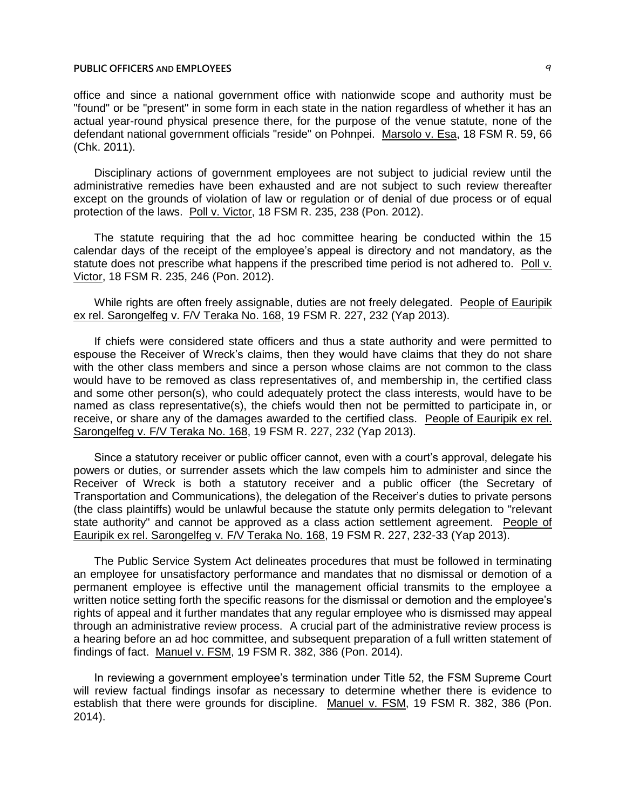office and since a national government office with nationwide scope and authority must be "found" or be "present" in some form in each state in the nation regardless of whether it has an actual year-round physical presence there, for the purpose of the venue statute, none of the defendant national government officials "reside" on Pohnpei. Marsolo v. Esa, 18 FSM R. 59, 66 (Chk. 2011).

Disciplinary actions of government employees are not subject to judicial review until the administrative remedies have been exhausted and are not subject to such review thereafter except on the grounds of violation of law or regulation or of denial of due process or of equal protection of the laws. Poll v. Victor, 18 FSM R. 235, 238 (Pon. 2012).

The statute requiring that the ad hoc committee hearing be conducted within the 15 calendar days of the receipt of the employee's appeal is directory and not mandatory, as the statute does not prescribe what happens if the prescribed time period is not adhered to. Poll v. Victor, 18 FSM R. 235, 246 (Pon. 2012).

While rights are often freely assignable, duties are not freely delegated. People of Eauripik ex rel. Sarongelfeg v. F/V Teraka No. 168, 19 FSM R. 227, 232 (Yap 2013).

If chiefs were considered state officers and thus a state authority and were permitted to espouse the Receiver of Wreck's claims, then they would have claims that they do not share with the other class members and since a person whose claims are not common to the class would have to be removed as class representatives of, and membership in, the certified class and some other person(s), who could adequately protect the class interests, would have to be named as class representative(s), the chiefs would then not be permitted to participate in, or receive, or share any of the damages awarded to the certified class. People of Eauripik ex rel. Sarongelfeg v. F/V Teraka No. 168, 19 FSM R. 227, 232 (Yap 2013).

Since a statutory receiver or public officer cannot, even with a court's approval, delegate his powers or duties, or surrender assets which the law compels him to administer and since the Receiver of Wreck is both a statutory receiver and a public officer (the Secretary of Transportation and Communications), the delegation of the Receiver's duties to private persons (the class plaintiffs) would be unlawful because the statute only permits delegation to "relevant state authority" and cannot be approved as a class action settlement agreement. People of Eauripik ex rel. Sarongelfeg v. F/V Teraka No. 168, 19 FSM R. 227, 232-33 (Yap 2013).

The Public Service System Act delineates procedures that must be followed in terminating an employee for unsatisfactory performance and mandates that no dismissal or demotion of a permanent employee is effective until the management official transmits to the employee a written notice setting forth the specific reasons for the dismissal or demotion and the employee's rights of appeal and it further mandates that any regular employee who is dismissed may appeal through an administrative review process. A crucial part of the administrative review process is a hearing before an ad hoc committee, and subsequent preparation of a full written statement of findings of fact. Manuel v. FSM, 19 FSM R. 382, 386 (Pon. 2014).

In reviewing a government employee's termination under Title 52, the FSM Supreme Court will review factual findings insofar as necessary to determine whether there is evidence to establish that there were grounds for discipline. Manuel v. FSM, 19 FSM R. 382, 386 (Pon. 2014).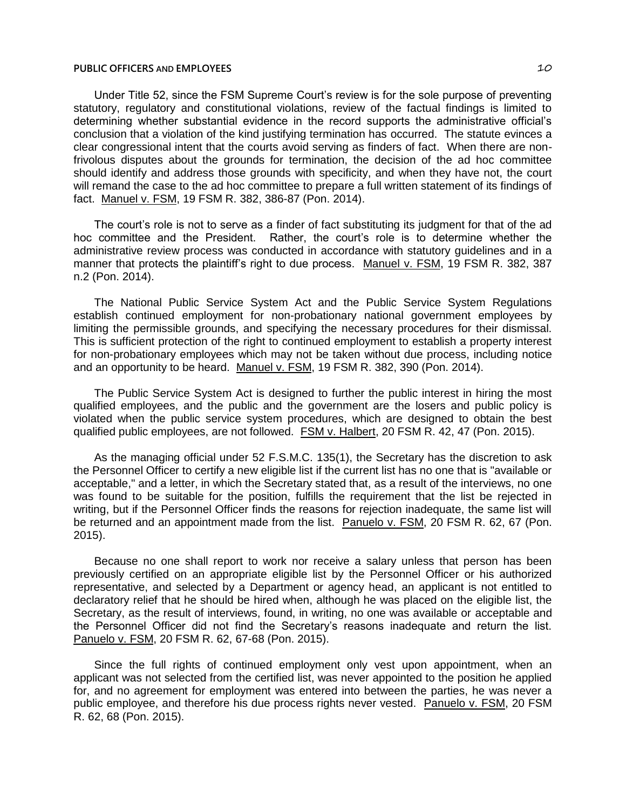Under Title 52, since the FSM Supreme Court's review is for the sole purpose of preventing statutory, regulatory and constitutional violations, review of the factual findings is limited to determining whether substantial evidence in the record supports the administrative official's conclusion that a violation of the kind justifying termination has occurred. The statute evinces a clear congressional intent that the courts avoid serving as finders of fact. When there are nonfrivolous disputes about the grounds for termination, the decision of the ad hoc committee should identify and address those grounds with specificity, and when they have not, the court will remand the case to the ad hoc committee to prepare a full written statement of its findings of fact. Manuel v. FSM, 19 FSM R. 382, 386-87 (Pon. 2014).

The court's role is not to serve as a finder of fact substituting its judgment for that of the ad hoc committee and the President. Rather, the court's role is to determine whether the administrative review process was conducted in accordance with statutory guidelines and in a manner that protects the plaintiff's right to due process. Manuel v. FSM, 19 FSM R. 382, 387 n.2 (Pon. 2014).

The National Public Service System Act and the Public Service System Regulations establish continued employment for non-probationary national government employees by limiting the permissible grounds, and specifying the necessary procedures for their dismissal. This is sufficient protection of the right to continued employment to establish a property interest for non-probationary employees which may not be taken without due process, including notice and an opportunity to be heard. Manuel v. FSM, 19 FSM R. 382, 390 (Pon. 2014).

The Public Service System Act is designed to further the public interest in hiring the most qualified employees, and the public and the government are the losers and public policy is violated when the public service system procedures, which are designed to obtain the best qualified public employees, are not followed. FSM v. Halbert, 20 FSM R. 42, 47 (Pon. 2015).

As the managing official under 52 F.S.M.C. 135(1), the Secretary has the discretion to ask the Personnel Officer to certify a new eligible list if the current list has no one that is "available or acceptable," and a letter, in which the Secretary stated that, as a result of the interviews, no one was found to be suitable for the position, fulfills the requirement that the list be rejected in writing, but if the Personnel Officer finds the reasons for rejection inadequate, the same list will be returned and an appointment made from the list. Panuelo v. FSM, 20 FSM R. 62, 67 (Pon. 2015).

Because no one shall report to work nor receive a salary unless that person has been previously certified on an appropriate eligible list by the Personnel Officer or his authorized representative, and selected by a Department or agency head, an applicant is not entitled to declaratory relief that he should be hired when, although he was placed on the eligible list, the Secretary, as the result of interviews, found, in writing, no one was available or acceptable and the Personnel Officer did not find the Secretary's reasons inadequate and return the list. Panuelo v. FSM, 20 FSM R. 62, 67-68 (Pon. 2015).

Since the full rights of continued employment only vest upon appointment, when an applicant was not selected from the certified list, was never appointed to the position he applied for, and no agreement for employment was entered into between the parties, he was never a public employee, and therefore his due process rights never vested. Panuelo v. FSM, 20 FSM R. 62, 68 (Pon. 2015).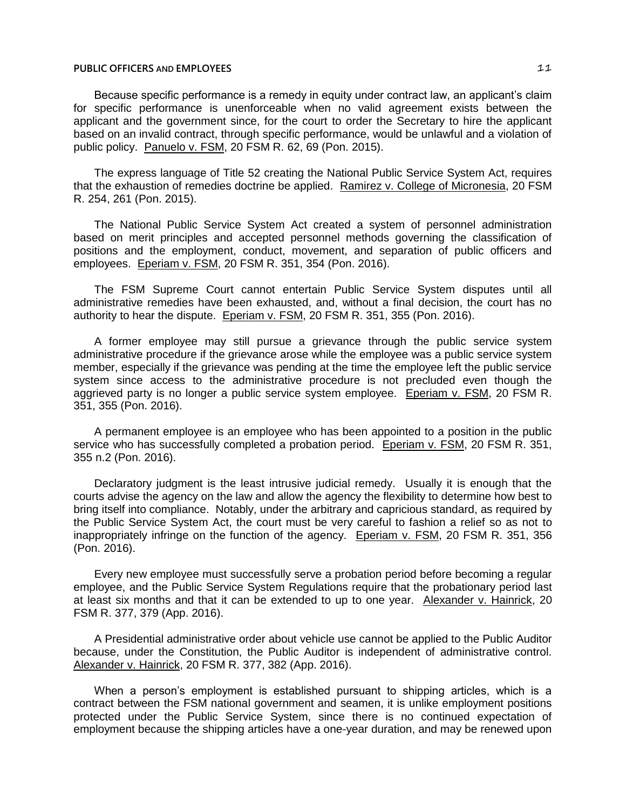Because specific performance is a remedy in equity under contract law, an applicant's claim for specific performance is unenforceable when no valid agreement exists between the applicant and the government since, for the court to order the Secretary to hire the applicant based on an invalid contract, through specific performance, would be unlawful and a violation of public policy. Panuelo v. FSM, 20 FSM R. 62, 69 (Pon. 2015).

The express language of Title 52 creating the National Public Service System Act, requires that the exhaustion of remedies doctrine be applied. Ramirez v. College of Micronesia, 20 FSM R. 254, 261 (Pon. 2015).

The National Public Service System Act created a system of personnel administration based on merit principles and accepted personnel methods governing the classification of positions and the employment, conduct, movement, and separation of public officers and employees. Eperiam v. FSM, 20 FSM R. 351, 354 (Pon. 2016).

The FSM Supreme Court cannot entertain Public Service System disputes until all administrative remedies have been exhausted, and, without a final decision, the court has no authority to hear the dispute. Eperiam v. FSM, 20 FSM R. 351, 355 (Pon. 2016).

A former employee may still pursue a grievance through the public service system administrative procedure if the grievance arose while the employee was a public service system member, especially if the grievance was pending at the time the employee left the public service system since access to the administrative procedure is not precluded even though the aggrieved party is no longer a public service system employee. Eperiam v. FSM, 20 FSM R. 351, 355 (Pon. 2016).

A permanent employee is an employee who has been appointed to a position in the public service who has successfully completed a probation period. Eperiam v. FSM, 20 FSM R. 351, 355 n.2 (Pon. 2016).

Declaratory judgment is the least intrusive judicial remedy. Usually it is enough that the courts advise the agency on the law and allow the agency the flexibility to determine how best to bring itself into compliance. Notably, under the arbitrary and capricious standard, as required by the Public Service System Act, the court must be very careful to fashion a relief so as not to inappropriately infringe on the function of the agency. Eperiam v. FSM, 20 FSM R. 351, 356 (Pon. 2016).

Every new employee must successfully serve a probation period before becoming a regular employee, and the Public Service System Regulations require that the probationary period last at least six months and that it can be extended to up to one year. Alexander v. Hainrick, 20 FSM R. 377, 379 (App. 2016).

A Presidential administrative order about vehicle use cannot be applied to the Public Auditor because, under the Constitution, the Public Auditor is independent of administrative control. Alexander v. Hainrick, 20 FSM R. 377, 382 (App. 2016).

When a person's employment is established pursuant to shipping articles, which is a contract between the FSM national government and seamen, it is unlike employment positions protected under the Public Service System, since there is no continued expectation of employment because the shipping articles have a one-year duration, and may be renewed upon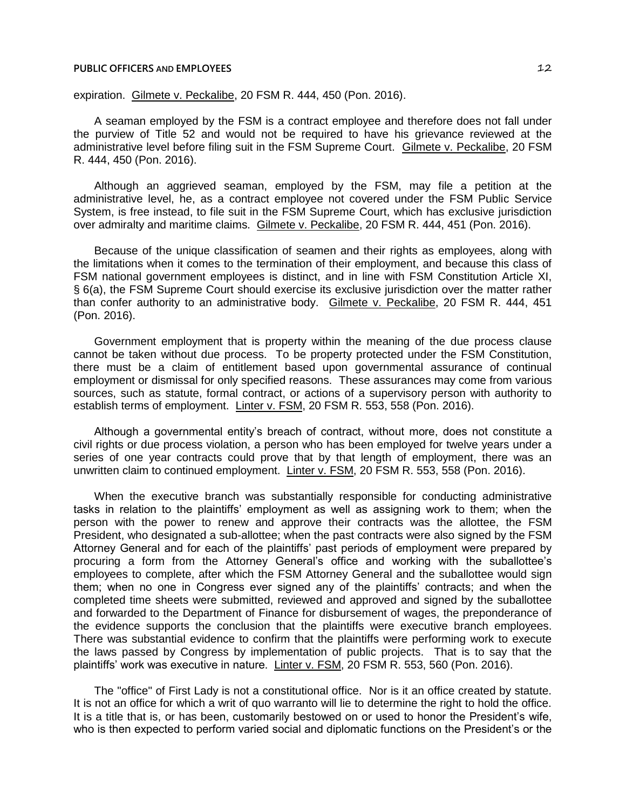expiration. Gilmete v. Peckalibe, 20 FSM R. 444, 450 (Pon. 2016).

A seaman employed by the FSM is a contract employee and therefore does not fall under the purview of Title 52 and would not be required to have his grievance reviewed at the administrative level before filing suit in the FSM Supreme Court. Gilmete v. Peckalibe, 20 FSM R. 444, 450 (Pon. 2016).

Although an aggrieved seaman, employed by the FSM, may file a petition at the administrative level, he, as a contract employee not covered under the FSM Public Service System, is free instead, to file suit in the FSM Supreme Court, which has exclusive jurisdiction over admiralty and maritime claims. Gilmete v. Peckalibe, 20 FSM R. 444, 451 (Pon. 2016).

Because of the unique classification of seamen and their rights as employees, along with the limitations when it comes to the termination of their employment, and because this class of FSM national government employees is distinct, and in line with FSM Constitution Article XI, § 6(a), the FSM Supreme Court should exercise its exclusive jurisdiction over the matter rather than confer authority to an administrative body. Gilmete v. Peckalibe, 20 FSM R. 444, 451 (Pon. 2016).

Government employment that is property within the meaning of the due process clause cannot be taken without due process. To be property protected under the FSM Constitution, there must be a claim of entitlement based upon governmental assurance of continual employment or dismissal for only specified reasons. These assurances may come from various sources, such as statute, formal contract, or actions of a supervisory person with authority to establish terms of employment. Linter v. FSM, 20 FSM R. 553, 558 (Pon. 2016).

Although a governmental entity's breach of contract, without more, does not constitute a civil rights or due process violation, a person who has been employed for twelve years under a series of one year contracts could prove that by that length of employment, there was an unwritten claim to continued employment. Linter v. FSM, 20 FSM R. 553, 558 (Pon. 2016).

When the executive branch was substantially responsible for conducting administrative tasks in relation to the plaintiffs' employment as well as assigning work to them; when the person with the power to renew and approve their contracts was the allottee, the FSM President, who designated a sub-allottee; when the past contracts were also signed by the FSM Attorney General and for each of the plaintiffs' past periods of employment were prepared by procuring a form from the Attorney General's office and working with the suballottee's employees to complete, after which the FSM Attorney General and the suballottee would sign them; when no one in Congress ever signed any of the plaintiffs' contracts; and when the completed time sheets were submitted, reviewed and approved and signed by the suballottee and forwarded to the Department of Finance for disbursement of wages, the preponderance of the evidence supports the conclusion that the plaintiffs were executive branch employees. There was substantial evidence to confirm that the plaintiffs were performing work to execute the laws passed by Congress by implementation of public projects. That is to say that the plaintiffs' work was executive in nature. Linter v. FSM, 20 FSM R. 553, 560 (Pon. 2016).

The "office" of First Lady is not a constitutional office. Nor is it an office created by statute. It is not an office for which a writ of quo warranto will lie to determine the right to hold the office. It is a title that is, or has been, customarily bestowed on or used to honor the President's wife, who is then expected to perform varied social and diplomatic functions on the President's or the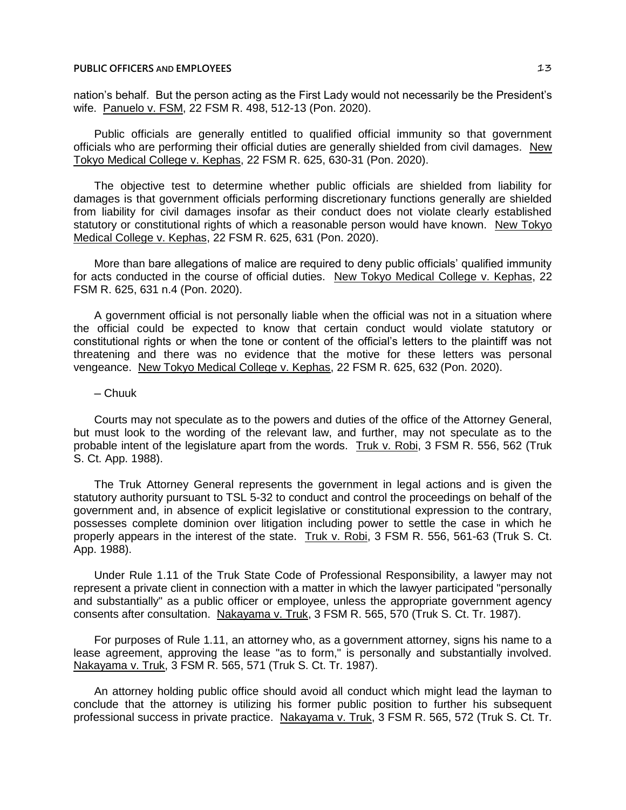nation's behalf. But the person acting as the First Lady would not necessarily be the President's wife. Panuelo v. FSM, 22 FSM R. 498, 512-13 (Pon. 2020).

Public officials are generally entitled to qualified official immunity so that government officials who are performing their official duties are generally shielded from civil damages. New Tokyo Medical College v. Kephas, 22 FSM R. 625, 630-31 (Pon. 2020).

The objective test to determine whether public officials are shielded from liability for damages is that government officials performing discretionary functions generally are shielded from liability for civil damages insofar as their conduct does not violate clearly established statutory or constitutional rights of which a reasonable person would have known. New Tokyo Medical College v. Kephas, 22 FSM R. 625, 631 (Pon. 2020).

More than bare allegations of malice are required to deny public officials' qualified immunity for acts conducted in the course of official duties. New Tokyo Medical College v. Kephas, 22 FSM R. 625, 631 n.4 (Pon. 2020).

A government official is not personally liable when the official was not in a situation where the official could be expected to know that certain conduct would violate statutory or constitutional rights or when the tone or content of the official's letters to the plaintiff was not threatening and there was no evidence that the motive for these letters was personal vengeance. New Tokyo Medical College v. Kephas, 22 FSM R. 625, 632 (Pon. 2020).

## ─ Chuuk

Courts may not speculate as to the powers and duties of the office of the Attorney General, but must look to the wording of the relevant law, and further, may not speculate as to the probable intent of the legislature apart from the words. Truk v. Robi, 3 FSM R. 556, 562 (Truk S. Ct. App. 1988).

The Truk Attorney General represents the government in legal actions and is given the statutory authority pursuant to TSL 5-32 to conduct and control the proceedings on behalf of the government and, in absence of explicit legislative or constitutional expression to the contrary, possesses complete dominion over litigation including power to settle the case in which he properly appears in the interest of the state. Truk v. Robi, 3 FSM R. 556, 561-63 (Truk S. Ct. App. 1988).

Under Rule 1.11 of the Truk State Code of Professional Responsibility, a lawyer may not represent a private client in connection with a matter in which the lawyer participated "personally and substantially" as a public officer or employee, unless the appropriate government agency consents after consultation. Nakayama v. Truk, 3 FSM R. 565, 570 (Truk S. Ct. Tr. 1987).

For purposes of Rule 1.11, an attorney who, as a government attorney, signs his name to a lease agreement, approving the lease "as to form," is personally and substantially involved. Nakayama v. Truk, 3 FSM R. 565, 571 (Truk S. Ct. Tr. 1987).

An attorney holding public office should avoid all conduct which might lead the layman to conclude that the attorney is utilizing his former public position to further his subsequent professional success in private practice. Nakayama v. Truk, 3 FSM R. 565, 572 (Truk S. Ct. Tr.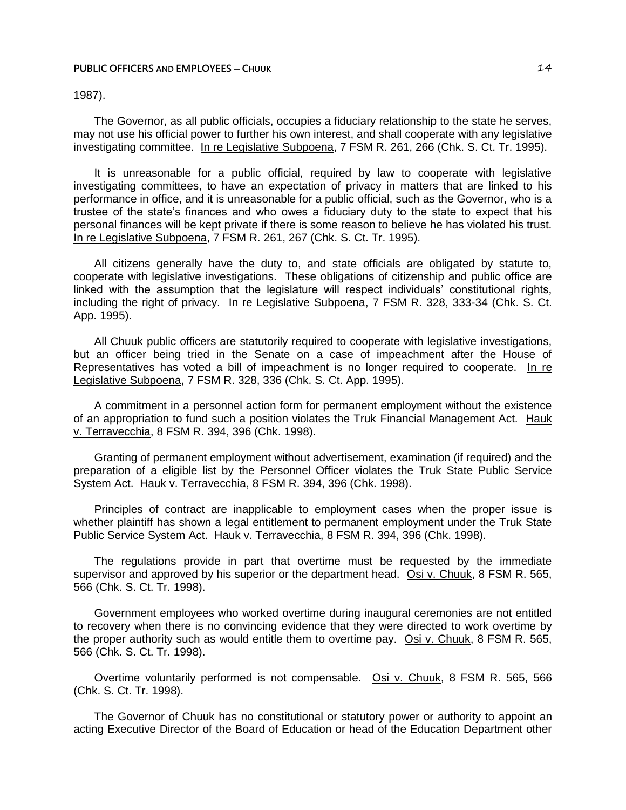## 1987).

The Governor, as all public officials, occupies a fiduciary relationship to the state he serves, may not use his official power to further his own interest, and shall cooperate with any legislative investigating committee. In re Legislative Subpoena, 7 FSM R. 261, 266 (Chk. S. Ct. Tr. 1995).

It is unreasonable for a public official, required by law to cooperate with legislative investigating committees, to have an expectation of privacy in matters that are linked to his performance in office, and it is unreasonable for a public official, such as the Governor, who is a trustee of the state's finances and who owes a fiduciary duty to the state to expect that his personal finances will be kept private if there is some reason to believe he has violated his trust. In re Legislative Subpoena, 7 FSM R. 261, 267 (Chk. S. Ct. Tr. 1995).

All citizens generally have the duty to, and state officials are obligated by statute to, cooperate with legislative investigations. These obligations of citizenship and public office are linked with the assumption that the legislature will respect individuals' constitutional rights, including the right of privacy. In re Legislative Subpoena, 7 FSM R. 328, 333-34 (Chk. S. Ct. App. 1995).

All Chuuk public officers are statutorily required to cooperate with legislative investigations, but an officer being tried in the Senate on a case of impeachment after the House of Representatives has voted a bill of impeachment is no longer required to cooperate. In re Legislative Subpoena, 7 FSM R. 328, 336 (Chk. S. Ct. App. 1995).

A commitment in a personnel action form for permanent employment without the existence of an appropriation to fund such a position violates the Truk Financial Management Act. Hauk v. Terravecchia, 8 FSM R. 394, 396 (Chk. 1998).

Granting of permanent employment without advertisement, examination (if required) and the preparation of a eligible list by the Personnel Officer violates the Truk State Public Service System Act. Hauk v. Terravecchia, 8 FSM R. 394, 396 (Chk. 1998).

Principles of contract are inapplicable to employment cases when the proper issue is whether plaintiff has shown a legal entitlement to permanent employment under the Truk State Public Service System Act. Hauk v. Terravecchia, 8 FSM R. 394, 396 (Chk. 1998).

The regulations provide in part that overtime must be requested by the immediate supervisor and approved by his superior or the department head. Osi v. Chuuk, 8 FSM R. 565, 566 (Chk. S. Ct. Tr. 1998).

Government employees who worked overtime during inaugural ceremonies are not entitled to recovery when there is no convincing evidence that they were directed to work overtime by the proper authority such as would entitle them to overtime pay. Osi v. Chuuk, 8 FSM R. 565, 566 (Chk. S. Ct. Tr. 1998).

Overtime voluntarily performed is not compensable. Osi v. Chuuk, 8 FSM R. 565, 566 (Chk. S. Ct. Tr. 1998).

The Governor of Chuuk has no constitutional or statutory power or authority to appoint an acting Executive Director of the Board of Education or head of the Education Department other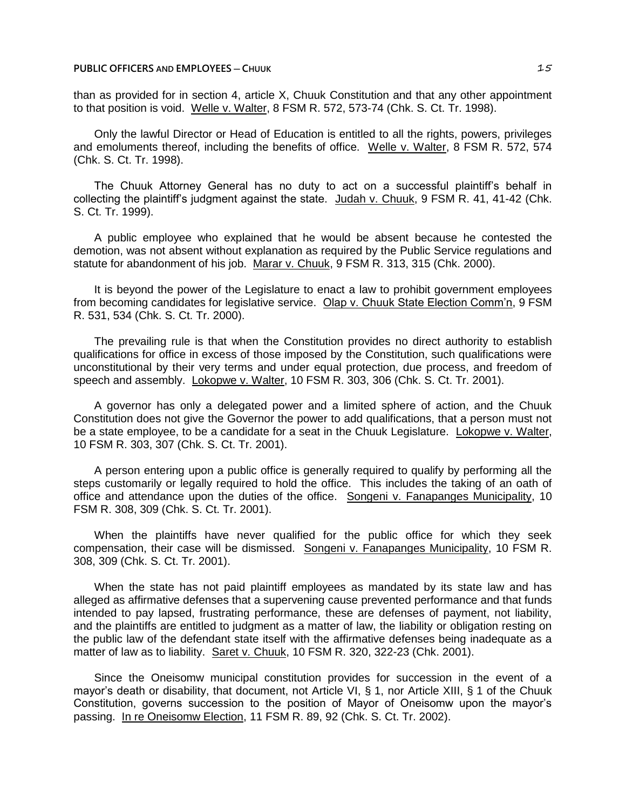than as provided for in section 4, article X, Chuuk Constitution and that any other appointment to that position is void. Welle v. Walter, 8 FSM R. 572, 573-74 (Chk. S. Ct. Tr. 1998).

Only the lawful Director or Head of Education is entitled to all the rights, powers, privileges and emoluments thereof, including the benefits of office. Welle v. Walter, 8 FSM R. 572, 574 (Chk. S. Ct. Tr. 1998).

The Chuuk Attorney General has no duty to act on a successful plaintiff's behalf in collecting the plaintiff's judgment against the state. Judah v. Chuuk, 9 FSM R. 41, 41-42 (Chk. S. Ct. Tr. 1999).

A public employee who explained that he would be absent because he contested the demotion, was not absent without explanation as required by the Public Service regulations and statute for abandonment of his job. Marar v. Chuuk, 9 FSM R. 313, 315 (Chk. 2000).

It is beyond the power of the Legislature to enact a law to prohibit government employees from becoming candidates for legislative service. Olap v. Chuuk State Election Comm'n, 9 FSM R. 531, 534 (Chk. S. Ct. Tr. 2000).

The prevailing rule is that when the Constitution provides no direct authority to establish qualifications for office in excess of those imposed by the Constitution, such qualifications were unconstitutional by their very terms and under equal protection, due process, and freedom of speech and assembly. Lokopwe v. Walter, 10 FSM R. 303, 306 (Chk. S. Ct. Tr. 2001).

A governor has only a delegated power and a limited sphere of action, and the Chuuk Constitution does not give the Governor the power to add qualifications, that a person must not be a state employee, to be a candidate for a seat in the Chuuk Legislature. Lokopwe v. Walter, 10 FSM R. 303, 307 (Chk. S. Ct. Tr. 2001).

A person entering upon a public office is generally required to qualify by performing all the steps customarily or legally required to hold the office. This includes the taking of an oath of office and attendance upon the duties of the office. Songeni v. Fanapanges Municipality, 10 FSM R. 308, 309 (Chk. S. Ct. Tr. 2001).

When the plaintiffs have never qualified for the public office for which they seek compensation, their case will be dismissed. Songeni v. Fanapanges Municipality, 10 FSM R. 308, 309 (Chk. S. Ct. Tr. 2001).

When the state has not paid plaintiff employees as mandated by its state law and has alleged as affirmative defenses that a supervening cause prevented performance and that funds intended to pay lapsed, frustrating performance, these are defenses of payment, not liability, and the plaintiffs are entitled to judgment as a matter of law, the liability or obligation resting on the public law of the defendant state itself with the affirmative defenses being inadequate as a matter of law as to liability. Saret v. Chuuk, 10 FSM R. 320, 322-23 (Chk. 2001).

Since the Oneisomw municipal constitution provides for succession in the event of a mayor's death or disability, that document, not Article VI, § 1, nor Article XIII, § 1 of the Chuuk Constitution, governs succession to the position of Mayor of Oneisomw upon the mayor's passing. In re Oneisomw Election, 11 FSM R. 89, 92 (Chk. S. Ct. Tr. 2002).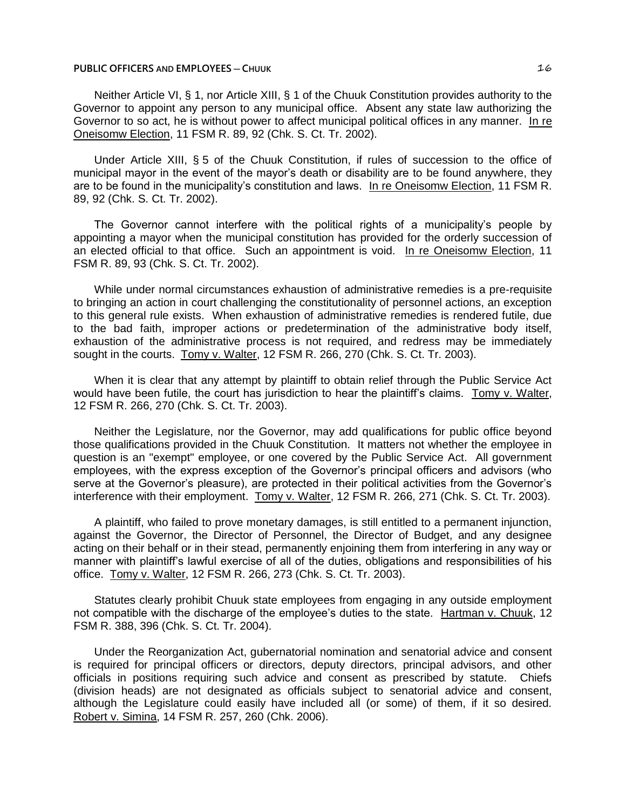Neither Article VI, § 1, nor Article XIII, § 1 of the Chuuk Constitution provides authority to the Governor to appoint any person to any municipal office. Absent any state law authorizing the Governor to so act, he is without power to affect municipal political offices in any manner. In re Oneisomw Election, 11 FSM R. 89, 92 (Chk. S. Ct. Tr. 2002).

Under Article XIII, § 5 of the Chuuk Constitution, if rules of succession to the office of municipal mayor in the event of the mayor's death or disability are to be found anywhere, they are to be found in the municipality's constitution and laws. In re Oneisomw Election, 11 FSM R. 89, 92 (Chk. S. Ct. Tr. 2002).

The Governor cannot interfere with the political rights of a municipality's people by appointing a mayor when the municipal constitution has provided for the orderly succession of an elected official to that office. Such an appointment is void. In re Oneisomw Election, 11 FSM R. 89, 93 (Chk. S. Ct. Tr. 2002).

While under normal circumstances exhaustion of administrative remedies is a pre-requisite to bringing an action in court challenging the constitutionality of personnel actions, an exception to this general rule exists. When exhaustion of administrative remedies is rendered futile, due to the bad faith, improper actions or predetermination of the administrative body itself, exhaustion of the administrative process is not required, and redress may be immediately sought in the courts. Tomy v. Walter, 12 FSM R. 266, 270 (Chk. S. Ct. Tr. 2003).

When it is clear that any attempt by plaintiff to obtain relief through the Public Service Act would have been futile, the court has jurisdiction to hear the plaintiff's claims. Tomy v. Walter, 12 FSM R. 266, 270 (Chk. S. Ct. Tr. 2003).

Neither the Legislature, nor the Governor, may add qualifications for public office beyond those qualifications provided in the Chuuk Constitution. It matters not whether the employee in question is an "exempt" employee, or one covered by the Public Service Act. All government employees, with the express exception of the Governor's principal officers and advisors (who serve at the Governor's pleasure), are protected in their political activities from the Governor's interference with their employment. Tomy v. Walter, 12 FSM R. 266, 271 (Chk. S. Ct. Tr. 2003).

A plaintiff, who failed to prove monetary damages, is still entitled to a permanent injunction, against the Governor, the Director of Personnel, the Director of Budget, and any designee acting on their behalf or in their stead, permanently enjoining them from interfering in any way or manner with plaintiff's lawful exercise of all of the duties, obligations and responsibilities of his office. Tomy v. Walter, 12 FSM R. 266, 273 (Chk. S. Ct. Tr. 2003).

Statutes clearly prohibit Chuuk state employees from engaging in any outside employment not compatible with the discharge of the employee's duties to the state. Hartman v. Chuuk, 12 FSM R. 388, 396 (Chk. S. Ct. Tr. 2004).

Under the Reorganization Act, gubernatorial nomination and senatorial advice and consent is required for principal officers or directors, deputy directors, principal advisors, and other officials in positions requiring such advice and consent as prescribed by statute. Chiefs (division heads) are not designated as officials subject to senatorial advice and consent, although the Legislature could easily have included all (or some) of them, if it so desired. Robert v. Simina, 14 FSM R. 257, 260 (Chk. 2006).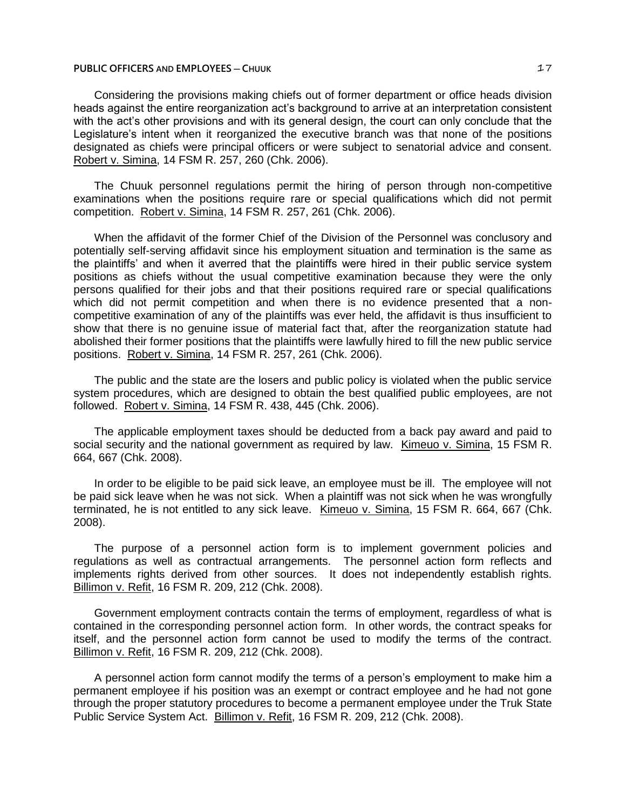Considering the provisions making chiefs out of former department or office heads division heads against the entire reorganization act's background to arrive at an interpretation consistent with the act's other provisions and with its general design, the court can only conclude that the Legislature's intent when it reorganized the executive branch was that none of the positions designated as chiefs were principal officers or were subject to senatorial advice and consent. Robert v. Simina, 14 FSM R. 257, 260 (Chk. 2006).

The Chuuk personnel regulations permit the hiring of person through non-competitive examinations when the positions require rare or special qualifications which did not permit competition. Robert v. Simina, 14 FSM R. 257, 261 (Chk. 2006).

When the affidavit of the former Chief of the Division of the Personnel was conclusory and potentially self-serving affidavit since his employment situation and termination is the same as the plaintiffs' and when it averred that the plaintiffs were hired in their public service system positions as chiefs without the usual competitive examination because they were the only persons qualified for their jobs and that their positions required rare or special qualifications which did not permit competition and when there is no evidence presented that a noncompetitive examination of any of the plaintiffs was ever held, the affidavit is thus insufficient to show that there is no genuine issue of material fact that, after the reorganization statute had abolished their former positions that the plaintiffs were lawfully hired to fill the new public service positions. Robert v. Simina, 14 FSM R. 257, 261 (Chk. 2006).

The public and the state are the losers and public policy is violated when the public service system procedures, which are designed to obtain the best qualified public employees, are not followed. Robert v. Simina, 14 FSM R. 438, 445 (Chk. 2006).

The applicable employment taxes should be deducted from a back pay award and paid to social security and the national government as required by law. Kimeuo v. Simina, 15 FSM R. 664, 667 (Chk. 2008).

In order to be eligible to be paid sick leave, an employee must be ill. The employee will not be paid sick leave when he was not sick. When a plaintiff was not sick when he was wrongfully terminated, he is not entitled to any sick leave. Kimeuo v. Simina, 15 FSM R. 664, 667 (Chk. 2008).

The purpose of a personnel action form is to implement government policies and regulations as well as contractual arrangements. The personnel action form reflects and implements rights derived from other sources. It does not independently establish rights. Billimon v. Refit, 16 FSM R. 209, 212 (Chk. 2008).

Government employment contracts contain the terms of employment, regardless of what is contained in the corresponding personnel action form. In other words, the contract speaks for itself, and the personnel action form cannot be used to modify the terms of the contract. Billimon v. Refit, 16 FSM R. 209, 212 (Chk. 2008).

A personnel action form cannot modify the terms of a person's employment to make him a permanent employee if his position was an exempt or contract employee and he had not gone through the proper statutory procedures to become a permanent employee under the Truk State Public Service System Act. Billimon v. Refit, 16 FSM R. 209, 212 (Chk. 2008).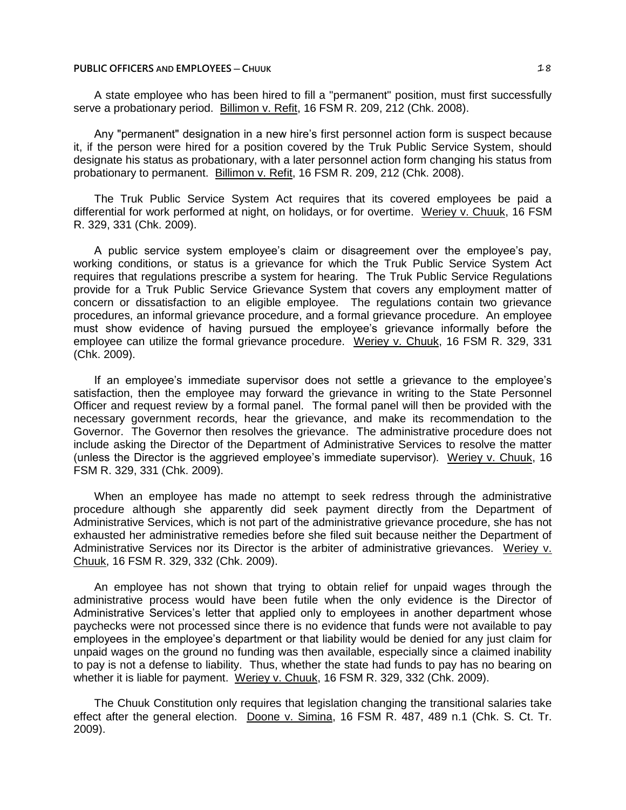A state employee who has been hired to fill a "permanent" position, must first successfully serve a probationary period. Billimon v. Refit, 16 FSM R. 209, 212 (Chk. 2008).

Any "permanent" designation in a new hire's first personnel action form is suspect because it, if the person were hired for a position covered by the Truk Public Service System, should designate his status as probationary, with a later personnel action form changing his status from probationary to permanent. Billimon v. Refit, 16 FSM R. 209, 212 (Chk. 2008).

The Truk Public Service System Act requires that its covered employees be paid a differential for work performed at night, on holidays, or for overtime. Weriey v. Chuuk, 16 FSM R. 329, 331 (Chk. 2009).

A public service system employee's claim or disagreement over the employee's pay, working conditions, or status is a grievance for which the Truk Public Service System Act requires that regulations prescribe a system for hearing. The Truk Public Service Regulations provide for a Truk Public Service Grievance System that covers any employment matter of concern or dissatisfaction to an eligible employee. The regulations contain two grievance procedures, an informal grievance procedure, and a formal grievance procedure. An employee must show evidence of having pursued the employee's grievance informally before the employee can utilize the formal grievance procedure. Weriey v. Chuuk, 16 FSM R. 329, 331 (Chk. 2009).

If an employee's immediate supervisor does not settle a grievance to the employee's satisfaction, then the employee may forward the grievance in writing to the State Personnel Officer and request review by a formal panel. The formal panel will then be provided with the necessary government records, hear the grievance, and make its recommendation to the Governor. The Governor then resolves the grievance. The administrative procedure does not include asking the Director of the Department of Administrative Services to resolve the matter (unless the Director is the aggrieved employee's immediate supervisor). Weriey v. Chuuk, 16 FSM R. 329, 331 (Chk. 2009).

When an employee has made no attempt to seek redress through the administrative procedure although she apparently did seek payment directly from the Department of Administrative Services, which is not part of the administrative grievance procedure, she has not exhausted her administrative remedies before she filed suit because neither the Department of Administrative Services nor its Director is the arbiter of administrative grievances. Weriey v. Chuuk, 16 FSM R. 329, 332 (Chk. 2009).

An employee has not shown that trying to obtain relief for unpaid wages through the administrative process would have been futile when the only evidence is the Director of Administrative Services's letter that applied only to employees in another department whose paychecks were not processed since there is no evidence that funds were not available to pay employees in the employee's department or that liability would be denied for any just claim for unpaid wages on the ground no funding was then available, especially since a claimed inability to pay is not a defense to liability. Thus, whether the state had funds to pay has no bearing on whether it is liable for payment. Weriey v. Chuuk, 16 FSM R. 329, 332 (Chk. 2009).

The Chuuk Constitution only requires that legislation changing the transitional salaries take effect after the general election. Doone v. Simina, 16 FSM R. 487, 489 n.1 (Chk. S. Ct. Tr. 2009).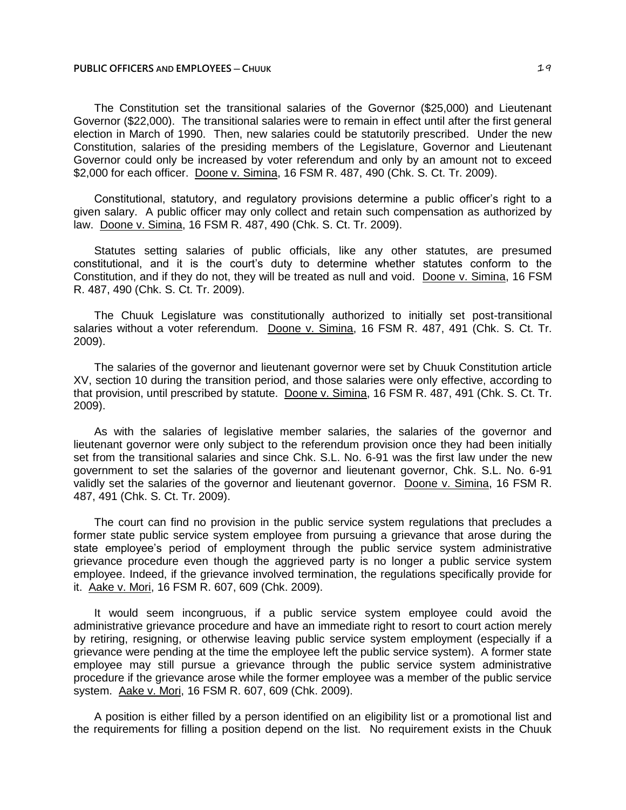The Constitution set the transitional salaries of the Governor (\$25,000) and Lieutenant Governor (\$22,000). The transitional salaries were to remain in effect until after the first general election in March of 1990. Then, new salaries could be statutorily prescribed. Under the new Constitution, salaries of the presiding members of the Legislature, Governor and Lieutenant Governor could only be increased by voter referendum and only by an amount not to exceed \$2,000 for each officer. Doone v. Simina, 16 FSM R. 487, 490 (Chk. S. Ct. Tr. 2009).

Constitutional, statutory, and regulatory provisions determine a public officer's right to a given salary. A public officer may only collect and retain such compensation as authorized by law. Doone v. Simina, 16 FSM R. 487, 490 (Chk. S. Ct. Tr. 2009).

Statutes setting salaries of public officials, like any other statutes, are presumed constitutional, and it is the court's duty to determine whether statutes conform to the Constitution, and if they do not, they will be treated as null and void. Doone v. Simina, 16 FSM R. 487, 490 (Chk. S. Ct. Tr. 2009).

The Chuuk Legislature was constitutionally authorized to initially set post-transitional salaries without a voter referendum. Doone v. Simina, 16 FSM R. 487, 491 (Chk. S. Ct. Tr. 2009).

The salaries of the governor and lieutenant governor were set by Chuuk Constitution article XV, section 10 during the transition period, and those salaries were only effective, according to that provision, until prescribed by statute. Doone v. Simina, 16 FSM R. 487, 491 (Chk. S. Ct. Tr. 2009).

As with the salaries of legislative member salaries, the salaries of the governor and lieutenant governor were only subject to the referendum provision once they had been initially set from the transitional salaries and since Chk. S.L. No. 6-91 was the first law under the new government to set the salaries of the governor and lieutenant governor, Chk. S.L. No. 6-91 validly set the salaries of the governor and lieutenant governor. Doone v. Simina, 16 FSM R. 487, 491 (Chk. S. Ct. Tr. 2009).

The court can find no provision in the public service system regulations that precludes a former state public service system employee from pursuing a grievance that arose during the state employee's period of employment through the public service system administrative grievance procedure even though the aggrieved party is no longer a public service system employee. Indeed, if the grievance involved termination, the regulations specifically provide for it. Aake v. Mori, 16 FSM R. 607, 609 (Chk. 2009).

It would seem incongruous, if a public service system employee could avoid the administrative grievance procedure and have an immediate right to resort to court action merely by retiring, resigning, or otherwise leaving public service system employment (especially if a grievance were pending at the time the employee left the public service system). A former state employee may still pursue a grievance through the public service system administrative procedure if the grievance arose while the former employee was a member of the public service system. Aake v. Mori, 16 FSM R. 607, 609 (Chk. 2009).

A position is either filled by a person identified on an eligibility list or a promotional list and the requirements for filling a position depend on the list. No requirement exists in the Chuuk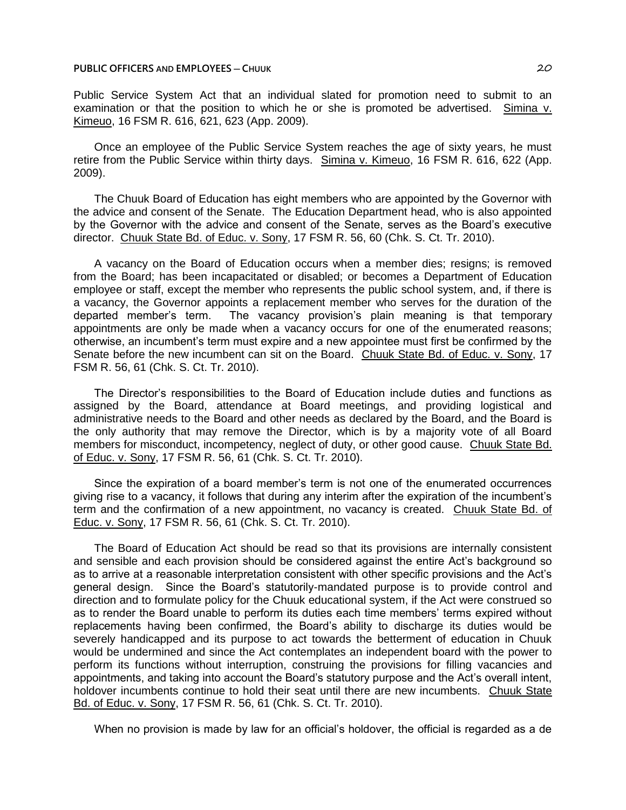Public Service System Act that an individual slated for promotion need to submit to an examination or that the position to which he or she is promoted be advertised. Simina v. Kimeuo, 16 FSM R. 616, 621, 623 (App. 2009).

Once an employee of the Public Service System reaches the age of sixty years, he must retire from the Public Service within thirty days. Simina v. Kimeuo, 16 FSM R. 616, 622 (App. 2009).

The Chuuk Board of Education has eight members who are appointed by the Governor with the advice and consent of the Senate. The Education Department head, who is also appointed by the Governor with the advice and consent of the Senate, serves as the Board's executive director. Chuuk State Bd. of Educ. v. Sony, 17 FSM R. 56, 60 (Chk. S. Ct. Tr. 2010).

A vacancy on the Board of Education occurs when a member dies; resigns; is removed from the Board; has been incapacitated or disabled; or becomes a Department of Education employee or staff, except the member who represents the public school system, and, if there is a vacancy, the Governor appoints a replacement member who serves for the duration of the departed member's term. The vacancy provision's plain meaning is that temporary appointments are only be made when a vacancy occurs for one of the enumerated reasons; otherwise, an incumbent's term must expire and a new appointee must first be confirmed by the Senate before the new incumbent can sit on the Board. Chuuk State Bd. of Educ. v. Sony, 17 FSM R. 56, 61 (Chk. S. Ct. Tr. 2010).

The Director's responsibilities to the Board of Education include duties and functions as assigned by the Board, attendance at Board meetings, and providing logistical and administrative needs to the Board and other needs as declared by the Board, and the Board is the only authority that may remove the Director, which is by a majority vote of all Board members for misconduct, incompetency, neglect of duty, or other good cause. Chuuk State Bd. of Educ. v. Sony, 17 FSM R. 56, 61 (Chk. S. Ct. Tr. 2010).

Since the expiration of a board member's term is not one of the enumerated occurrences giving rise to a vacancy, it follows that during any interim after the expiration of the incumbent's term and the confirmation of a new appointment, no vacancy is created. Chuuk State Bd. of Educ. v. Sony, 17 FSM R. 56, 61 (Chk. S. Ct. Tr. 2010).

The Board of Education Act should be read so that its provisions are internally consistent and sensible and each provision should be considered against the entire Act's background so as to arrive at a reasonable interpretation consistent with other specific provisions and the Act's general design. Since the Board's statutorily-mandated purpose is to provide control and direction and to formulate policy for the Chuuk educational system, if the Act were construed so as to render the Board unable to perform its duties each time members' terms expired without replacements having been confirmed, the Board's ability to discharge its duties would be severely handicapped and its purpose to act towards the betterment of education in Chuuk would be undermined and since the Act contemplates an independent board with the power to perform its functions without interruption, construing the provisions for filling vacancies and appointments, and taking into account the Board's statutory purpose and the Act's overall intent, holdover incumbents continue to hold their seat until there are new incumbents. Chuuk State Bd. of Educ. v. Sony, 17 FSM R. 56, 61 (Chk. S. Ct. Tr. 2010).

When no provision is made by law for an official's holdover, the official is regarded as a de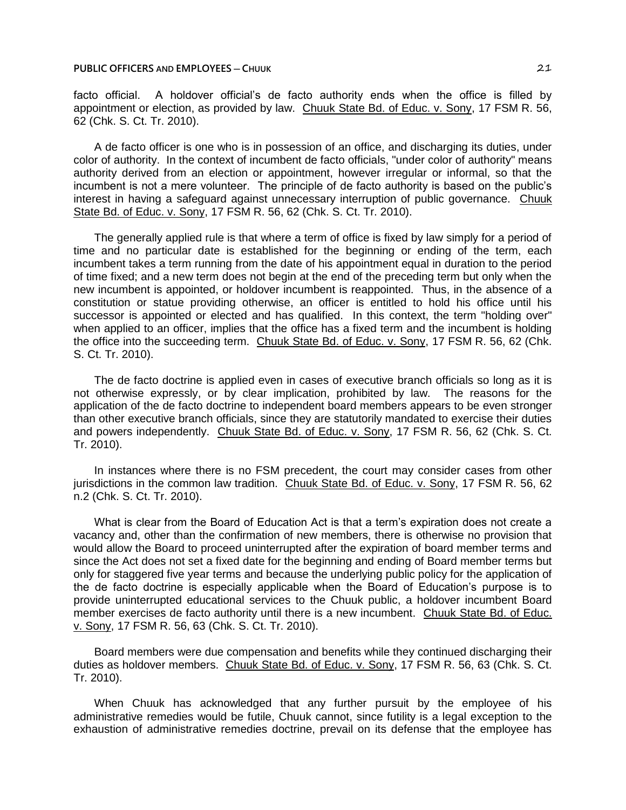facto official. A holdover official's de facto authority ends when the office is filled by appointment or election, as provided by law. Chuuk State Bd. of Educ. v. Sony, 17 FSM R. 56, 62 (Chk. S. Ct. Tr. 2010).

A de facto officer is one who is in possession of an office, and discharging its duties, under color of authority. In the context of incumbent de facto officials, "under color of authority" means authority derived from an election or appointment, however irregular or informal, so that the incumbent is not a mere volunteer. The principle of de facto authority is based on the public's interest in having a safeguard against unnecessary interruption of public governance. Chuuk State Bd. of Educ. v. Sony, 17 FSM R. 56, 62 (Chk. S. Ct. Tr. 2010).

The generally applied rule is that where a term of office is fixed by law simply for a period of time and no particular date is established for the beginning or ending of the term, each incumbent takes a term running from the date of his appointment equal in duration to the period of time fixed; and a new term does not begin at the end of the preceding term but only when the new incumbent is appointed, or holdover incumbent is reappointed. Thus, in the absence of a constitution or statue providing otherwise, an officer is entitled to hold his office until his successor is appointed or elected and has qualified. In this context, the term "holding over" when applied to an officer, implies that the office has a fixed term and the incumbent is holding the office into the succeeding term. Chuuk State Bd. of Educ. v. Sony, 17 FSM R. 56, 62 (Chk. S. Ct. Tr. 2010).

The de facto doctrine is applied even in cases of executive branch officials so long as it is not otherwise expressly, or by clear implication, prohibited by law. The reasons for the application of the de facto doctrine to independent board members appears to be even stronger than other executive branch officials, since they are statutorily mandated to exercise their duties and powers independently. Chuuk State Bd. of Educ. v. Sony, 17 FSM R. 56, 62 (Chk. S. Ct. Tr. 2010).

In instances where there is no FSM precedent, the court may consider cases from other jurisdictions in the common law tradition. Chuuk State Bd. of Educ. v. Sony, 17 FSM R. 56, 62 n.2 (Chk. S. Ct. Tr. 2010).

What is clear from the Board of Education Act is that a term's expiration does not create a vacancy and, other than the confirmation of new members, there is otherwise no provision that would allow the Board to proceed uninterrupted after the expiration of board member terms and since the Act does not set a fixed date for the beginning and ending of Board member terms but only for staggered five year terms and because the underlying public policy for the application of the de facto doctrine is especially applicable when the Board of Education's purpose is to provide uninterrupted educational services to the Chuuk public, a holdover incumbent Board member exercises de facto authority until there is a new incumbent. Chuuk State Bd. of Educ. v. Sony, 17 FSM R. 56, 63 (Chk. S. Ct. Tr. 2010).

Board members were due compensation and benefits while they continued discharging their duties as holdover members. Chuuk State Bd. of Educ. v. Sony, 17 FSM R. 56, 63 (Chk. S. Ct. Tr. 2010).

When Chuuk has acknowledged that any further pursuit by the employee of his administrative remedies would be futile, Chuuk cannot, since futility is a legal exception to the exhaustion of administrative remedies doctrine, prevail on its defense that the employee has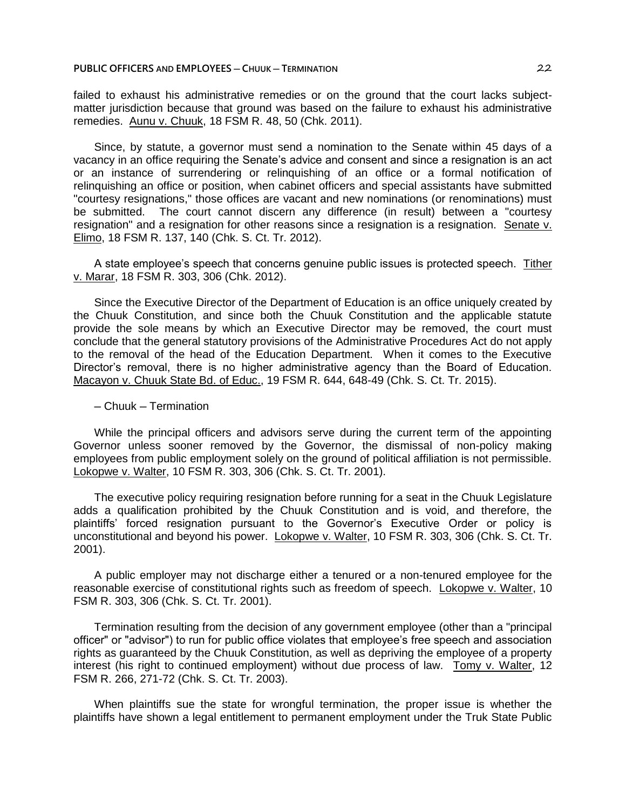failed to exhaust his administrative remedies or on the ground that the court lacks subjectmatter jurisdiction because that ground was based on the failure to exhaust his administrative remedies. Aunu v. Chuuk, 18 FSM R. 48, 50 (Chk. 2011).

Since, by statute, a governor must send a nomination to the Senate within 45 days of a vacancy in an office requiring the Senate's advice and consent and since a resignation is an act or an instance of surrendering or relinquishing of an office or a formal notification of relinquishing an office or position, when cabinet officers and special assistants have submitted "courtesy resignations," those offices are vacant and new nominations (or renominations) must be submitted. The court cannot discern any difference (in result) between a "courtesy resignation" and a resignation for other reasons since a resignation is a resignation. Senate v. Elimo, 18 FSM R. 137, 140 (Chk. S. Ct. Tr. 2012).

A state employee's speech that concerns genuine public issues is protected speech. Tither v. Marar, 18 FSM R. 303, 306 (Chk. 2012).

Since the Executive Director of the Department of Education is an office uniquely created by the Chuuk Constitution, and since both the Chuuk Constitution and the applicable statute provide the sole means by which an Executive Director may be removed, the court must conclude that the general statutory provisions of the Administrative Procedures Act do not apply to the removal of the head of the Education Department. When it comes to the Executive Director's removal, there is no higher administrative agency than the Board of Education. Macayon v. Chuuk State Bd. of Educ., 19 FSM R. 644, 648-49 (Chk. S. Ct. Tr. 2015).

─ Chuuk ─ Termination

While the principal officers and advisors serve during the current term of the appointing Governor unless sooner removed by the Governor, the dismissal of non-policy making employees from public employment solely on the ground of political affiliation is not permissible. Lokopwe v. Walter, 10 FSM R. 303, 306 (Chk. S. Ct. Tr. 2001).

The executive policy requiring resignation before running for a seat in the Chuuk Legislature adds a qualification prohibited by the Chuuk Constitution and is void, and therefore, the plaintiffs' forced resignation pursuant to the Governor's Executive Order or policy is unconstitutional and beyond his power. Lokopwe v. Walter, 10 FSM R. 303, 306 (Chk. S. Ct. Tr. 2001).

A public employer may not discharge either a tenured or a non-tenured employee for the reasonable exercise of constitutional rights such as freedom of speech. Lokopwe v. Walter, 10 FSM R. 303, 306 (Chk. S. Ct. Tr. 2001).

Termination resulting from the decision of any government employee (other than a "principal officer" or "advisor") to run for public office violates that employee's free speech and association rights as guaranteed by the Chuuk Constitution, as well as depriving the employee of a property interest (his right to continued employment) without due process of law. Tomy v. Walter, 12 FSM R. 266, 271-72 (Chk. S. Ct. Tr. 2003).

When plaintiffs sue the state for wrongful termination, the proper issue is whether the plaintiffs have shown a legal entitlement to permanent employment under the Truk State Public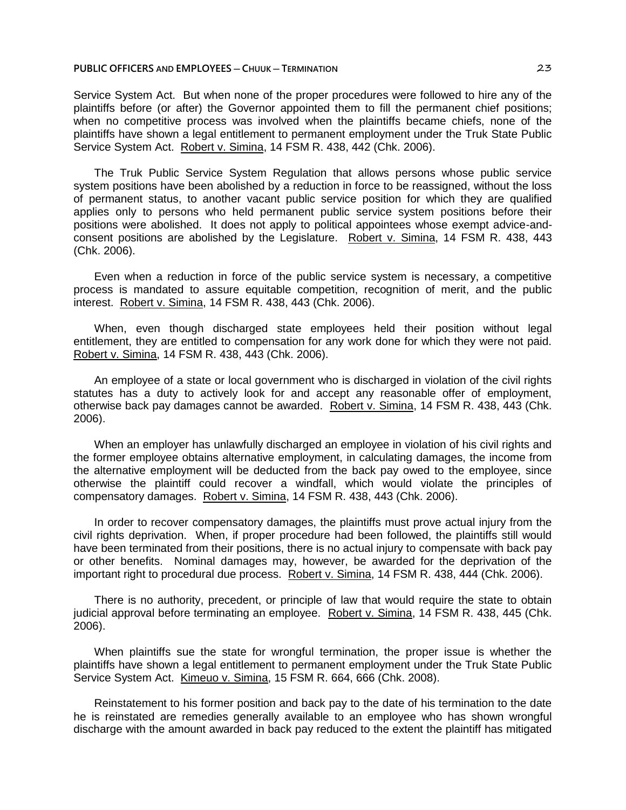Service System Act. But when none of the proper procedures were followed to hire any of the plaintiffs before (or after) the Governor appointed them to fill the permanent chief positions; when no competitive process was involved when the plaintiffs became chiefs, none of the plaintiffs have shown a legal entitlement to permanent employment under the Truk State Public Service System Act. Robert v. Simina, 14 FSM R. 438, 442 (Chk. 2006).

The Truk Public Service System Regulation that allows persons whose public service system positions have been abolished by a reduction in force to be reassigned, without the loss of permanent status, to another vacant public service position for which they are qualified applies only to persons who held permanent public service system positions before their positions were abolished. It does not apply to political appointees whose exempt advice-andconsent positions are abolished by the Legislature. Robert v. Simina, 14 FSM R. 438, 443 (Chk. 2006).

Even when a reduction in force of the public service system is necessary, a competitive process is mandated to assure equitable competition, recognition of merit, and the public interest. Robert v. Simina, 14 FSM R. 438, 443 (Chk. 2006).

When, even though discharged state employees held their position without legal entitlement, they are entitled to compensation for any work done for which they were not paid. Robert v. Simina, 14 FSM R. 438, 443 (Chk. 2006).

An employee of a state or local government who is discharged in violation of the civil rights statutes has a duty to actively look for and accept any reasonable offer of employment, otherwise back pay damages cannot be awarded. Robert v. Simina, 14 FSM R. 438, 443 (Chk. 2006).

When an employer has unlawfully discharged an employee in violation of his civil rights and the former employee obtains alternative employment, in calculating damages, the income from the alternative employment will be deducted from the back pay owed to the employee, since otherwise the plaintiff could recover a windfall, which would violate the principles of compensatory damages. Robert v. Simina, 14 FSM R. 438, 443 (Chk. 2006).

In order to recover compensatory damages, the plaintiffs must prove actual injury from the civil rights deprivation. When, if proper procedure had been followed, the plaintiffs still would have been terminated from their positions, there is no actual injury to compensate with back pay or other benefits. Nominal damages may, however, be awarded for the deprivation of the important right to procedural due process. Robert v. Simina, 14 FSM R. 438, 444 (Chk. 2006).

There is no authority, precedent, or principle of law that would require the state to obtain judicial approval before terminating an employee. Robert v. Simina, 14 FSM R. 438, 445 (Chk. 2006).

When plaintiffs sue the state for wrongful termination, the proper issue is whether the plaintiffs have shown a legal entitlement to permanent employment under the Truk State Public Service System Act. Kimeuo v. Simina, 15 FSM R. 664, 666 (Chk. 2008).

Reinstatement to his former position and back pay to the date of his termination to the date he is reinstated are remedies generally available to an employee who has shown wrongful discharge with the amount awarded in back pay reduced to the extent the plaintiff has mitigated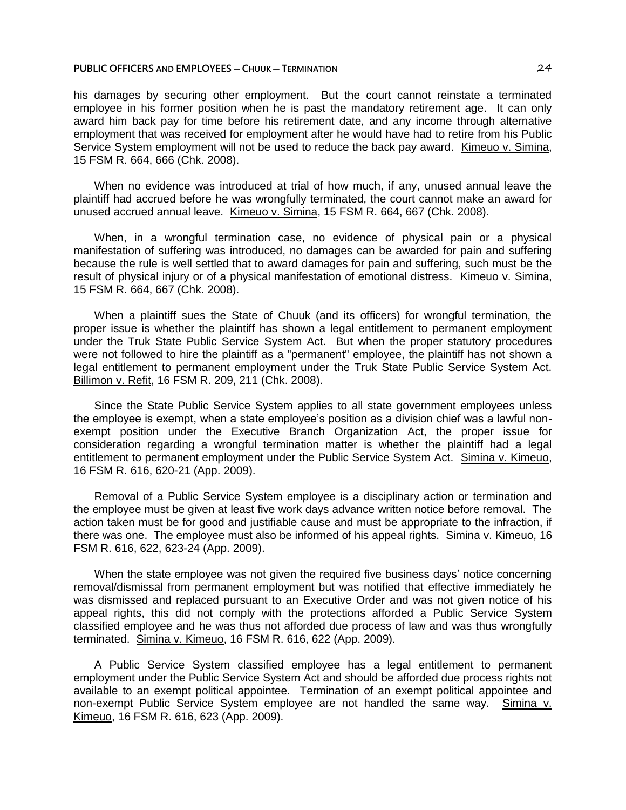his damages by securing other employment. But the court cannot reinstate a terminated employee in his former position when he is past the mandatory retirement age. It can only award him back pay for time before his retirement date, and any income through alternative employment that was received for employment after he would have had to retire from his Public Service System employment will not be used to reduce the back pay award. Kimeuo v. Simina, 15 FSM R. 664, 666 (Chk. 2008).

When no evidence was introduced at trial of how much, if any, unused annual leave the plaintiff had accrued before he was wrongfully terminated, the court cannot make an award for unused accrued annual leave. Kimeuo v. Simina, 15 FSM R. 664, 667 (Chk. 2008).

When, in a wrongful termination case, no evidence of physical pain or a physical manifestation of suffering was introduced, no damages can be awarded for pain and suffering because the rule is well settled that to award damages for pain and suffering, such must be the result of physical injury or of a physical manifestation of emotional distress. Kimeuo v. Simina, 15 FSM R. 664, 667 (Chk. 2008).

When a plaintiff sues the State of Chuuk (and its officers) for wrongful termination, the proper issue is whether the plaintiff has shown a legal entitlement to permanent employment under the Truk State Public Service System Act. But when the proper statutory procedures were not followed to hire the plaintiff as a "permanent" employee, the plaintiff has not shown a legal entitlement to permanent employment under the Truk State Public Service System Act. Billimon v. Refit, 16 FSM R. 209, 211 (Chk. 2008).

Since the State Public Service System applies to all state government employees unless the employee is exempt, when a state employee's position as a division chief was a lawful nonexempt position under the Executive Branch Organization Act, the proper issue for consideration regarding a wrongful termination matter is whether the plaintiff had a legal entitlement to permanent employment under the Public Service System Act. Simina v. Kimeuo, 16 FSM R. 616, 620-21 (App. 2009).

Removal of a Public Service System employee is a disciplinary action or termination and the employee must be given at least five work days advance written notice before removal. The action taken must be for good and justifiable cause and must be appropriate to the infraction, if there was one. The employee must also be informed of his appeal rights. Simina v. Kimeuo, 16 FSM R. 616, 622, 623-24 (App. 2009).

When the state employee was not given the required five business days' notice concerning removal/dismissal from permanent employment but was notified that effective immediately he was dismissed and replaced pursuant to an Executive Order and was not given notice of his appeal rights, this did not comply with the protections afforded a Public Service System classified employee and he was thus not afforded due process of law and was thus wrongfully terminated. Simina v. Kimeuo, 16 FSM R. 616, 622 (App. 2009).

A Public Service System classified employee has a legal entitlement to permanent employment under the Public Service System Act and should be afforded due process rights not available to an exempt political appointee. Termination of an exempt political appointee and non-exempt Public Service System employee are not handled the same way. Simina v. Kimeuo, 16 FSM R. 616, 623 (App. 2009).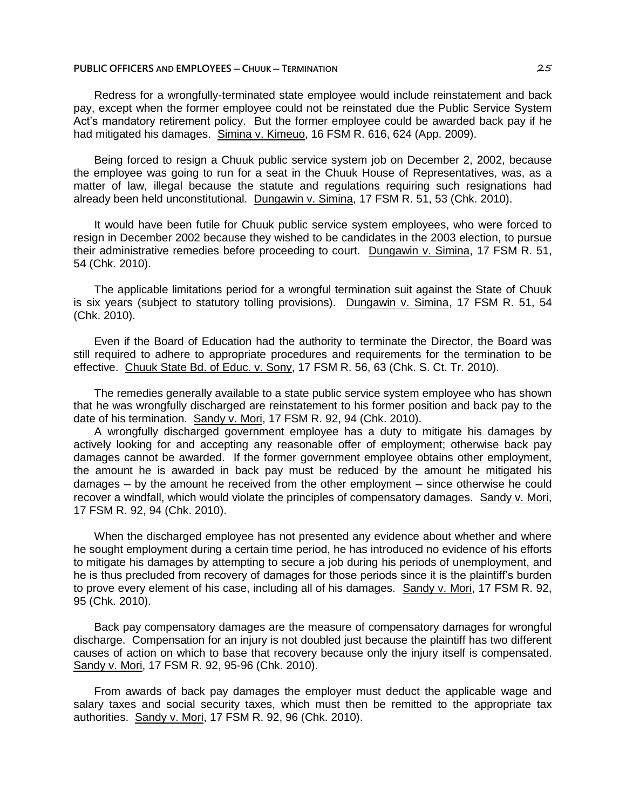Redress for a wrongfully-terminated state employee would include reinstatement and back pay, except when the former employee could not be reinstated due the Public Service System Act's mandatory retirement policy. But the former employee could be awarded back pay if he had mitigated his damages. Simina v. Kimeuo, 16 FSM R. 616, 624 (App. 2009).

Being forced to resign a Chuuk public service system job on December 2, 2002, because the employee was going to run for a seat in the Chuuk House of Representatives, was, as a matter of law, illegal because the statute and regulations requiring such resignations had already been held unconstitutional. Dungawin v. Simina, 17 FSM R. 51, 53 (Chk. 2010).

It would have been futile for Chuuk public service system employees, who were forced to resign in December 2002 because they wished to be candidates in the 2003 election, to pursue their administrative remedies before proceeding to court. Dungawin v. Simina, 17 FSM R. 51, 54 (Chk. 2010).

The applicable limitations period for a wrongful termination suit against the State of Chuuk is six years (subject to statutory tolling provisions). Dungawin v. Simina, 17 FSM R. 51, 54 (Chk. 2010).

Even if the Board of Education had the authority to terminate the Director, the Board was still required to adhere to appropriate procedures and requirements for the termination to be effective. Chuuk State Bd. of Educ. v. Sony, 17 FSM R. 56, 63 (Chk. S. Ct. Tr. 2010).

The remedies generally available to a state public service system employee who has shown that he was wrongfully discharged are reinstatement to his former position and back pay to the date of his termination. Sandy v. Mori, 17 FSM R. 92, 94 (Chk. 2010).

A wrongfully discharged government employee has a duty to mitigate his damages by actively looking for and accepting any reasonable offer of employment; otherwise back pay damages cannot be awarded. If the former government employee obtains other employment, the amount he is awarded in back pay must be reduced by the amount he mitigated his damages – by the amount he received from the other employment – since otherwise he could recover a windfall, which would violate the principles of compensatory damages. Sandy v. Mori, 17 FSM R. 92, 94 (Chk. 2010).

When the discharged employee has not presented any evidence about whether and where he sought employment during a certain time period, he has introduced no evidence of his efforts to mitigate his damages by attempting to secure a job during his periods of unemployment, and he is thus precluded from recovery of damages for those periods since it is the plaintiff's burden to prove every element of his case, including all of his damages. Sandy v. Mori, 17 FSM R. 92, 95 (Chk. 2010).

Back pay compensatory damages are the measure of compensatory damages for wrongful discharge. Compensation for an injury is not doubled just because the plaintiff has two different causes of action on which to base that recovery because only the injury itself is compensated. Sandy v. Mori, 17 FSM R. 92, 95-96 (Chk. 2010).

From awards of back pay damages the employer must deduct the applicable wage and salary taxes and social security taxes, which must then be remitted to the appropriate tax authorities. Sandy v. Mori, 17 FSM R. 92, 96 (Chk. 2010).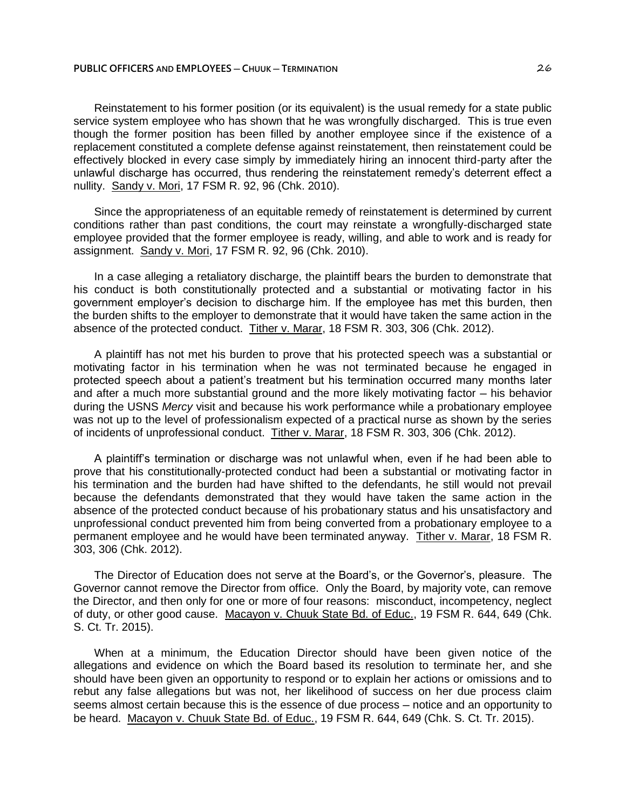Reinstatement to his former position (or its equivalent) is the usual remedy for a state public service system employee who has shown that he was wrongfully discharged. This is true even though the former position has been filled by another employee since if the existence of a replacement constituted a complete defense against reinstatement, then reinstatement could be effectively blocked in every case simply by immediately hiring an innocent third-party after the unlawful discharge has occurred, thus rendering the reinstatement remedy's deterrent effect a nullity. Sandy v. Mori, 17 FSM R. 92, 96 (Chk. 2010).

Since the appropriateness of an equitable remedy of reinstatement is determined by current conditions rather than past conditions, the court may reinstate a wrongfully-discharged state employee provided that the former employee is ready, willing, and able to work and is ready for assignment. Sandy v. Mori, 17 FSM R. 92, 96 (Chk. 2010).

In a case alleging a retaliatory discharge, the plaintiff bears the burden to demonstrate that his conduct is both constitutionally protected and a substantial or motivating factor in his government employer's decision to discharge him. If the employee has met this burden, then the burden shifts to the employer to demonstrate that it would have taken the same action in the absence of the protected conduct. Tither v. Marar, 18 FSM R. 303, 306 (Chk. 2012).

A plaintiff has not met his burden to prove that his protected speech was a substantial or motivating factor in his termination when he was not terminated because he engaged in protected speech about a patient's treatment but his termination occurred many months later and after a much more substantial ground and the more likely motivating factor — his behavior during the USNS *Mercy* visit and because his work performance while a probationary employee was not up to the level of professionalism expected of a practical nurse as shown by the series of incidents of unprofessional conduct. Tither v. Marar, 18 FSM R. 303, 306 (Chk. 2012).

A plaintiff's termination or discharge was not unlawful when, even if he had been able to prove that his constitutionally-protected conduct had been a substantial or motivating factor in his termination and the burden had have shifted to the defendants, he still would not prevail because the defendants demonstrated that they would have taken the same action in the absence of the protected conduct because of his probationary status and his unsatisfactory and unprofessional conduct prevented him from being converted from a probationary employee to a permanent employee and he would have been terminated anyway. Tither v. Marar, 18 FSM R. 303, 306 (Chk. 2012).

The Director of Education does not serve at the Board's, or the Governor's, pleasure. The Governor cannot remove the Director from office. Only the Board, by majority vote, can remove the Director, and then only for one or more of four reasons: misconduct, incompetency, neglect of duty, or other good cause. Macayon v. Chuuk State Bd. of Educ., 19 FSM R. 644, 649 (Chk. S. Ct. Tr. 2015).

When at a minimum, the Education Director should have been given notice of the allegations and evidence on which the Board based its resolution to terminate her, and she should have been given an opportunity to respond or to explain her actions or omissions and to rebut any false allegations but was not, her likelihood of success on her due process claim seems almost certain because this is the essence of due process — notice and an opportunity to be heard. Macayon v. Chuuk State Bd. of Educ., 19 FSM R. 644, 649 (Chk. S. Ct. Tr. 2015).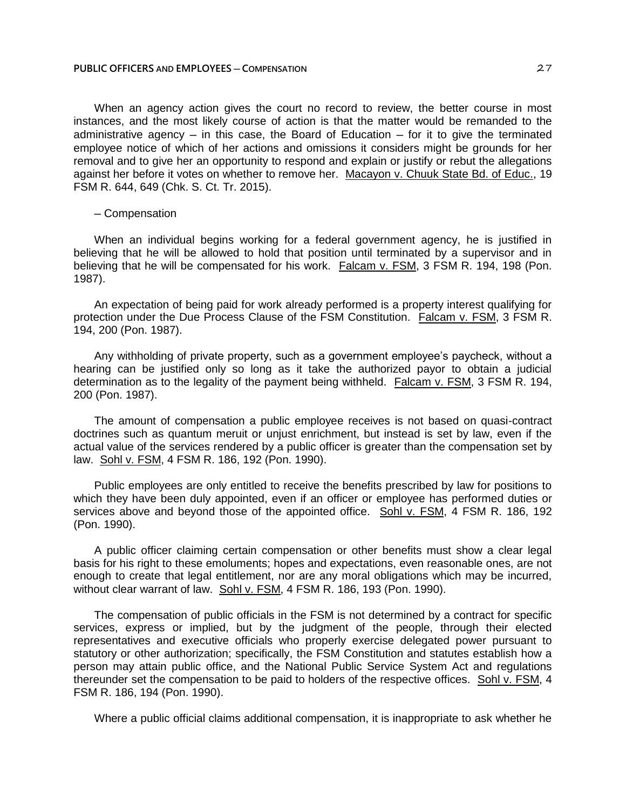### **PUBLIC OFFICERS AND EMPLOYEES ─ COMPENSATION** 27

When an agency action gives the court no record to review, the better course in most instances, and the most likely course of action is that the matter would be remanded to the administrative agency  $-$  in this case, the Board of Education  $-$  for it to give the terminated employee notice of which of her actions and omissions it considers might be grounds for her removal and to give her an opportunity to respond and explain or justify or rebut the allegations against her before it votes on whether to remove her. Macayon v. Chuuk State Bd. of Educ., 19 FSM R. 644, 649 (Chk. S. Ct. Tr. 2015).

## ─ Compensation

When an individual begins working for a federal government agency, he is justified in believing that he will be allowed to hold that position until terminated by a supervisor and in believing that he will be compensated for his work. Falcam v. FSM, 3 FSM R. 194, 198 (Pon. 1987).

An expectation of being paid for work already performed is a property interest qualifying for protection under the Due Process Clause of the FSM Constitution. Falcam v. FSM, 3 FSM R. 194, 200 (Pon. 1987).

Any withholding of private property, such as a government employee's paycheck, without a hearing can be justified only so long as it take the authorized payor to obtain a judicial determination as to the legality of the payment being withheld. Falcam v. FSM, 3 FSM R. 194, 200 (Pon. 1987).

The amount of compensation a public employee receives is not based on quasi-contract doctrines such as quantum meruit or unjust enrichment, but instead is set by law, even if the actual value of the services rendered by a public officer is greater than the compensation set by law. Sohl v. FSM, 4 FSM R. 186, 192 (Pon. 1990).

Public employees are only entitled to receive the benefits prescribed by law for positions to which they have been duly appointed, even if an officer or employee has performed duties or services above and beyond those of the appointed office. Sohl v. FSM, 4 FSM R. 186, 192 (Pon. 1990).

A public officer claiming certain compensation or other benefits must show a clear legal basis for his right to these emoluments; hopes and expectations, even reasonable ones, are not enough to create that legal entitlement, nor are any moral obligations which may be incurred, without clear warrant of law. Sohl v. FSM, 4 FSM R. 186, 193 (Pon. 1990).

The compensation of public officials in the FSM is not determined by a contract for specific services, express or implied, but by the judgment of the people, through their elected representatives and executive officials who properly exercise delegated power pursuant to statutory or other authorization; specifically, the FSM Constitution and statutes establish how a person may attain public office, and the National Public Service System Act and regulations thereunder set the compensation to be paid to holders of the respective offices. Sohl v. FSM, 4 FSM R. 186, 194 (Pon. 1990).

Where a public official claims additional compensation, it is inappropriate to ask whether he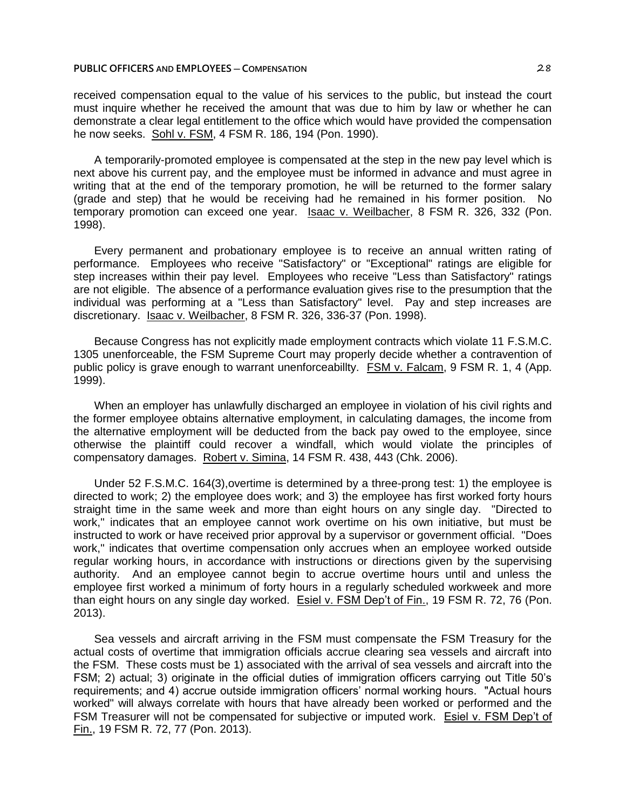### **PUBLIC OFFICERS AND EMPLOYEES ─ COMPENSATION** 28

received compensation equal to the value of his services to the public, but instead the court must inquire whether he received the amount that was due to him by law or whether he can demonstrate a clear legal entitlement to the office which would have provided the compensation he now seeks. Sohl v. FSM, 4 FSM R. 186, 194 (Pon. 1990).

A temporarily-promoted employee is compensated at the step in the new pay level which is next above his current pay, and the employee must be informed in advance and must agree in writing that at the end of the temporary promotion, he will be returned to the former salary (grade and step) that he would be receiving had he remained in his former position. No temporary promotion can exceed one year. Isaac v. Weilbacher, 8 FSM R. 326, 332 (Pon. 1998).

Every permanent and probationary employee is to receive an annual written rating of performance. Employees who receive "Satisfactory" or "Exceptional" ratings are eligible for step increases within their pay level. Employees who receive "Less than Satisfactory" ratings are not eligible. The absence of a performance evaluation gives rise to the presumption that the individual was performing at a "Less than Satisfactory" level. Pay and step increases are discretionary. Isaac v. Weilbacher, 8 FSM R. 326, 336-37 (Pon. 1998).

Because Congress has not explicitly made employment contracts which violate 11 F.S.M.C. 1305 unenforceable, the FSM Supreme Court may properly decide whether a contravention of public policy is grave enough to warrant unenforceabillty. FSM v. Falcam, 9 FSM R. 1, 4 (App. 1999).

When an employer has unlawfully discharged an employee in violation of his civil rights and the former employee obtains alternative employment, in calculating damages, the income from the alternative employment will be deducted from the back pay owed to the employee, since otherwise the plaintiff could recover a windfall, which would violate the principles of compensatory damages. Robert v. Simina, 14 FSM R. 438, 443 (Chk. 2006).

Under 52 F.S.M.C. 164(3),overtime is determined by a three-prong test: 1) the employee is directed to work; 2) the employee does work; and 3) the employee has first worked forty hours straight time in the same week and more than eight hours on any single day. "Directed to work," indicates that an employee cannot work overtime on his own initiative, but must be instructed to work or have received prior approval by a supervisor or government official. "Does work," indicates that overtime compensation only accrues when an employee worked outside regular working hours, in accordance with instructions or directions given by the supervising authority. And an employee cannot begin to accrue overtime hours until and unless the employee first worked a minimum of forty hours in a regularly scheduled workweek and more than eight hours on any single day worked. Esiel v. FSM Dep't of Fin., 19 FSM R. 72, 76 (Pon. 2013).

Sea vessels and aircraft arriving in the FSM must compensate the FSM Treasury for the actual costs of overtime that immigration officials accrue clearing sea vessels and aircraft into the FSM. These costs must be 1) associated with the arrival of sea vessels and aircraft into the FSM; 2) actual; 3) originate in the official duties of immigration officers carrying out Title 50's requirements; and 4) accrue outside immigration officers' normal working hours. "Actual hours worked" will always correlate with hours that have already been worked or performed and the FSM Treasurer will not be compensated for subjective or imputed work. Esiel v. FSM Dep't of Fin., 19 FSM R. 72, 77 (Pon. 2013).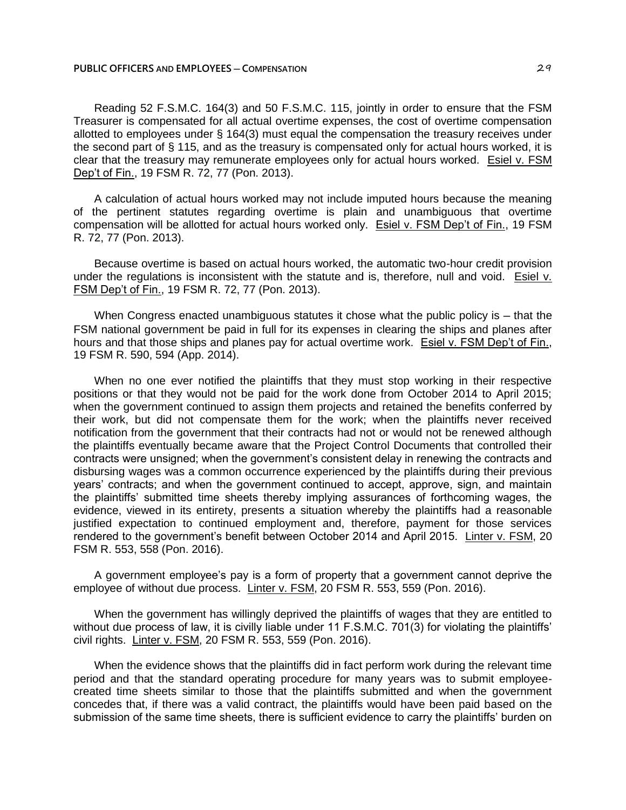Reading 52 F.S.M.C. 164(3) and 50 F.S.M.C. 115, jointly in order to ensure that the FSM Treasurer is compensated for all actual overtime expenses, the cost of overtime compensation allotted to employees under § 164(3) must equal the compensation the treasury receives under the second part of § 115, and as the treasury is compensated only for actual hours worked, it is clear that the treasury may remunerate employees only for actual hours worked. Esiel v. FSM Dep't of Fin., 19 FSM R. 72, 77 (Pon. 2013).

A calculation of actual hours worked may not include imputed hours because the meaning of the pertinent statutes regarding overtime is plain and unambiguous that overtime compensation will be allotted for actual hours worked only. Esiel v. FSM Dep't of Fin., 19 FSM R. 72, 77 (Pon. 2013).

Because overtime is based on actual hours worked, the automatic two-hour credit provision under the regulations is inconsistent with the statute and is, therefore, null and void. Esiel v. FSM Dep't of Fin., 19 FSM R. 72, 77 (Pon. 2013).

When Congress enacted unambiguous statutes it chose what the public policy is  $-$  that the FSM national government be paid in full for its expenses in clearing the ships and planes after hours and that those ships and planes pay for actual overtime work. Esiel v. FSM Dep't of Fin., 19 FSM R. 590, 594 (App. 2014).

When no one ever notified the plaintiffs that they must stop working in their respective positions or that they would not be paid for the work done from October 2014 to April 2015; when the government continued to assign them projects and retained the benefits conferred by their work, but did not compensate them for the work; when the plaintiffs never received notification from the government that their contracts had not or would not be renewed although the plaintiffs eventually became aware that the Project Control Documents that controlled their contracts were unsigned; when the government's consistent delay in renewing the contracts and disbursing wages was a common occurrence experienced by the plaintiffs during their previous years' contracts; and when the government continued to accept, approve, sign, and maintain the plaintiffs' submitted time sheets thereby implying assurances of forthcoming wages, the evidence, viewed in its entirety, presents a situation whereby the plaintiffs had a reasonable justified expectation to continued employment and, therefore, payment for those services rendered to the government's benefit between October 2014 and April 2015. Linter v. FSM, 20 FSM R. 553, 558 (Pon. 2016).

A government employee's pay is a form of property that a government cannot deprive the employee of without due process. Linter v. FSM, 20 FSM R. 553, 559 (Pon. 2016).

When the government has willingly deprived the plaintiffs of wages that they are entitled to without due process of law, it is civilly liable under 11 F.S.M.C. 701(3) for violating the plaintiffs' civil rights. Linter v. FSM, 20 FSM R. 553, 559 (Pon. 2016).

When the evidence shows that the plaintiffs did in fact perform work during the relevant time period and that the standard operating procedure for many years was to submit employeecreated time sheets similar to those that the plaintiffs submitted and when the government concedes that, if there was a valid contract, the plaintiffs would have been paid based on the submission of the same time sheets, there is sufficient evidence to carry the plaintiffs' burden on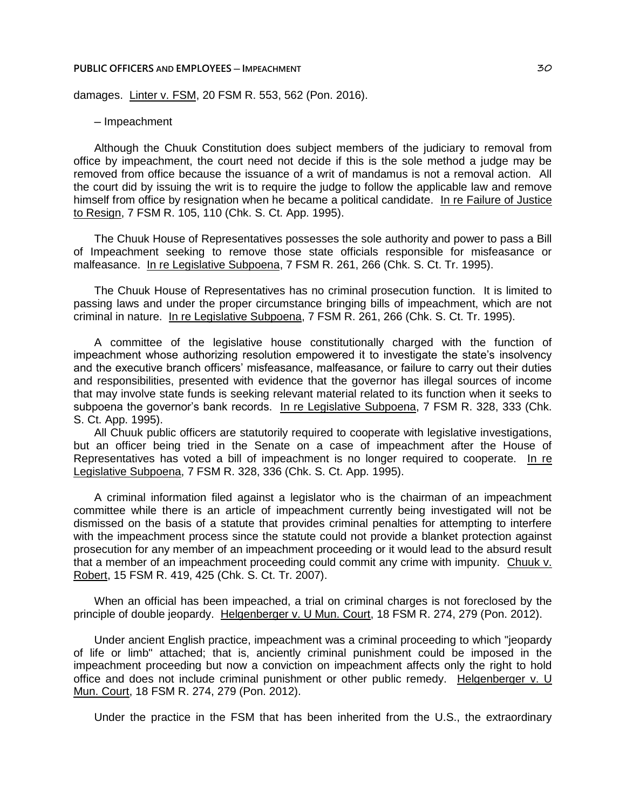### **PUBLIC OFFICERS AND EMPLOYEES ─ IMPEACHMENT** 30

damages. Linter v. FSM, 20 FSM R. 553, 562 (Pon. 2016).

### ─ Impeachment

Although the Chuuk Constitution does subject members of the judiciary to removal from office by impeachment, the court need not decide if this is the sole method a judge may be removed from office because the issuance of a writ of mandamus is not a removal action. All the court did by issuing the writ is to require the judge to follow the applicable law and remove himself from office by resignation when he became a political candidate. In re Failure of Justice to Resign, 7 FSM R. 105, 110 (Chk. S. Ct. App. 1995).

The Chuuk House of Representatives possesses the sole authority and power to pass a Bill of Impeachment seeking to remove those state officials responsible for misfeasance or malfeasance. In re Legislative Subpoena, 7 FSM R. 261, 266 (Chk. S. Ct. Tr. 1995).

The Chuuk House of Representatives has no criminal prosecution function. It is limited to passing laws and under the proper circumstance bringing bills of impeachment, which are not criminal in nature. In re Legislative Subpoena, 7 FSM R. 261, 266 (Chk. S. Ct. Tr. 1995).

A committee of the legislative house constitutionally charged with the function of impeachment whose authorizing resolution empowered it to investigate the state's insolvency and the executive branch officers' misfeasance, malfeasance, or failure to carry out their duties and responsibilities, presented with evidence that the governor has illegal sources of income that may involve state funds is seeking relevant material related to its function when it seeks to subpoena the governor's bank records. In re Legislative Subpoena, 7 FSM R. 328, 333 (Chk. S. Ct. App. 1995).

All Chuuk public officers are statutorily required to cooperate with legislative investigations, but an officer being tried in the Senate on a case of impeachment after the House of Representatives has voted a bill of impeachment is no longer required to cooperate. In re Legislative Subpoena, 7 FSM R. 328, 336 (Chk. S. Ct. App. 1995).

A criminal information filed against a legislator who is the chairman of an impeachment committee while there is an article of impeachment currently being investigated will not be dismissed on the basis of a statute that provides criminal penalties for attempting to interfere with the impeachment process since the statute could not provide a blanket protection against prosecution for any member of an impeachment proceeding or it would lead to the absurd result that a member of an impeachment proceeding could commit any crime with impunity. Chuuk v. Robert, 15 FSM R. 419, 425 (Chk. S. Ct. Tr. 2007).

When an official has been impeached, a trial on criminal charges is not foreclosed by the principle of double jeopardy. Helgenberger v. U Mun. Court, 18 FSM R. 274, 279 (Pon. 2012).

Under ancient English practice, impeachment was a criminal proceeding to which "jeopardy of life or limb" attached; that is, anciently criminal punishment could be imposed in the impeachment proceeding but now a conviction on impeachment affects only the right to hold office and does not include criminal punishment or other public remedy. Helgenberger v. U Mun. Court, 18 FSM R. 274, 279 (Pon. 2012).

Under the practice in the FSM that has been inherited from the U.S., the extraordinary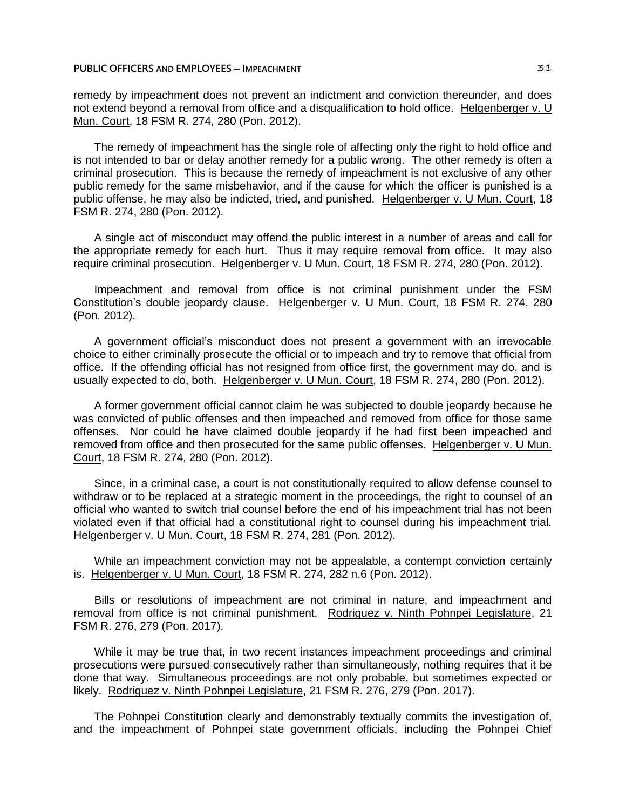### **PUBLIC OFFICERS AND EMPLOYEES ─ IMPEACHMENT** 31

remedy by impeachment does not prevent an indictment and conviction thereunder, and does not extend beyond a removal from office and a disqualification to hold office. Helgenberger v. U Mun. Court, 18 FSM R. 274, 280 (Pon. 2012).

The remedy of impeachment has the single role of affecting only the right to hold office and is not intended to bar or delay another remedy for a public wrong. The other remedy is often a criminal prosecution. This is because the remedy of impeachment is not exclusive of any other public remedy for the same misbehavior, and if the cause for which the officer is punished is a public offense, he may also be indicted, tried, and punished. Helgenberger v. U Mun. Court, 18 FSM R. 274, 280 (Pon. 2012).

A single act of misconduct may offend the public interest in a number of areas and call for the appropriate remedy for each hurt. Thus it may require removal from office. It may also require criminal prosecution. Helgenberger v. U Mun. Court, 18 FSM R. 274, 280 (Pon. 2012).

Impeachment and removal from office is not criminal punishment under the FSM Constitution's double jeopardy clause. Helgenberger v. U Mun. Court, 18 FSM R. 274, 280 (Pon. 2012).

A government official's misconduct does not present a government with an irrevocable choice to either criminally prosecute the official or to impeach and try to remove that official from office. If the offending official has not resigned from office first, the government may do, and is usually expected to do, both. Helgenberger v. U Mun. Court, 18 FSM R. 274, 280 (Pon. 2012).

A former government official cannot claim he was subjected to double jeopardy because he was convicted of public offenses and then impeached and removed from office for those same offenses. Nor could he have claimed double jeopardy if he had first been impeached and removed from office and then prosecuted for the same public offenses. Helgenberger v. U Mun. Court, 18 FSM R. 274, 280 (Pon. 2012).

Since, in a criminal case, a court is not constitutionally required to allow defense counsel to withdraw or to be replaced at a strategic moment in the proceedings, the right to counsel of an official who wanted to switch trial counsel before the end of his impeachment trial has not been violated even if that official had a constitutional right to counsel during his impeachment trial. Helgenberger v. U Mun. Court, 18 FSM R. 274, 281 (Pon. 2012).

While an impeachment conviction may not be appealable, a contempt conviction certainly is. Helgenberger v. U Mun. Court, 18 FSM R. 274, 282 n.6 (Pon. 2012).

Bills or resolutions of impeachment are not criminal in nature, and impeachment and removal from office is not criminal punishment. Rodriguez v. Ninth Pohnpei Legislature, 21 FSM R. 276, 279 (Pon. 2017).

While it may be true that, in two recent instances impeachment proceedings and criminal prosecutions were pursued consecutively rather than simultaneously, nothing requires that it be done that way. Simultaneous proceedings are not only probable, but sometimes expected or likely. Rodriguez v. Ninth Pohnpei Legislature, 21 FSM R. 276, 279 (Pon. 2017).

The Pohnpei Constitution clearly and demonstrably textually commits the investigation of, and the impeachment of Pohnpei state government officials, including the Pohnpei Chief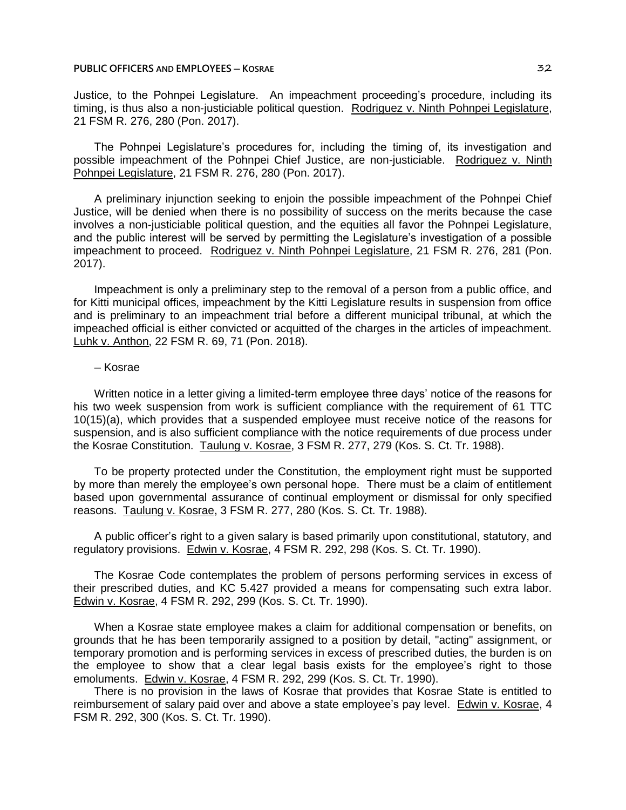Justice, to the Pohnpei Legislature. An impeachment proceeding's procedure, including its timing, is thus also a non-justiciable political question. Rodriguez v. Ninth Pohnpei Legislature, 21 FSM R. 276, 280 (Pon. 2017).

The Pohnpei Legislature's procedures for, including the timing of, its investigation and possible impeachment of the Pohnpei Chief Justice, are non-justiciable. Rodriguez v. Ninth Pohnpei Legislature, 21 FSM R. 276, 280 (Pon. 2017).

A preliminary injunction seeking to enjoin the possible impeachment of the Pohnpei Chief Justice, will be denied when there is no possibility of success on the merits because the case involves a non-justiciable political question, and the equities all favor the Pohnpei Legislature, and the public interest will be served by permitting the Legislature's investigation of a possible impeachment to proceed. Rodriguez v. Ninth Pohnpei Legislature, 21 FSM R. 276, 281 (Pon. 2017).

Impeachment is only a preliminary step to the removal of a person from a public office, and for Kitti municipal offices, impeachment by the Kitti Legislature results in suspension from office and is preliminary to an impeachment trial before a different municipal tribunal, at which the impeached official is either convicted or acquitted of the charges in the articles of impeachment. Luhk v. Anthon, 22 FSM R. 69, 71 (Pon. 2018).

### ─ Kosrae

Written notice in a letter giving a limited-term employee three days' notice of the reasons for his two week suspension from work is sufficient compliance with the requirement of 61 TTC 10(15)(a), which provides that a suspended employee must receive notice of the reasons for suspension, and is also sufficient compliance with the notice requirements of due process under the Kosrae Constitution. Taulung v. Kosrae, 3 FSM R. 277, 279 (Kos. S. Ct. Tr. 1988).

To be property protected under the Constitution, the employment right must be supported by more than merely the employee's own personal hope. There must be a claim of entitlement based upon governmental assurance of continual employment or dismissal for only specified reasons. Taulung v. Kosrae, 3 FSM R. 277, 280 (Kos. S. Ct. Tr. 1988).

A public officer's right to a given salary is based primarily upon constitutional, statutory, and regulatory provisions. Edwin v. Kosrae, 4 FSM R. 292, 298 (Kos. S. Ct. Tr. 1990).

The Kosrae Code contemplates the problem of persons performing services in excess of their prescribed duties, and KC 5.427 provided a means for compensating such extra labor. Edwin v. Kosrae, 4 FSM R. 292, 299 (Kos. S. Ct. Tr. 1990).

When a Kosrae state employee makes a claim for additional compensation or benefits, on grounds that he has been temporarily assigned to a position by detail, "acting" assignment, or temporary promotion and is performing services in excess of prescribed duties, the burden is on the employee to show that a clear legal basis exists for the employee's right to those emoluments. Edwin v. Kosrae, 4 FSM R. 292, 299 (Kos. S. Ct. Tr. 1990).

There is no provision in the laws of Kosrae that provides that Kosrae State is entitled to reimbursement of salary paid over and above a state employee's pay level. Edwin v. Kosrae, 4 FSM R. 292, 300 (Kos. S. Ct. Tr. 1990).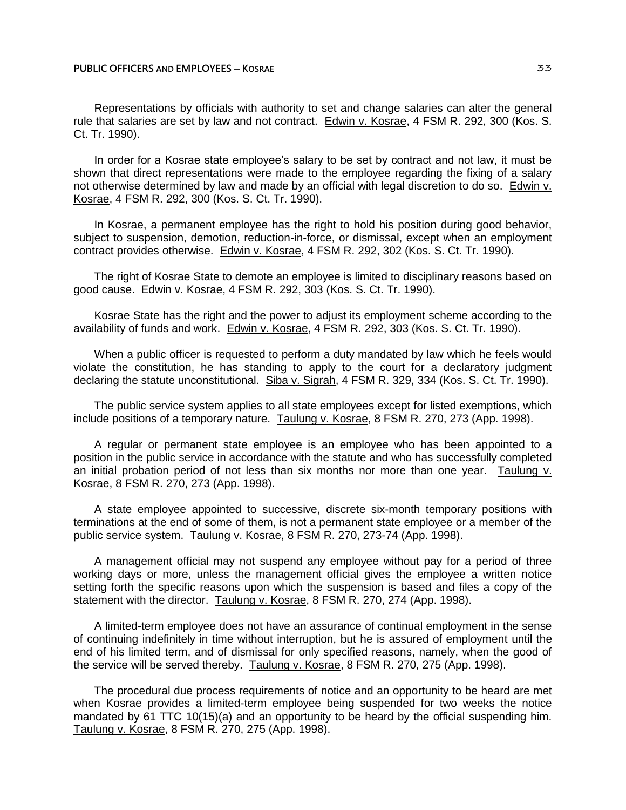Representations by officials with authority to set and change salaries can alter the general rule that salaries are set by law and not contract. Edwin v. Kosrae, 4 FSM R. 292, 300 (Kos. S. Ct. Tr. 1990).

In order for a Kosrae state employee's salary to be set by contract and not law, it must be shown that direct representations were made to the employee regarding the fixing of a salary not otherwise determined by law and made by an official with legal discretion to do so. Edwin v. Kosrae, 4 FSM R. 292, 300 (Kos. S. Ct. Tr. 1990).

In Kosrae, a permanent employee has the right to hold his position during good behavior, subject to suspension, demotion, reduction-in-force, or dismissal, except when an employment contract provides otherwise. Edwin v. Kosrae, 4 FSM R. 292, 302 (Kos. S. Ct. Tr. 1990).

The right of Kosrae State to demote an employee is limited to disciplinary reasons based on good cause. Edwin v. Kosrae, 4 FSM R. 292, 303 (Kos. S. Ct. Tr. 1990).

Kosrae State has the right and the power to adjust its employment scheme according to the availability of funds and work. Edwin v. Kosrae, 4 FSM R. 292, 303 (Kos. S. Ct. Tr. 1990).

When a public officer is requested to perform a duty mandated by law which he feels would violate the constitution, he has standing to apply to the court for a declaratory judgment declaring the statute unconstitutional. Siba v. Sigrah, 4 FSM R. 329, 334 (Kos. S. Ct. Tr. 1990).

The public service system applies to all state employees except for listed exemptions, which include positions of a temporary nature. Taulung v. Kosrae, 8 FSM R. 270, 273 (App. 1998).

A regular or permanent state employee is an employee who has been appointed to a position in the public service in accordance with the statute and who has successfully completed an initial probation period of not less than six months nor more than one year. Taulung v. Kosrae, 8 FSM R. 270, 273 (App. 1998).

A state employee appointed to successive, discrete six-month temporary positions with terminations at the end of some of them, is not a permanent state employee or a member of the public service system. Taulung v. Kosrae, 8 FSM R. 270, 273-74 (App. 1998).

A management official may not suspend any employee without pay for a period of three working days or more, unless the management official gives the employee a written notice setting forth the specific reasons upon which the suspension is based and files a copy of the statement with the director. Taulung v. Kosrae, 8 FSM R. 270, 274 (App. 1998).

A limited-term employee does not have an assurance of continual employment in the sense of continuing indefinitely in time without interruption, but he is assured of employment until the end of his limited term, and of dismissal for only specified reasons, namely, when the good of the service will be served thereby. Taulung v. Kosrae, 8 FSM R. 270, 275 (App. 1998).

The procedural due process requirements of notice and an opportunity to be heard are met when Kosrae provides a limited-term employee being suspended for two weeks the notice mandated by 61 TTC 10(15)(a) and an opportunity to be heard by the official suspending him. Taulung v. Kosrae, 8 FSM R. 270, 275 (App. 1998).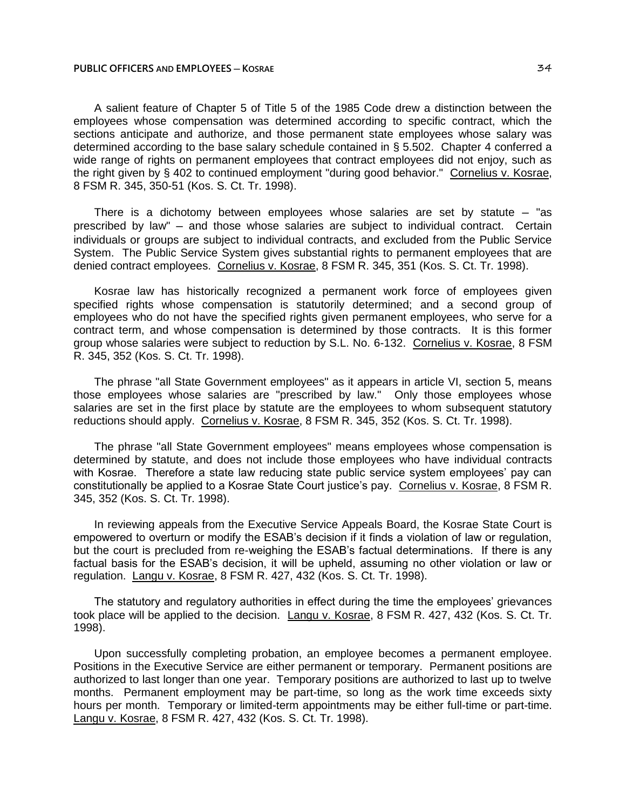A salient feature of Chapter 5 of Title 5 of the 1985 Code drew a distinction between the employees whose compensation was determined according to specific contract, which the sections anticipate and authorize, and those permanent state employees whose salary was determined according to the base salary schedule contained in § 5.502. Chapter 4 conferred a wide range of rights on permanent employees that contract employees did not enjoy, such as the right given by § 402 to continued employment "during good behavior." Cornelius v. Kosrae, 8 FSM R. 345, 350-51 (Kos. S. Ct. Tr. 1998).

There is a dichotomy between employees whose salaries are set by statute  $-$  "as prescribed by law" ─ and those whose salaries are subject to individual contract. Certain individuals or groups are subject to individual contracts, and excluded from the Public Service System. The Public Service System gives substantial rights to permanent employees that are denied contract employees. Cornelius v. Kosrae, 8 FSM R. 345, 351 (Kos. S. Ct. Tr. 1998).

Kosrae law has historically recognized a permanent work force of employees given specified rights whose compensation is statutorily determined; and a second group of employees who do not have the specified rights given permanent employees, who serve for a contract term, and whose compensation is determined by those contracts. It is this former group whose salaries were subject to reduction by S.L. No. 6-132. Cornelius v. Kosrae, 8 FSM R. 345, 352 (Kos. S. Ct. Tr. 1998).

The phrase "all State Government employees" as it appears in article VI, section 5, means those employees whose salaries are "prescribed by law." Only those employees whose salaries are set in the first place by statute are the employees to whom subsequent statutory reductions should apply. Cornelius v. Kosrae, 8 FSM R. 345, 352 (Kos. S. Ct. Tr. 1998).

The phrase "all State Government employees" means employees whose compensation is determined by statute, and does not include those employees who have individual contracts with Kosrae. Therefore a state law reducing state public service system employees' pay can constitutionally be applied to a Kosrae State Court justice's pay. Cornelius v. Kosrae, 8 FSM R. 345, 352 (Kos. S. Ct. Tr. 1998).

In reviewing appeals from the Executive Service Appeals Board, the Kosrae State Court is empowered to overturn or modify the ESAB's decision if it finds a violation of law or regulation, but the court is precluded from re-weighing the ESAB's factual determinations. If there is any factual basis for the ESAB's decision, it will be upheld, assuming no other violation or law or regulation. Langu v. Kosrae, 8 FSM R. 427, 432 (Kos. S. Ct. Tr. 1998).

The statutory and regulatory authorities in effect during the time the employees' grievances took place will be applied to the decision. Langu v. Kosrae, 8 FSM R. 427, 432 (Kos. S. Ct. Tr. 1998).

Upon successfully completing probation, an employee becomes a permanent employee. Positions in the Executive Service are either permanent or temporary. Permanent positions are authorized to last longer than one year. Temporary positions are authorized to last up to twelve months. Permanent employment may be part-time, so long as the work time exceeds sixty hours per month. Temporary or limited-term appointments may be either full-time or part-time. Langu v. Kosrae, 8 FSM R. 427, 432 (Kos. S. Ct. Tr. 1998).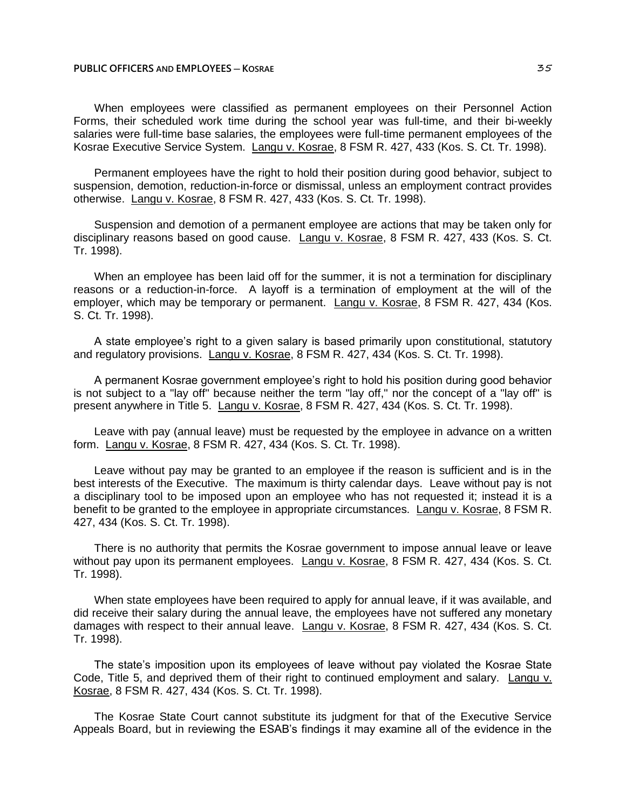When employees were classified as permanent employees on their Personnel Action Forms, their scheduled work time during the school year was full-time, and their bi-weekly salaries were full-time base salaries, the employees were full-time permanent employees of the Kosrae Executive Service System. Langu v. Kosrae, 8 FSM R. 427, 433 (Kos. S. Ct. Tr. 1998).

Permanent employees have the right to hold their position during good behavior, subject to suspension, demotion, reduction-in-force or dismissal, unless an employment contract provides otherwise. Langu v. Kosrae, 8 FSM R. 427, 433 (Kos. S. Ct. Tr. 1998).

Suspension and demotion of a permanent employee are actions that may be taken only for disciplinary reasons based on good cause. Langu v. Kosrae, 8 FSM R. 427, 433 (Kos. S. Ct. Tr. 1998).

When an employee has been laid off for the summer, it is not a termination for disciplinary reasons or a reduction-in-force. A layoff is a termination of employment at the will of the employer, which may be temporary or permanent. Langu v. Kosrae, 8 FSM R. 427, 434 (Kos. S. Ct. Tr. 1998).

A state employee's right to a given salary is based primarily upon constitutional, statutory and regulatory provisions. Langu v. Kosrae, 8 FSM R. 427, 434 (Kos. S. Ct. Tr. 1998).

A permanent Kosrae government employee's right to hold his position during good behavior is not subject to a "lay off" because neither the term "lay off," nor the concept of a "lay off" is present anywhere in Title 5. Langu v. Kosrae, 8 FSM R. 427, 434 (Kos. S. Ct. Tr. 1998).

Leave with pay (annual leave) must be requested by the employee in advance on a written form. Langu v. Kosrae, 8 FSM R. 427, 434 (Kos. S. Ct. Tr. 1998).

Leave without pay may be granted to an employee if the reason is sufficient and is in the best interests of the Executive. The maximum is thirty calendar days. Leave without pay is not a disciplinary tool to be imposed upon an employee who has not requested it; instead it is a benefit to be granted to the employee in appropriate circumstances. Langu v. Kosrae, 8 FSM R. 427, 434 (Kos. S. Ct. Tr. 1998).

There is no authority that permits the Kosrae government to impose annual leave or leave without pay upon its permanent employees. Langu v. Kosrae, 8 FSM R. 427, 434 (Kos. S. Ct. Tr. 1998).

When state employees have been required to apply for annual leave, if it was available, and did receive their salary during the annual leave, the employees have not suffered any monetary damages with respect to their annual leave. Langu v. Kosrae, 8 FSM R. 427, 434 (Kos. S. Ct. Tr. 1998).

The state's imposition upon its employees of leave without pay violated the Kosrae State Code, Title 5, and deprived them of their right to continued employment and salary. Langu v. Kosrae, 8 FSM R. 427, 434 (Kos. S. Ct. Tr. 1998).

The Kosrae State Court cannot substitute its judgment for that of the Executive Service Appeals Board, but in reviewing the ESAB's findings it may examine all of the evidence in the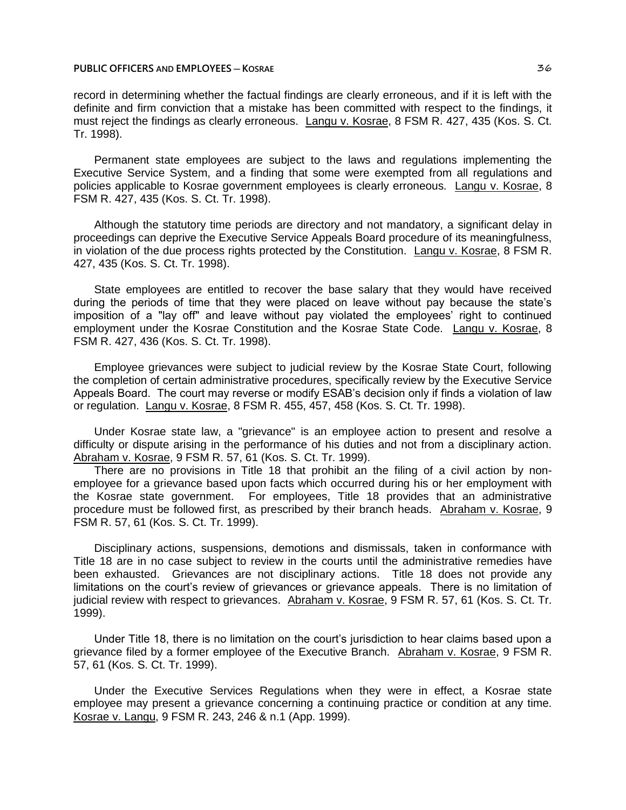record in determining whether the factual findings are clearly erroneous, and if it is left with the definite and firm conviction that a mistake has been committed with respect to the findings, it must reject the findings as clearly erroneous. Langu v. Kosrae, 8 FSM R. 427, 435 (Kos. S. Ct. Tr. 1998).

Permanent state employees are subject to the laws and regulations implementing the Executive Service System, and a finding that some were exempted from all regulations and policies applicable to Kosrae government employees is clearly erroneous. Langu v. Kosrae, 8 FSM R. 427, 435 (Kos. S. Ct. Tr. 1998).

Although the statutory time periods are directory and not mandatory, a significant delay in proceedings can deprive the Executive Service Appeals Board procedure of its meaningfulness, in violation of the due process rights protected by the Constitution. Langu v. Kosrae, 8 FSM R. 427, 435 (Kos. S. Ct. Tr. 1998).

State employees are entitled to recover the base salary that they would have received during the periods of time that they were placed on leave without pay because the state's imposition of a "lay off" and leave without pay violated the employees' right to continued employment under the Kosrae Constitution and the Kosrae State Code. Langu v. Kosrae, 8 FSM R. 427, 436 (Kos. S. Ct. Tr. 1998).

Employee grievances were subject to judicial review by the Kosrae State Court, following the completion of certain administrative procedures, specifically review by the Executive Service Appeals Board. The court may reverse or modify ESAB's decision only if finds a violation of law or regulation. Langu v. Kosrae, 8 FSM R. 455, 457, 458 (Kos. S. Ct. Tr. 1998).

Under Kosrae state law, a "grievance" is an employee action to present and resolve a difficulty or dispute arising in the performance of his duties and not from a disciplinary action. Abraham v. Kosrae, 9 FSM R. 57, 61 (Kos. S. Ct. Tr. 1999).

There are no provisions in Title 18 that prohibit an the filing of a civil action by nonemployee for a grievance based upon facts which occurred during his or her employment with the Kosrae state government. For employees, Title 18 provides that an administrative procedure must be followed first, as prescribed by their branch heads. Abraham v. Kosrae, 9 FSM R. 57, 61 (Kos. S. Ct. Tr. 1999).

Disciplinary actions, suspensions, demotions and dismissals, taken in conformance with Title 18 are in no case subject to review in the courts until the administrative remedies have been exhausted. Grievances are not disciplinary actions. Title 18 does not provide any limitations on the court's review of grievances or grievance appeals. There is no limitation of judicial review with respect to grievances. Abraham v. Kosrae, 9 FSM R. 57, 61 (Kos. S. Ct. Tr. 1999).

Under Title 18, there is no limitation on the court's jurisdiction to hear claims based upon a grievance filed by a former employee of the Executive Branch. Abraham v. Kosrae, 9 FSM R. 57, 61 (Kos. S. Ct. Tr. 1999).

Under the Executive Services Regulations when they were in effect, a Kosrae state employee may present a grievance concerning a continuing practice or condition at any time. Kosrae v. Langu, 9 FSM R. 243, 246 & n.1 (App. 1999).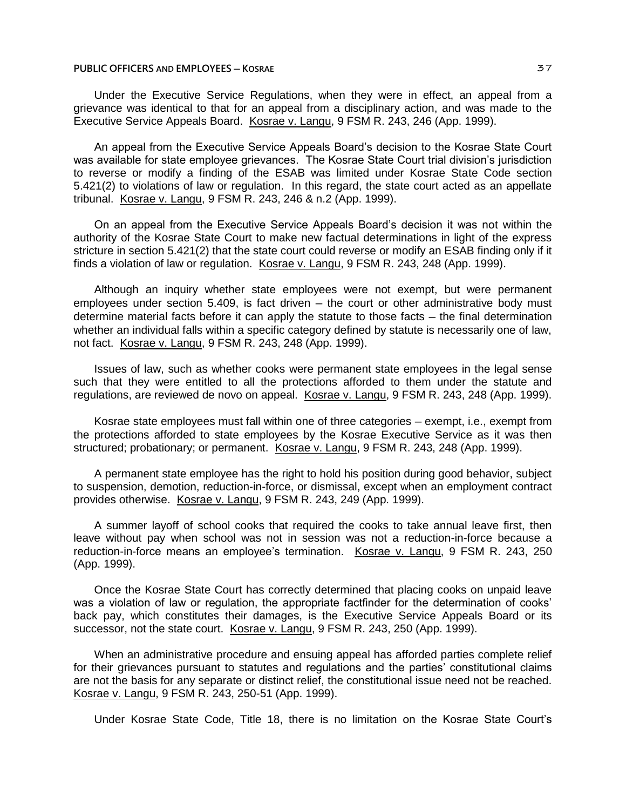Under the Executive Service Regulations, when they were in effect, an appeal from a grievance was identical to that for an appeal from a disciplinary action, and was made to the Executive Service Appeals Board. Kosrae v. Langu, 9 FSM R. 243, 246 (App. 1999).

An appeal from the Executive Service Appeals Board's decision to the Kosrae State Court was available for state employee grievances. The Kosrae State Court trial division's jurisdiction to reverse or modify a finding of the ESAB was limited under Kosrae State Code section 5.421(2) to violations of law or regulation. In this regard, the state court acted as an appellate tribunal. Kosrae v. Langu, 9 FSM R. 243, 246 & n.2 (App. 1999).

On an appeal from the Executive Service Appeals Board's decision it was not within the authority of the Kosrae State Court to make new factual determinations in light of the express stricture in section 5.421(2) that the state court could reverse or modify an ESAB finding only if it finds a violation of law or regulation. Kosrae v. Langu, 9 FSM R. 243, 248 (App. 1999).

Although an inquiry whether state employees were not exempt, but were permanent employees under section 5.409, is fact driven - the court or other administrative body must determine material facts before it can apply the statute to those facts — the final determination whether an individual falls within a specific category defined by statute is necessarily one of law, not fact. Kosrae v. Langu, 9 FSM R. 243, 248 (App. 1999).

Issues of law, such as whether cooks were permanent state employees in the legal sense such that they were entitled to all the protections afforded to them under the statute and regulations, are reviewed de novo on appeal. Kosrae v. Langu, 9 FSM R. 243, 248 (App. 1999).

Kosrae state employees must fall within one of three categories — exempt, i.e., exempt from the protections afforded to state employees by the Kosrae Executive Service as it was then structured; probationary; or permanent. Kosrae v. Langu, 9 FSM R. 243, 248 (App. 1999).

A permanent state employee has the right to hold his position during good behavior, subject to suspension, demotion, reduction-in-force, or dismissal, except when an employment contract provides otherwise. Kosrae v. Langu, 9 FSM R. 243, 249 (App. 1999).

A summer layoff of school cooks that required the cooks to take annual leave first, then leave without pay when school was not in session was not a reduction-in-force because a reduction-in-force means an employee's termination. Kosrae v. Langu, 9 FSM R. 243, 250 (App. 1999).

Once the Kosrae State Court has correctly determined that placing cooks on unpaid leave was a violation of law or regulation, the appropriate factfinder for the determination of cooks' back pay, which constitutes their damages, is the Executive Service Appeals Board or its successor, not the state court. Kosrae v. Langu, 9 FSM R. 243, 250 (App. 1999).

When an administrative procedure and ensuing appeal has afforded parties complete relief for their grievances pursuant to statutes and regulations and the parties' constitutional claims are not the basis for any separate or distinct relief, the constitutional issue need not be reached. Kosrae v. Langu, 9 FSM R. 243, 250-51 (App. 1999).

Under Kosrae State Code, Title 18, there is no limitation on the Kosrae State Court's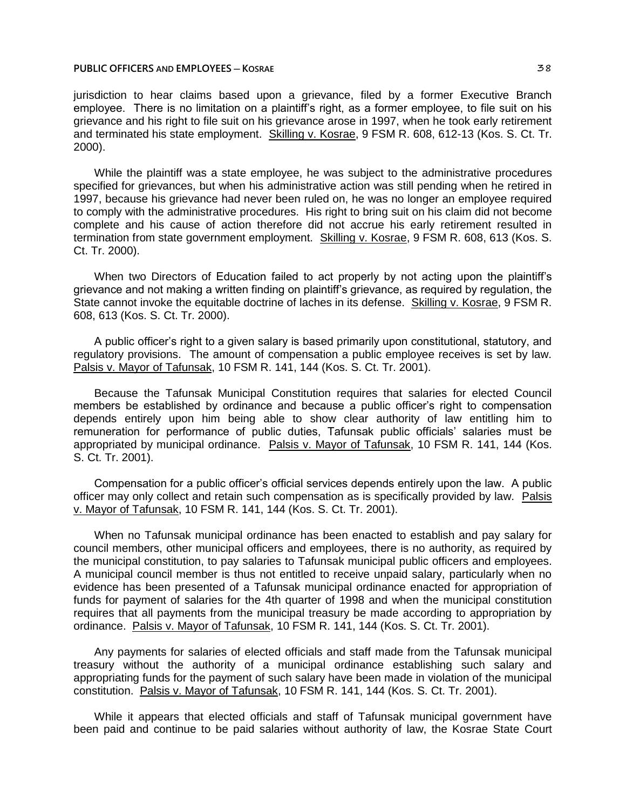jurisdiction to hear claims based upon a grievance, filed by a former Executive Branch employee. There is no limitation on a plaintiff's right, as a former employee, to file suit on his grievance and his right to file suit on his grievance arose in 1997, when he took early retirement and terminated his state employment. Skilling v. Kosrae, 9 FSM R. 608, 612-13 (Kos. S. Ct. Tr. 2000).

While the plaintiff was a state employee, he was subject to the administrative procedures specified for grievances, but when his administrative action was still pending when he retired in 1997, because his grievance had never been ruled on, he was no longer an employee required to comply with the administrative procedures. His right to bring suit on his claim did not become complete and his cause of action therefore did not accrue his early retirement resulted in termination from state government employment. Skilling v. Kosrae, 9 FSM R. 608, 613 (Kos. S. Ct. Tr. 2000).

When two Directors of Education failed to act properly by not acting upon the plaintiff's grievance and not making a written finding on plaintiff's grievance, as required by regulation, the State cannot invoke the equitable doctrine of laches in its defense. Skilling v. Kosrae, 9 FSM R. 608, 613 (Kos. S. Ct. Tr. 2000).

A public officer's right to a given salary is based primarily upon constitutional, statutory, and regulatory provisions. The amount of compensation a public employee receives is set by law. Palsis v. Mayor of Tafunsak, 10 FSM R. 141, 144 (Kos. S. Ct. Tr. 2001).

Because the Tafunsak Municipal Constitution requires that salaries for elected Council members be established by ordinance and because a public officer's right to compensation depends entirely upon him being able to show clear authority of law entitling him to remuneration for performance of public duties, Tafunsak public officials' salaries must be appropriated by municipal ordinance. Palsis v. Mayor of Tafunsak, 10 FSM R. 141, 144 (Kos. S. Ct. Tr. 2001).

Compensation for a public officer's official services depends entirely upon the law. A public officer may only collect and retain such compensation as is specifically provided by law. Palsis v. Mayor of Tafunsak, 10 FSM R. 141, 144 (Kos. S. Ct. Tr. 2001).

When no Tafunsak municipal ordinance has been enacted to establish and pay salary for council members, other municipal officers and employees, there is no authority, as required by the municipal constitution, to pay salaries to Tafunsak municipal public officers and employees. A municipal council member is thus not entitled to receive unpaid salary, particularly when no evidence has been presented of a Tafunsak municipal ordinance enacted for appropriation of funds for payment of salaries for the 4th quarter of 1998 and when the municipal constitution requires that all payments from the municipal treasury be made according to appropriation by ordinance. Palsis v. Mayor of Tafunsak, 10 FSM R. 141, 144 (Kos. S. Ct. Tr. 2001).

Any payments for salaries of elected officials and staff made from the Tafunsak municipal treasury without the authority of a municipal ordinance establishing such salary and appropriating funds for the payment of such salary have been made in violation of the municipal constitution. Palsis v. Mayor of Tafunsak, 10 FSM R. 141, 144 (Kos. S. Ct. Tr. 2001).

While it appears that elected officials and staff of Tafunsak municipal government have been paid and continue to be paid salaries without authority of law, the Kosrae State Court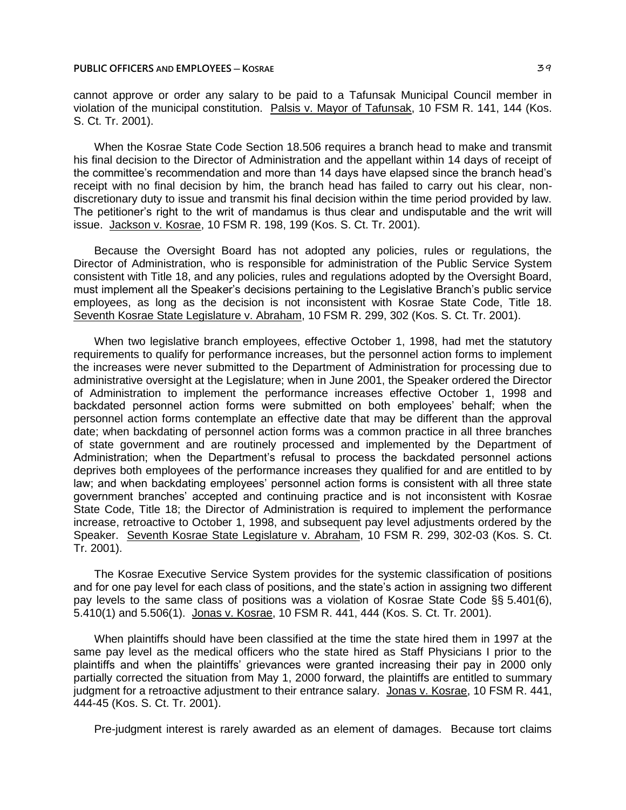cannot approve or order any salary to be paid to a Tafunsak Municipal Council member in violation of the municipal constitution. Palsis v. Mayor of Tafunsak, 10 FSM R. 141, 144 (Kos. S. Ct. Tr. 2001).

When the Kosrae State Code Section 18.506 requires a branch head to make and transmit his final decision to the Director of Administration and the appellant within 14 days of receipt of the committee's recommendation and more than 14 days have elapsed since the branch head's receipt with no final decision by him, the branch head has failed to carry out his clear, nondiscretionary duty to issue and transmit his final decision within the time period provided by law. The petitioner's right to the writ of mandamus is thus clear and undisputable and the writ will issue. Jackson v. Kosrae, 10 FSM R. 198, 199 (Kos. S. Ct. Tr. 2001).

Because the Oversight Board has not adopted any policies, rules or regulations, the Director of Administration, who is responsible for administration of the Public Service System consistent with Title 18, and any policies, rules and regulations adopted by the Oversight Board, must implement all the Speaker's decisions pertaining to the Legislative Branch's public service employees, as long as the decision is not inconsistent with Kosrae State Code, Title 18. Seventh Kosrae State Legislature v. Abraham, 10 FSM R. 299, 302 (Kos. S. Ct. Tr. 2001).

When two legislative branch employees, effective October 1, 1998, had met the statutory requirements to qualify for performance increases, but the personnel action forms to implement the increases were never submitted to the Department of Administration for processing due to administrative oversight at the Legislature; when in June 2001, the Speaker ordered the Director of Administration to implement the performance increases effective October 1, 1998 and backdated personnel action forms were submitted on both employees' behalf; when the personnel action forms contemplate an effective date that may be different than the approval date; when backdating of personnel action forms was a common practice in all three branches of state government and are routinely processed and implemented by the Department of Administration; when the Department's refusal to process the backdated personnel actions deprives both employees of the performance increases they qualified for and are entitled to by law; and when backdating employees' personnel action forms is consistent with all three state government branches' accepted and continuing practice and is not inconsistent with Kosrae State Code, Title 18; the Director of Administration is required to implement the performance increase, retroactive to October 1, 1998, and subsequent pay level adjustments ordered by the Speaker. Seventh Kosrae State Legislature v. Abraham, 10 FSM R. 299, 302-03 (Kos. S. Ct. Tr. 2001).

The Kosrae Executive Service System provides for the systemic classification of positions and for one pay level for each class of positions, and the state's action in assigning two different pay levels to the same class of positions was a violation of Kosrae State Code §§ 5.401(6), 5.410(1) and 5.506(1). Jonas v. Kosrae, 10 FSM R. 441, 444 (Kos. S. Ct. Tr. 2001).

When plaintiffs should have been classified at the time the state hired them in 1997 at the same pay level as the medical officers who the state hired as Staff Physicians I prior to the plaintiffs and when the plaintiffs' grievances were granted increasing their pay in 2000 only partially corrected the situation from May 1, 2000 forward, the plaintiffs are entitled to summary judgment for a retroactive adjustment to their entrance salary. Jonas v. Kosrae, 10 FSM R. 441, 444-45 (Kos. S. Ct. Tr. 2001).

Pre-judgment interest is rarely awarded as an element of damages. Because tort claims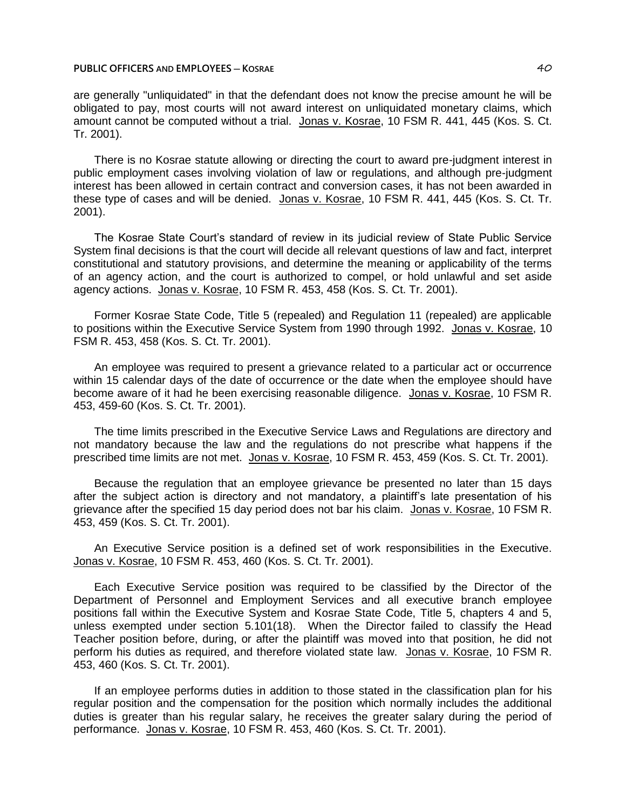are generally "unliquidated" in that the defendant does not know the precise amount he will be obligated to pay, most courts will not award interest on unliquidated monetary claims, which amount cannot be computed without a trial. Jonas v. Kosrae, 10 FSM R. 441, 445 (Kos. S. Ct. Tr. 2001).

There is no Kosrae statute allowing or directing the court to award pre-judgment interest in public employment cases involving violation of law or regulations, and although pre-judgment interest has been allowed in certain contract and conversion cases, it has not been awarded in these type of cases and will be denied. Jonas v. Kosrae, 10 FSM R. 441, 445 (Kos. S. Ct. Tr. 2001).

The Kosrae State Court's standard of review in its judicial review of State Public Service System final decisions is that the court will decide all relevant questions of law and fact, interpret constitutional and statutory provisions, and determine the meaning or applicability of the terms of an agency action, and the court is authorized to compel, or hold unlawful and set aside agency actions. Jonas v. Kosrae, 10 FSM R. 453, 458 (Kos. S. Ct. Tr. 2001).

Former Kosrae State Code, Title 5 (repealed) and Regulation 11 (repealed) are applicable to positions within the Executive Service System from 1990 through 1992. Jonas v. Kosrae, 10 FSM R. 453, 458 (Kos. S. Ct. Tr. 2001).

An employee was required to present a grievance related to a particular act or occurrence within 15 calendar days of the date of occurrence or the date when the employee should have become aware of it had he been exercising reasonable diligence. Jonas v. Kosrae, 10 FSM R. 453, 459-60 (Kos. S. Ct. Tr. 2001).

The time limits prescribed in the Executive Service Laws and Regulations are directory and not mandatory because the law and the regulations do not prescribe what happens if the prescribed time limits are not met. Jonas v. Kosrae, 10 FSM R. 453, 459 (Kos. S. Ct. Tr. 2001).

Because the regulation that an employee grievance be presented no later than 15 days after the subject action is directory and not mandatory, a plaintiff's late presentation of his grievance after the specified 15 day period does not bar his claim. Jonas v. Kosrae, 10 FSM R. 453, 459 (Kos. S. Ct. Tr. 2001).

An Executive Service position is a defined set of work responsibilities in the Executive. Jonas v. Kosrae, 10 FSM R. 453, 460 (Kos. S. Ct. Tr. 2001).

Each Executive Service position was required to be classified by the Director of the Department of Personnel and Employment Services and all executive branch employee positions fall within the Executive System and Kosrae State Code, Title 5, chapters 4 and 5, unless exempted under section 5.101(18). When the Director failed to classify the Head Teacher position before, during, or after the plaintiff was moved into that position, he did not perform his duties as required, and therefore violated state law. Jonas v. Kosrae, 10 FSM R. 453, 460 (Kos. S. Ct. Tr. 2001).

If an employee performs duties in addition to those stated in the classification plan for his regular position and the compensation for the position which normally includes the additional duties is greater than his regular salary, he receives the greater salary during the period of performance. Jonas v. Kosrae, 10 FSM R. 453, 460 (Kos. S. Ct. Tr. 2001).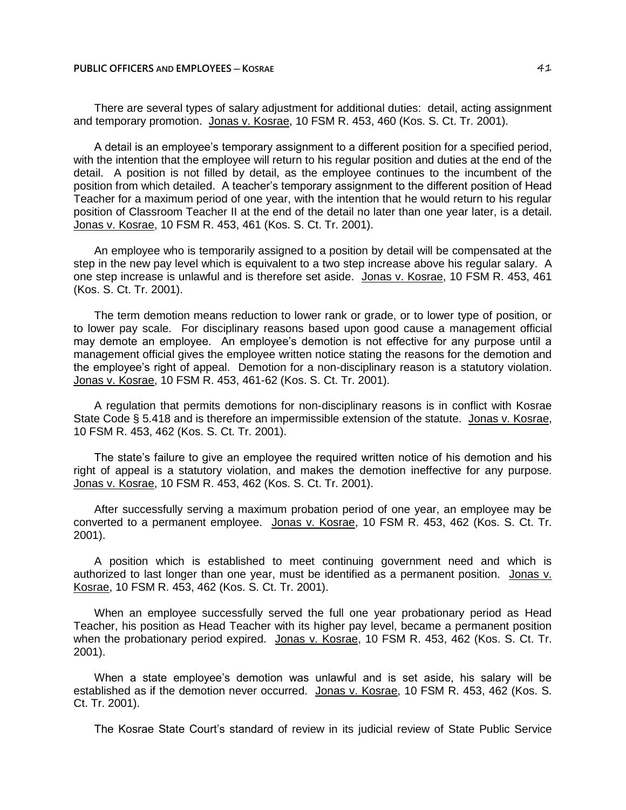There are several types of salary adjustment for additional duties: detail, acting assignment and temporary promotion. Jonas v. Kosrae, 10 FSM R. 453, 460 (Kos. S. Ct. Tr. 2001).

A detail is an employee's temporary assignment to a different position for a specified period, with the intention that the employee will return to his regular position and duties at the end of the detail. A position is not filled by detail, as the employee continues to the incumbent of the position from which detailed. A teacher's temporary assignment to the different position of Head Teacher for a maximum period of one year, with the intention that he would return to his regular position of Classroom Teacher II at the end of the detail no later than one year later, is a detail. Jonas v. Kosrae, 10 FSM R. 453, 461 (Kos. S. Ct. Tr. 2001).

An employee who is temporarily assigned to a position by detail will be compensated at the step in the new pay level which is equivalent to a two step increase above his regular salary. A one step increase is unlawful and is therefore set aside. Jonas v. Kosrae, 10 FSM R. 453, 461 (Kos. S. Ct. Tr. 2001).

The term demotion means reduction to lower rank or grade, or to lower type of position, or to lower pay scale. For disciplinary reasons based upon good cause a management official may demote an employee. An employee's demotion is not effective for any purpose until a management official gives the employee written notice stating the reasons for the demotion and the employee's right of appeal. Demotion for a non-disciplinary reason is a statutory violation. Jonas v. Kosrae, 10 FSM R. 453, 461-62 (Kos. S. Ct. Tr. 2001).

A regulation that permits demotions for non-disciplinary reasons is in conflict with Kosrae State Code § 5.418 and is therefore an impermissible extension of the statute. Jonas v. Kosrae, 10 FSM R. 453, 462 (Kos. S. Ct. Tr. 2001).

The state's failure to give an employee the required written notice of his demotion and his right of appeal is a statutory violation, and makes the demotion ineffective for any purpose. Jonas v. Kosrae, 10 FSM R. 453, 462 (Kos. S. Ct. Tr. 2001).

After successfully serving a maximum probation period of one year, an employee may be converted to a permanent employee. Jonas v. Kosrae, 10 FSM R. 453, 462 (Kos. S. Ct. Tr. 2001).

A position which is established to meet continuing government need and which is authorized to last longer than one year, must be identified as a permanent position. Jonas v. Kosrae, 10 FSM R. 453, 462 (Kos. S. Ct. Tr. 2001).

When an employee successfully served the full one year probationary period as Head Teacher, his position as Head Teacher with its higher pay level, became a permanent position when the probationary period expired. Jonas v. Kosrae, 10 FSM R. 453, 462 (Kos. S. Ct. Tr. 2001).

When a state employee's demotion was unlawful and is set aside, his salary will be established as if the demotion never occurred. Jonas v. Kosrae, 10 FSM R. 453, 462 (Kos. S. Ct. Tr. 2001).

The Kosrae State Court's standard of review in its judicial review of State Public Service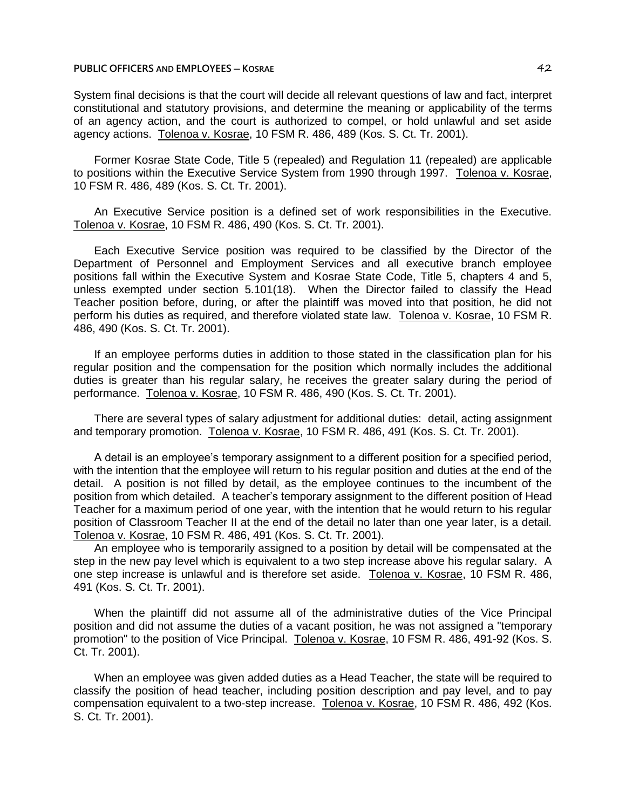System final decisions is that the court will decide all relevant questions of law and fact, interpret constitutional and statutory provisions, and determine the meaning or applicability of the terms of an agency action, and the court is authorized to compel, or hold unlawful and set aside agency actions. Tolenoa v. Kosrae, 10 FSM R. 486, 489 (Kos. S. Ct. Tr. 2001).

Former Kosrae State Code, Title 5 (repealed) and Regulation 11 (repealed) are applicable to positions within the Executive Service System from 1990 through 1997. Tolenoa v. Kosrae, 10 FSM R. 486, 489 (Kos. S. Ct. Tr. 2001).

An Executive Service position is a defined set of work responsibilities in the Executive. Tolenoa v. Kosrae, 10 FSM R. 486, 490 (Kos. S. Ct. Tr. 2001).

Each Executive Service position was required to be classified by the Director of the Department of Personnel and Employment Services and all executive branch employee positions fall within the Executive System and Kosrae State Code, Title 5, chapters 4 and 5, unless exempted under section 5.101(18). When the Director failed to classify the Head Teacher position before, during, or after the plaintiff was moved into that position, he did not perform his duties as required, and therefore violated state law. Tolenoa v. Kosrae, 10 FSM R. 486, 490 (Kos. S. Ct. Tr. 2001).

If an employee performs duties in addition to those stated in the classification plan for his regular position and the compensation for the position which normally includes the additional duties is greater than his regular salary, he receives the greater salary during the period of performance. Tolenoa v. Kosrae, 10 FSM R. 486, 490 (Kos. S. Ct. Tr. 2001).

There are several types of salary adjustment for additional duties: detail, acting assignment and temporary promotion. Tolenoa v. Kosrae, 10 FSM R. 486, 491 (Kos. S. Ct. Tr. 2001).

A detail is an employee's temporary assignment to a different position for a specified period, with the intention that the employee will return to his regular position and duties at the end of the detail. A position is not filled by detail, as the employee continues to the incumbent of the position from which detailed. A teacher's temporary assignment to the different position of Head Teacher for a maximum period of one year, with the intention that he would return to his regular position of Classroom Teacher II at the end of the detail no later than one year later, is a detail. Tolenoa v. Kosrae, 10 FSM R. 486, 491 (Kos. S. Ct. Tr. 2001).

An employee who is temporarily assigned to a position by detail will be compensated at the step in the new pay level which is equivalent to a two step increase above his regular salary. A one step increase is unlawful and is therefore set aside. Tolenoa v. Kosrae, 10 FSM R. 486, 491 (Kos. S. Ct. Tr. 2001).

When the plaintiff did not assume all of the administrative duties of the Vice Principal position and did not assume the duties of a vacant position, he was not assigned a "temporary promotion" to the position of Vice Principal. Tolenoa v. Kosrae, 10 FSM R. 486, 491-92 (Kos. S. Ct. Tr. 2001).

When an employee was given added duties as a Head Teacher, the state will be required to classify the position of head teacher, including position description and pay level, and to pay compensation equivalent to a two-step increase. Tolenoa v. Kosrae, 10 FSM R. 486, 492 (Kos. S. Ct. Tr. 2001).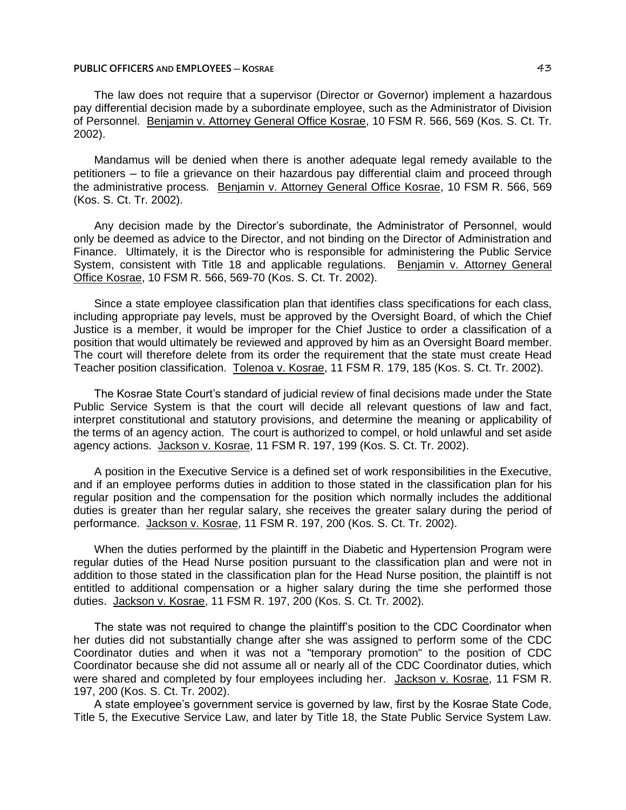The law does not require that a supervisor (Director or Governor) implement a hazardous pay differential decision made by a subordinate employee, such as the Administrator of Division of Personnel. Benjamin v. Attorney General Office Kosrae, 10 FSM R. 566, 569 (Kos. S. Ct. Tr. 2002).

Mandamus will be denied when there is another adequate legal remedy available to the petitioners ─ to file a grievance on their hazardous pay differential claim and proceed through the administrative process. Benjamin v. Attorney General Office Kosrae, 10 FSM R. 566, 569 (Kos. S. Ct. Tr. 2002).

Any decision made by the Director's subordinate, the Administrator of Personnel, would only be deemed as advice to the Director, and not binding on the Director of Administration and Finance. Ultimately, it is the Director who is responsible for administering the Public Service System, consistent with Title 18 and applicable regulations. Benjamin v. Attorney General Office Kosrae, 10 FSM R. 566, 569-70 (Kos. S. Ct. Tr. 2002).

Since a state employee classification plan that identifies class specifications for each class, including appropriate pay levels, must be approved by the Oversight Board, of which the Chief Justice is a member, it would be improper for the Chief Justice to order a classification of a position that would ultimately be reviewed and approved by him as an Oversight Board member. The court will therefore delete from its order the requirement that the state must create Head Teacher position classification. Tolenoa v. Kosrae, 11 FSM R. 179, 185 (Kos. S. Ct. Tr. 2002).

The Kosrae State Court's standard of judicial review of final decisions made under the State Public Service System is that the court will decide all relevant questions of law and fact, interpret constitutional and statutory provisions, and determine the meaning or applicability of the terms of an agency action. The court is authorized to compel, or hold unlawful and set aside agency actions. Jackson v. Kosrae, 11 FSM R. 197, 199 (Kos. S. Ct. Tr. 2002).

A position in the Executive Service is a defined set of work responsibilities in the Executive, and if an employee performs duties in addition to those stated in the classification plan for his regular position and the compensation for the position which normally includes the additional duties is greater than her regular salary, she receives the greater salary during the period of performance. Jackson v. Kosrae, 11 FSM R. 197, 200 (Kos. S. Ct. Tr. 2002).

When the duties performed by the plaintiff in the Diabetic and Hypertension Program were regular duties of the Head Nurse position pursuant to the classification plan and were not in addition to those stated in the classification plan for the Head Nurse position, the plaintiff is not entitled to additional compensation or a higher salary during the time she performed those duties. Jackson v. Kosrae, 11 FSM R. 197, 200 (Kos. S. Ct. Tr. 2002).

The state was not required to change the plaintiff's position to the CDC Coordinator when her duties did not substantially change after she was assigned to perform some of the CDC Coordinator duties and when it was not a "temporary promotion" to the position of CDC Coordinator because she did not assume all or nearly all of the CDC Coordinator duties, which were shared and completed by four employees including her. Jackson v. Kosrae, 11 FSM R. 197, 200 (Kos. S. Ct. Tr. 2002).

A state employee's government service is governed by law, first by the Kosrae State Code, Title 5, the Executive Service Law, and later by Title 18, the State Public Service System Law.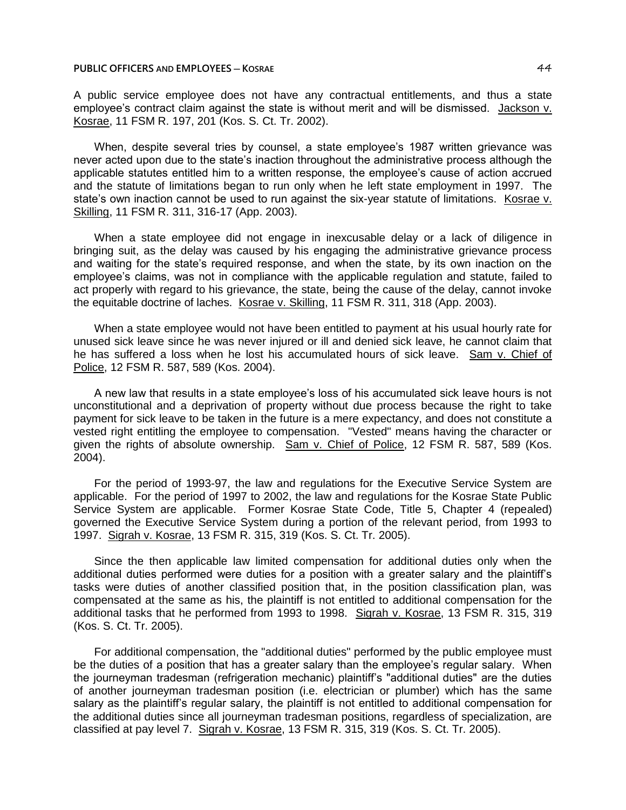A public service employee does not have any contractual entitlements, and thus a state employee's contract claim against the state is without merit and will be dismissed. Jackson v. Kosrae, 11 FSM R. 197, 201 (Kos. S. Ct. Tr. 2002).

When, despite several tries by counsel, a state employee's 1987 written grievance was never acted upon due to the state's inaction throughout the administrative process although the applicable statutes entitled him to a written response, the employee's cause of action accrued and the statute of limitations began to run only when he left state employment in 1997. The state's own inaction cannot be used to run against the six-year statute of limitations. Kosrae v. Skilling, 11 FSM R. 311, 316-17 (App. 2003).

When a state employee did not engage in inexcusable delay or a lack of diligence in bringing suit, as the delay was caused by his engaging the administrative grievance process and waiting for the state's required response, and when the state, by its own inaction on the employee's claims, was not in compliance with the applicable regulation and statute, failed to act properly with regard to his grievance, the state, being the cause of the delay, cannot invoke the equitable doctrine of laches. Kosrae v. Skilling, 11 FSM R. 311, 318 (App. 2003).

When a state employee would not have been entitled to payment at his usual hourly rate for unused sick leave since he was never injured or ill and denied sick leave, he cannot claim that he has suffered a loss when he lost his accumulated hours of sick leave. Sam v. Chief of Police, 12 FSM R. 587, 589 (Kos. 2004).

A new law that results in a state employee's loss of his accumulated sick leave hours is not unconstitutional and a deprivation of property without due process because the right to take payment for sick leave to be taken in the future is a mere expectancy, and does not constitute a vested right entitling the employee to compensation. "Vested" means having the character or given the rights of absolute ownership. Sam v. Chief of Police, 12 FSM R. 587, 589 (Kos. 2004).

For the period of 1993-97, the law and regulations for the Executive Service System are applicable. For the period of 1997 to 2002, the law and regulations for the Kosrae State Public Service System are applicable. Former Kosrae State Code, Title 5, Chapter 4 (repealed) governed the Executive Service System during a portion of the relevant period, from 1993 to 1997. Sigrah v. Kosrae, 13 FSM R. 315, 319 (Kos. S. Ct. Tr. 2005).

Since the then applicable law limited compensation for additional duties only when the additional duties performed were duties for a position with a greater salary and the plaintiff's tasks were duties of another classified position that, in the position classification plan, was compensated at the same as his, the plaintiff is not entitled to additional compensation for the additional tasks that he performed from 1993 to 1998. Sigrah v. Kosrae, 13 FSM R. 315, 319 (Kos. S. Ct. Tr. 2005).

For additional compensation, the "additional duties" performed by the public employee must be the duties of a position that has a greater salary than the employee's regular salary. When the journeyman tradesman (refrigeration mechanic) plaintiff's "additional duties" are the duties of another journeyman tradesman position (i.e. electrician or plumber) which has the same salary as the plaintiff's regular salary, the plaintiff is not entitled to additional compensation for the additional duties since all journeyman tradesman positions, regardless of specialization, are classified at pay level 7. Sigrah v. Kosrae, 13 FSM R. 315, 319 (Kos. S. Ct. Tr. 2005).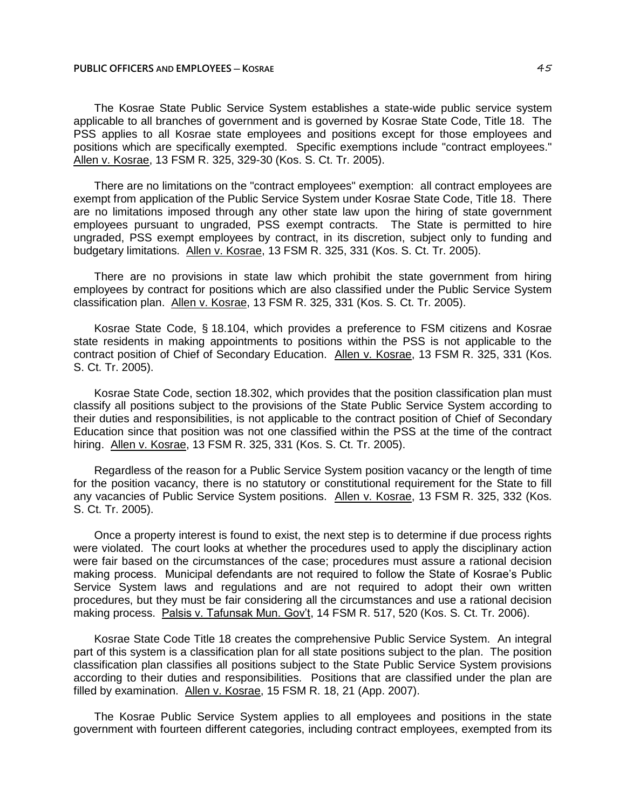The Kosrae State Public Service System establishes a state-wide public service system applicable to all branches of government and is governed by Kosrae State Code, Title 18. The PSS applies to all Kosrae state employees and positions except for those employees and positions which are specifically exempted. Specific exemptions include "contract employees." Allen v. Kosrae, 13 FSM R. 325, 329-30 (Kos. S. Ct. Tr. 2005).

There are no limitations on the "contract employees" exemption: all contract employees are exempt from application of the Public Service System under Kosrae State Code, Title 18. There are no limitations imposed through any other state law upon the hiring of state government employees pursuant to ungraded, PSS exempt contracts. The State is permitted to hire ungraded, PSS exempt employees by contract, in its discretion, subject only to funding and budgetary limitations. Allen v. Kosrae, 13 FSM R. 325, 331 (Kos. S. Ct. Tr. 2005).

There are no provisions in state law which prohibit the state government from hiring employees by contract for positions which are also classified under the Public Service System classification plan. Allen v. Kosrae, 13 FSM R. 325, 331 (Kos. S. Ct. Tr. 2005).

Kosrae State Code, § 18.104, which provides a preference to FSM citizens and Kosrae state residents in making appointments to positions within the PSS is not applicable to the contract position of Chief of Secondary Education. Allen v. Kosrae, 13 FSM R. 325, 331 (Kos. S. Ct. Tr. 2005).

Kosrae State Code, section 18.302, which provides that the position classification plan must classify all positions subject to the provisions of the State Public Service System according to their duties and responsibilities, is not applicable to the contract position of Chief of Secondary Education since that position was not one classified within the PSS at the time of the contract hiring. Allen v. Kosrae, 13 FSM R. 325, 331 (Kos. S. Ct. Tr. 2005).

Regardless of the reason for a Public Service System position vacancy or the length of time for the position vacancy, there is no statutory or constitutional requirement for the State to fill any vacancies of Public Service System positions. Allen v. Kosrae, 13 FSM R. 325, 332 (Kos. S. Ct. Tr. 2005).

Once a property interest is found to exist, the next step is to determine if due process rights were violated. The court looks at whether the procedures used to apply the disciplinary action were fair based on the circumstances of the case; procedures must assure a rational decision making process. Municipal defendants are not required to follow the State of Kosrae's Public Service System laws and regulations and are not required to adopt their own written procedures, but they must be fair considering all the circumstances and use a rational decision making process. Palsis v. Tafunsak Mun. Gov't, 14 FSM R. 517, 520 (Kos. S. Ct. Tr. 2006).

Kosrae State Code Title 18 creates the comprehensive Public Service System. An integral part of this system is a classification plan for all state positions subject to the plan. The position classification plan classifies all positions subject to the State Public Service System provisions according to their duties and responsibilities. Positions that are classified under the plan are filled by examination. Allen v. Kosrae, 15 FSM R. 18, 21 (App. 2007).

The Kosrae Public Service System applies to all employees and positions in the state government with fourteen different categories, including contract employees, exempted from its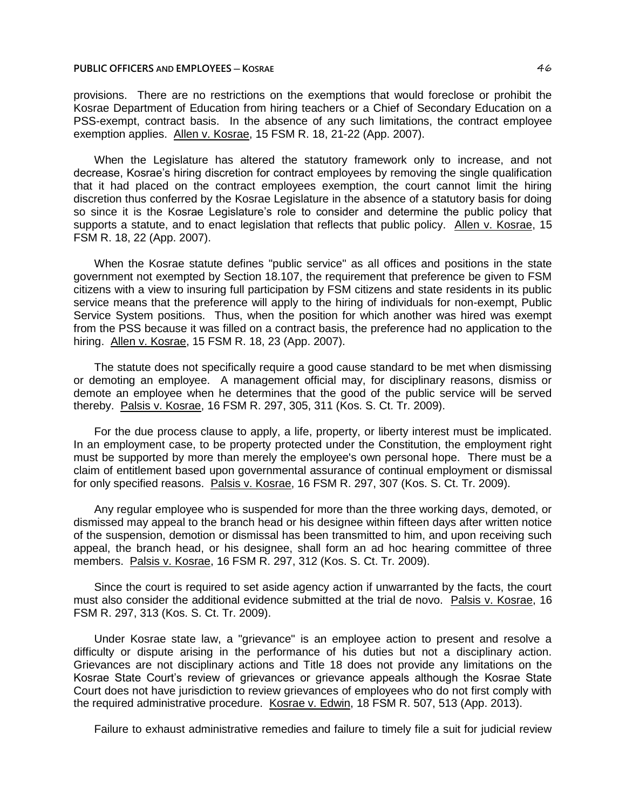provisions. There are no restrictions on the exemptions that would foreclose or prohibit the Kosrae Department of Education from hiring teachers or a Chief of Secondary Education on a PSS-exempt, contract basis. In the absence of any such limitations, the contract employee exemption applies. Allen v. Kosrae, 15 FSM R. 18, 21-22 (App. 2007).

When the Legislature has altered the statutory framework only to increase, and not decrease, Kosrae's hiring discretion for contract employees by removing the single qualification that it had placed on the contract employees exemption, the court cannot limit the hiring discretion thus conferred by the Kosrae Legislature in the absence of a statutory basis for doing so since it is the Kosrae Legislature's role to consider and determine the public policy that supports a statute, and to enact legislation that reflects that public policy. Allen v. Kosrae, 15 FSM R. 18, 22 (App. 2007).

When the Kosrae statute defines "public service" as all offices and positions in the state government not exempted by Section 18.107, the requirement that preference be given to FSM citizens with a view to insuring full participation by FSM citizens and state residents in its public service means that the preference will apply to the hiring of individuals for non-exempt, Public Service System positions. Thus, when the position for which another was hired was exempt from the PSS because it was filled on a contract basis, the preference had no application to the hiring. Allen v. Kosrae, 15 FSM R. 18, 23 (App. 2007).

The statute does not specifically require a good cause standard to be met when dismissing or demoting an employee. A management official may, for disciplinary reasons, dismiss or demote an employee when he determines that the good of the public service will be served thereby. Palsis v. Kosrae, 16 FSM R. 297, 305, 311 (Kos. S. Ct. Tr. 2009).

For the due process clause to apply, a life, property, or liberty interest must be implicated. In an employment case, to be property protected under the Constitution, the employment right must be supported by more than merely the employee's own personal hope. There must be a claim of entitlement based upon governmental assurance of continual employment or dismissal for only specified reasons. Palsis v. Kosrae, 16 FSM R. 297, 307 (Kos. S. Ct. Tr. 2009).

Any regular employee who is suspended for more than the three working days, demoted, or dismissed may appeal to the branch head or his designee within fifteen days after written notice of the suspension, demotion or dismissal has been transmitted to him, and upon receiving such appeal, the branch head, or his designee, shall form an ad hoc hearing committee of three members. Palsis v. Kosrae, 16 FSM R. 297, 312 (Kos. S. Ct. Tr. 2009).

Since the court is required to set aside agency action if unwarranted by the facts, the court must also consider the additional evidence submitted at the trial de novo. Palsis v. Kosrae, 16 FSM R. 297, 313 (Kos. S. Ct. Tr. 2009).

Under Kosrae state law, a "grievance" is an employee action to present and resolve a difficulty or dispute arising in the performance of his duties but not a disciplinary action. Grievances are not disciplinary actions and Title 18 does not provide any limitations on the Kosrae State Court's review of grievances or grievance appeals although the Kosrae State Court does not have jurisdiction to review grievances of employees who do not first comply with the required administrative procedure. Kosrae v. Edwin, 18 FSM R. 507, 513 (App. 2013).

Failure to exhaust administrative remedies and failure to timely file a suit for judicial review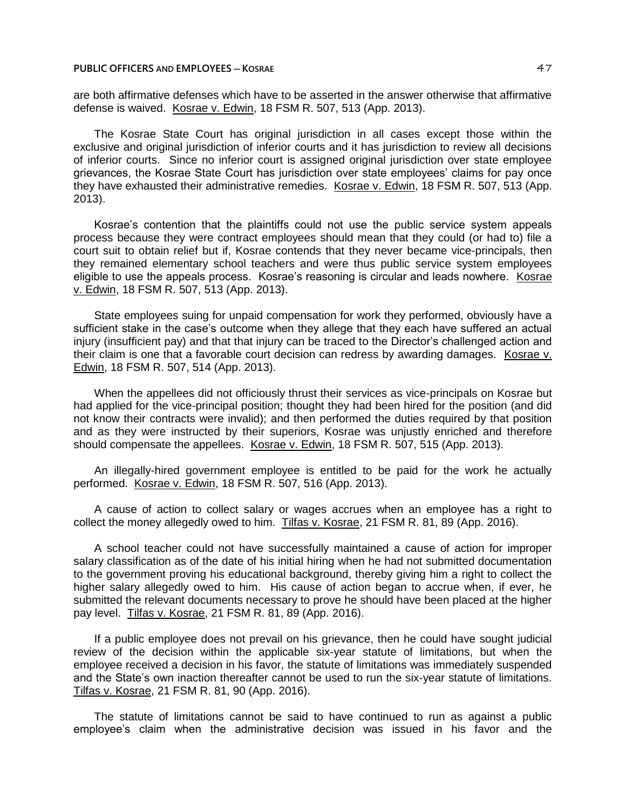are both affirmative defenses which have to be asserted in the answer otherwise that affirmative defense is waived. Kosrae v. Edwin, 18 FSM R. 507, 513 (App. 2013).

The Kosrae State Court has original jurisdiction in all cases except those within the exclusive and original jurisdiction of inferior courts and it has jurisdiction to review all decisions of inferior courts. Since no inferior court is assigned original jurisdiction over state employee grievances, the Kosrae State Court has jurisdiction over state employees' claims for pay once they have exhausted their administrative remedies. Kosrae v. Edwin, 18 FSM R. 507, 513 (App. 2013).

Kosrae's contention that the plaintiffs could not use the public service system appeals process because they were contract employees should mean that they could (or had to) file a court suit to obtain relief but if, Kosrae contends that they never became vice-principals, then they remained elementary school teachers and were thus public service system employees eligible to use the appeals process. Kosrae's reasoning is circular and leads nowhere. Kosrae v. Edwin, 18 FSM R. 507, 513 (App. 2013).

State employees suing for unpaid compensation for work they performed, obviously have a sufficient stake in the case's outcome when they allege that they each have suffered an actual injury (insufficient pay) and that that injury can be traced to the Director's challenged action and their claim is one that a favorable court decision can redress by awarding damages. Kosrae v. Edwin, 18 FSM R. 507, 514 (App. 2013).

When the appellees did not officiously thrust their services as vice-principals on Kosrae but had applied for the vice-principal position; thought they had been hired for the position (and did not know their contracts were invalid); and then performed the duties required by that position and as they were instructed by their superiors, Kosrae was unjustly enriched and therefore should compensate the appellees. Kosrae v. Edwin, 18 FSM R. 507, 515 (App. 2013).

An illegally-hired government employee is entitled to be paid for the work he actually performed. Kosrae v. Edwin, 18 FSM R. 507, 516 (App. 2013).

A cause of action to collect salary or wages accrues when an employee has a right to collect the money allegedly owed to him. Tilfas v. Kosrae, 21 FSM R. 81, 89 (App. 2016).

A school teacher could not have successfully maintained a cause of action for improper salary classification as of the date of his initial hiring when he had not submitted documentation to the government proving his educational background, thereby giving him a right to collect the higher salary allegedly owed to him. His cause of action began to accrue when, if ever, he submitted the relevant documents necessary to prove he should have been placed at the higher pay level. Tilfas v. Kosrae, 21 FSM R. 81, 89 (App. 2016).

If a public employee does not prevail on his grievance, then he could have sought judicial review of the decision within the applicable six-year statute of limitations, but when the employee received a decision in his favor, the statute of limitations was immediately suspended and the State's own inaction thereafter cannot be used to run the six-year statute of limitations. Tilfas v. Kosrae, 21 FSM R. 81, 90 (App. 2016).

The statute of limitations cannot be said to have continued to run as against a public employee's claim when the administrative decision was issued in his favor and the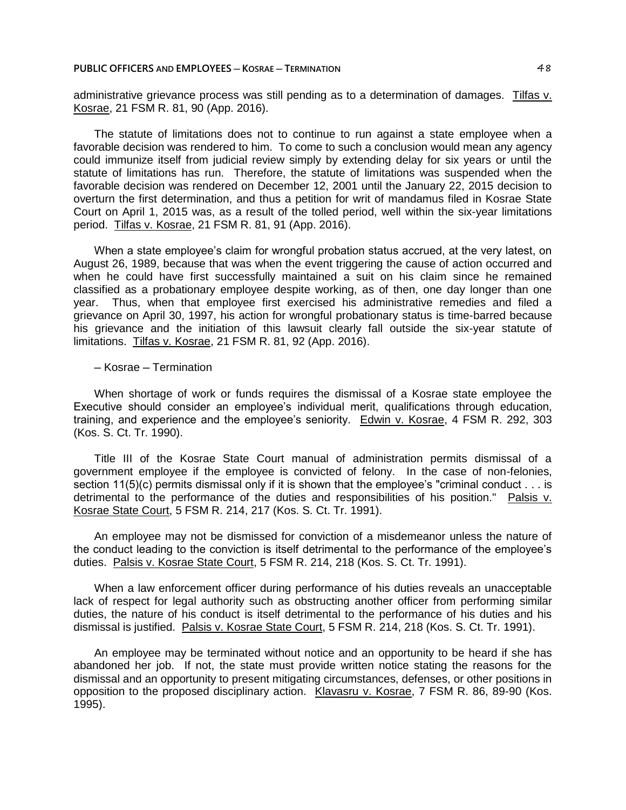administrative grievance process was still pending as to a determination of damages. Tilfas v. Kosrae, 21 FSM R. 81, 90 (App. 2016).

The statute of limitations does not to continue to run against a state employee when a favorable decision was rendered to him. To come to such a conclusion would mean any agency could immunize itself from judicial review simply by extending delay for six years or until the statute of limitations has run. Therefore, the statute of limitations was suspended when the favorable decision was rendered on December 12, 2001 until the January 22, 2015 decision to overturn the first determination, and thus a petition for writ of mandamus filed in Kosrae State Court on April 1, 2015 was, as a result of the tolled period, well within the six-year limitations period. Tilfas v. Kosrae, 21 FSM R. 81, 91 (App. 2016).

When a state employee's claim for wrongful probation status accrued, at the very latest, on August 26, 1989, because that was when the event triggering the cause of action occurred and when he could have first successfully maintained a suit on his claim since he remained classified as a probationary employee despite working, as of then, one day longer than one year. Thus, when that employee first exercised his administrative remedies and filed a grievance on April 30, 1997, his action for wrongful probationary status is time-barred because his grievance and the initiation of this lawsuit clearly fall outside the six-year statute of limitations. Tilfas v. Kosrae, 21 FSM R. 81, 92 (App. 2016).

## ─ Kosrae ─ Termination

When shortage of work or funds requires the dismissal of a Kosrae state employee the Executive should consider an employee's individual merit, qualifications through education, training, and experience and the employee's seniority. Edwin v. Kosrae, 4 FSM R. 292, 303 (Kos. S. Ct. Tr. 1990).

Title III of the Kosrae State Court manual of administration permits dismissal of a government employee if the employee is convicted of felony. In the case of non-felonies, section 11(5)(c) permits dismissal only if it is shown that the employee's "criminal conduct . . . is detrimental to the performance of the duties and responsibilities of his position." Palsis v. Kosrae State Court, 5 FSM R. 214, 217 (Kos. S. Ct. Tr. 1991).

An employee may not be dismissed for conviction of a misdemeanor unless the nature of the conduct leading to the conviction is itself detrimental to the performance of the employee's duties. Palsis v. Kosrae State Court, 5 FSM R. 214, 218 (Kos. S. Ct. Tr. 1991).

When a law enforcement officer during performance of his duties reveals an unacceptable lack of respect for legal authority such as obstructing another officer from performing similar duties, the nature of his conduct is itself detrimental to the performance of his duties and his dismissal is justified. Palsis v. Kosrae State Court, 5 FSM R. 214, 218 (Kos. S. Ct. Tr. 1991).

An employee may be terminated without notice and an opportunity to be heard if she has abandoned her job. If not, the state must provide written notice stating the reasons for the dismissal and an opportunity to present mitigating circumstances, defenses, or other positions in opposition to the proposed disciplinary action. Klavasru v. Kosrae, 7 FSM R. 86, 89-90 (Kos. 1995).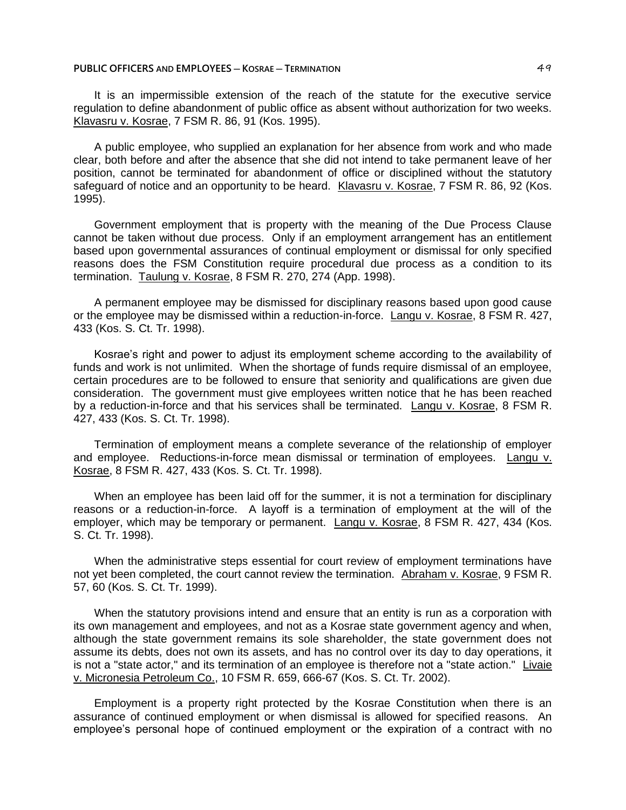It is an impermissible extension of the reach of the statute for the executive service regulation to define abandonment of public office as absent without authorization for two weeks. Klavasru v. Kosrae, 7 FSM R. 86, 91 (Kos. 1995).

A public employee, who supplied an explanation for her absence from work and who made clear, both before and after the absence that she did not intend to take permanent leave of her position, cannot be terminated for abandonment of office or disciplined without the statutory safeguard of notice and an opportunity to be heard. Klavasru v. Kosrae, 7 FSM R. 86, 92 (Kos. 1995).

Government employment that is property with the meaning of the Due Process Clause cannot be taken without due process. Only if an employment arrangement has an entitlement based upon governmental assurances of continual employment or dismissal for only specified reasons does the FSM Constitution require procedural due process as a condition to its termination. Taulung v. Kosrae, 8 FSM R. 270, 274 (App. 1998).

A permanent employee may be dismissed for disciplinary reasons based upon good cause or the employee may be dismissed within a reduction-in-force. Langu v. Kosrae, 8 FSM R. 427, 433 (Kos. S. Ct. Tr. 1998).

Kosrae's right and power to adjust its employment scheme according to the availability of funds and work is not unlimited. When the shortage of funds require dismissal of an employee, certain procedures are to be followed to ensure that seniority and qualifications are given due consideration. The government must give employees written notice that he has been reached by a reduction-in-force and that his services shall be terminated. Langu v. Kosrae, 8 FSM R. 427, 433 (Kos. S. Ct. Tr. 1998).

Termination of employment means a complete severance of the relationship of employer and employee. Reductions-in-force mean dismissal or termination of employees. Langu v. Kosrae, 8 FSM R. 427, 433 (Kos. S. Ct. Tr. 1998).

When an employee has been laid off for the summer, it is not a termination for disciplinary reasons or a reduction-in-force. A layoff is a termination of employment at the will of the employer, which may be temporary or permanent. Langu v. Kosrae, 8 FSM R. 427, 434 (Kos. S. Ct. Tr. 1998).

When the administrative steps essential for court review of employment terminations have not yet been completed, the court cannot review the termination. Abraham v. Kosrae, 9 FSM R. 57, 60 (Kos. S. Ct. Tr. 1999).

When the statutory provisions intend and ensure that an entity is run as a corporation with its own management and employees, and not as a Kosrae state government agency and when, although the state government remains its sole shareholder, the state government does not assume its debts, does not own its assets, and has no control over its day to day operations, it is not a "state actor," and its termination of an employee is therefore not a "state action." Livaie v. Micronesia Petroleum Co., 10 FSM R. 659, 666-67 (Kos. S. Ct. Tr. 2002).

Employment is a property right protected by the Kosrae Constitution when there is an assurance of continued employment or when dismissal is allowed for specified reasons. An employee's personal hope of continued employment or the expiration of a contract with no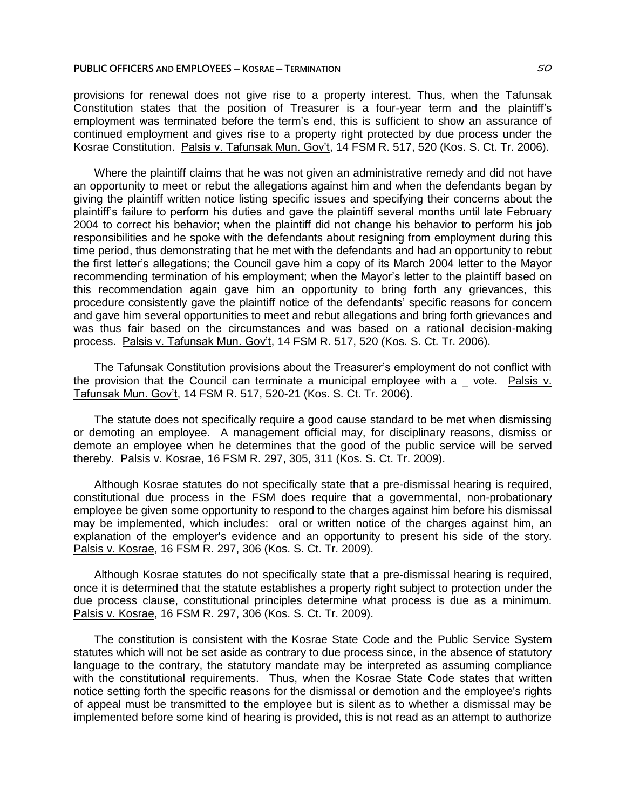provisions for renewal does not give rise to a property interest. Thus, when the Tafunsak Constitution states that the position of Treasurer is a four-year term and the plaintiff's employment was terminated before the term's end, this is sufficient to show an assurance of continued employment and gives rise to a property right protected by due process under the Kosrae Constitution. Palsis v. Tafunsak Mun. Gov't, 14 FSM R. 517, 520 (Kos. S. Ct. Tr. 2006).

Where the plaintiff claims that he was not given an administrative remedy and did not have an opportunity to meet or rebut the allegations against him and when the defendants began by giving the plaintiff written notice listing specific issues and specifying their concerns about the plaintiff's failure to perform his duties and gave the plaintiff several months until late February 2004 to correct his behavior; when the plaintiff did not change his behavior to perform his job responsibilities and he spoke with the defendants about resigning from employment during this time period, thus demonstrating that he met with the defendants and had an opportunity to rebut the first letter's allegations; the Council gave him a copy of its March 2004 letter to the Mayor recommending termination of his employment; when the Mayor's letter to the plaintiff based on this recommendation again gave him an opportunity to bring forth any grievances, this procedure consistently gave the plaintiff notice of the defendants' specific reasons for concern and gave him several opportunities to meet and rebut allegations and bring forth grievances and was thus fair based on the circumstances and was based on a rational decision-making process. Palsis v. Tafunsak Mun. Gov't, 14 FSM R. 517, 520 (Kos. S. Ct. Tr. 2006).

The Tafunsak Constitution provisions about the Treasurer's employment do not conflict with the provision that the Council can terminate a municipal employee with a vote. Palsis v. Tafunsak Mun. Gov't, 14 FSM R. 517, 520-21 (Kos. S. Ct. Tr. 2006).

The statute does not specifically require a good cause standard to be met when dismissing or demoting an employee. A management official may, for disciplinary reasons, dismiss or demote an employee when he determines that the good of the public service will be served thereby. Palsis v. Kosrae, 16 FSM R. 297, 305, 311 (Kos. S. Ct. Tr. 2009).

Although Kosrae statutes do not specifically state that a pre-dismissal hearing is required, constitutional due process in the FSM does require that a governmental, non-probationary employee be given some opportunity to respond to the charges against him before his dismissal may be implemented, which includes: oral or written notice of the charges against him, an explanation of the employer's evidence and an opportunity to present his side of the story. Palsis v. Kosrae, 16 FSM R. 297, 306 (Kos. S. Ct. Tr. 2009).

Although Kosrae statutes do not specifically state that a pre-dismissal hearing is required, once it is determined that the statute establishes a property right subject to protection under the due process clause, constitutional principles determine what process is due as a minimum. Palsis v. Kosrae, 16 FSM R. 297, 306 (Kos. S. Ct. Tr. 2009).

The constitution is consistent with the Kosrae State Code and the Public Service System statutes which will not be set aside as contrary to due process since, in the absence of statutory language to the contrary, the statutory mandate may be interpreted as assuming compliance with the constitutional requirements. Thus, when the Kosrae State Code states that written notice setting forth the specific reasons for the dismissal or demotion and the employee's rights of appeal must be transmitted to the employee but is silent as to whether a dismissal may be implemented before some kind of hearing is provided, this is not read as an attempt to authorize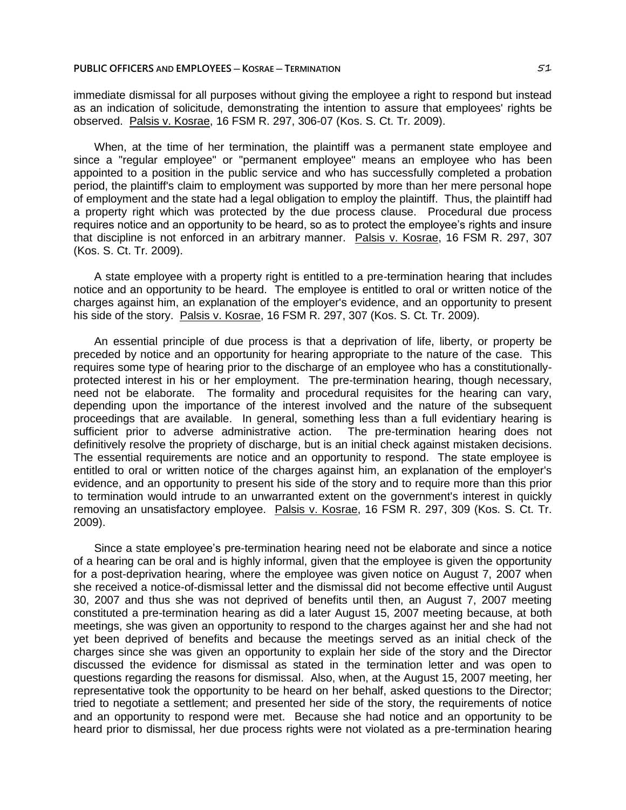immediate dismissal for all purposes without giving the employee a right to respond but instead as an indication of solicitude, demonstrating the intention to assure that employees' rights be observed. Palsis v. Kosrae, 16 FSM R. 297, 306-07 (Kos. S. Ct. Tr. 2009).

When, at the time of her termination, the plaintiff was a permanent state employee and since a "regular employee" or "permanent employee" means an employee who has been appointed to a position in the public service and who has successfully completed a probation period, the plaintiff's claim to employment was supported by more than her mere personal hope of employment and the state had a legal obligation to employ the plaintiff. Thus, the plaintiff had a property right which was protected by the due process clause. Procedural due process requires notice and an opportunity to be heard, so as to protect the employee's rights and insure that discipline is not enforced in an arbitrary manner. Palsis v. Kosrae, 16 FSM R. 297, 307 (Kos. S. Ct. Tr. 2009).

A state employee with a property right is entitled to a pre-termination hearing that includes notice and an opportunity to be heard. The employee is entitled to oral or written notice of the charges against him, an explanation of the employer's evidence, and an opportunity to present his side of the story. Palsis v. Kosrae, 16 FSM R. 297, 307 (Kos. S. Ct. Tr. 2009).

An essential principle of due process is that a deprivation of life, liberty, or property be preceded by notice and an opportunity for hearing appropriate to the nature of the case. This requires some type of hearing prior to the discharge of an employee who has a constitutionallyprotected interest in his or her employment. The pre-termination hearing, though necessary, need not be elaborate. The formality and procedural requisites for the hearing can vary, depending upon the importance of the interest involved and the nature of the subsequent proceedings that are available. In general, something less than a full evidentiary hearing is sufficient prior to adverse administrative action. The pre-termination hearing does not definitively resolve the propriety of discharge, but is an initial check against mistaken decisions. The essential requirements are notice and an opportunity to respond. The state employee is entitled to oral or written notice of the charges against him, an explanation of the employer's evidence, and an opportunity to present his side of the story and to require more than this prior to termination would intrude to an unwarranted extent on the government's interest in quickly removing an unsatisfactory employee. Palsis v. Kosrae, 16 FSM R. 297, 309 (Kos. S. Ct. Tr. 2009).

Since a state employee's pre-termination hearing need not be elaborate and since a notice of a hearing can be oral and is highly informal, given that the employee is given the opportunity for a post-deprivation hearing, where the employee was given notice on August 7, 2007 when she received a notice-of-dismissal letter and the dismissal did not become effective until August 30, 2007 and thus she was not deprived of benefits until then, an August 7, 2007 meeting constituted a pre-termination hearing as did a later August 15, 2007 meeting because, at both meetings, she was given an opportunity to respond to the charges against her and she had not yet been deprived of benefits and because the meetings served as an initial check of the charges since she was given an opportunity to explain her side of the story and the Director discussed the evidence for dismissal as stated in the termination letter and was open to questions regarding the reasons for dismissal. Also, when, at the August 15, 2007 meeting, her representative took the opportunity to be heard on her behalf, asked questions to the Director; tried to negotiate a settlement; and presented her side of the story, the requirements of notice and an opportunity to respond were met. Because she had notice and an opportunity to be heard prior to dismissal, her due process rights were not violated as a pre-termination hearing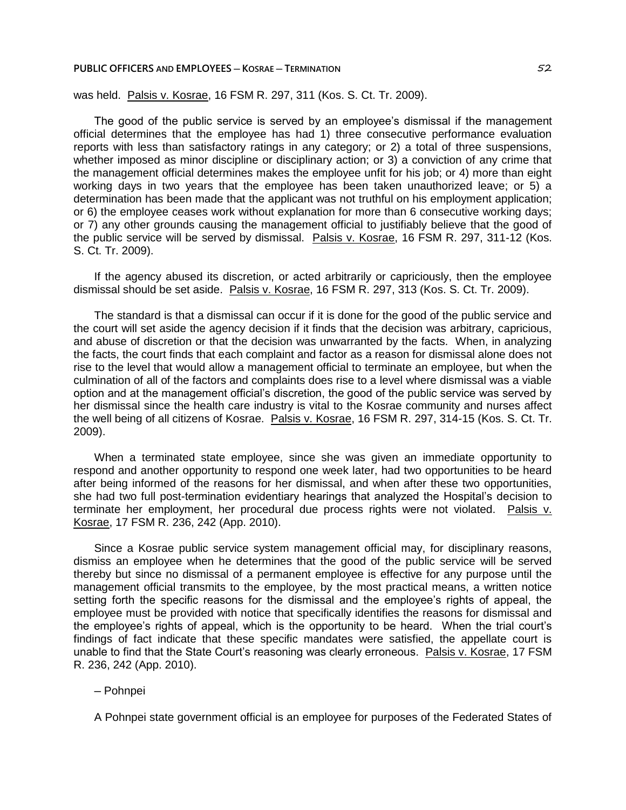was held. Palsis v. Kosrae, 16 FSM R. 297, 311 (Kos. S. Ct. Tr. 2009).

The good of the public service is served by an employee's dismissal if the management official determines that the employee has had 1) three consecutive performance evaluation reports with less than satisfactory ratings in any category; or 2) a total of three suspensions, whether imposed as minor discipline or disciplinary action; or 3) a conviction of any crime that the management official determines makes the employee unfit for his job; or 4) more than eight working days in two years that the employee has been taken unauthorized leave; or 5) a determination has been made that the applicant was not truthful on his employment application; or 6) the employee ceases work without explanation for more than 6 consecutive working days; or 7) any other grounds causing the management official to justifiably believe that the good of the public service will be served by dismissal. Palsis v. Kosrae, 16 FSM R. 297, 311-12 (Kos. S. Ct. Tr. 2009).

If the agency abused its discretion, or acted arbitrarily or capriciously, then the employee dismissal should be set aside. Palsis v. Kosrae, 16 FSM R. 297, 313 (Kos. S. Ct. Tr. 2009).

The standard is that a dismissal can occur if it is done for the good of the public service and the court will set aside the agency decision if it finds that the decision was arbitrary, capricious, and abuse of discretion or that the decision was unwarranted by the facts. When, in analyzing the facts, the court finds that each complaint and factor as a reason for dismissal alone does not rise to the level that would allow a management official to terminate an employee, but when the culmination of all of the factors and complaints does rise to a level where dismissal was a viable option and at the management official's discretion, the good of the public service was served by her dismissal since the health care industry is vital to the Kosrae community and nurses affect the well being of all citizens of Kosrae. Palsis v. Kosrae, 16 FSM R. 297, 314-15 (Kos. S. Ct. Tr. 2009).

When a terminated state employee, since she was given an immediate opportunity to respond and another opportunity to respond one week later, had two opportunities to be heard after being informed of the reasons for her dismissal, and when after these two opportunities, she had two full post-termination evidentiary hearings that analyzed the Hospital's decision to terminate her employment, her procedural due process rights were not violated. Palsis v. Kosrae, 17 FSM R. 236, 242 (App. 2010).

Since a Kosrae public service system management official may, for disciplinary reasons, dismiss an employee when he determines that the good of the public service will be served thereby but since no dismissal of a permanent employee is effective for any purpose until the management official transmits to the employee, by the most practical means, a written notice setting forth the specific reasons for the dismissal and the employee's rights of appeal, the employee must be provided with notice that specifically identifies the reasons for dismissal and the employee's rights of appeal, which is the opportunity to be heard. When the trial court's findings of fact indicate that these specific mandates were satisfied, the appellate court is unable to find that the State Court's reasoning was clearly erroneous. Palsis v. Kosrae, 17 FSM R. 236, 242 (App. 2010).

## ─ Pohnpei

A Pohnpei state government official is an employee for purposes of the Federated States of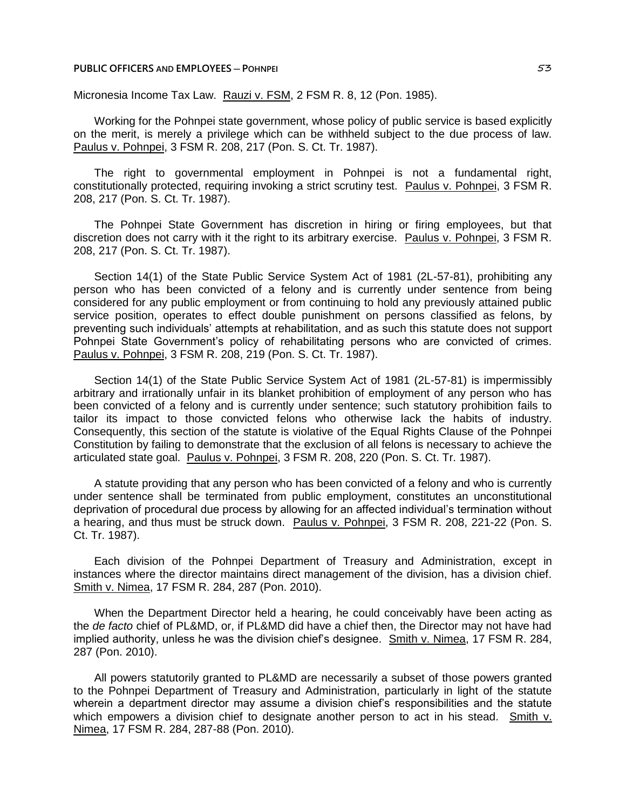#### **PUBLIC OFFICERS AND EMPLOYEES ─ POHNPEI** 53

Micronesia Income Tax Law. Rauzi v. FSM, 2 FSM R. 8, 12 (Pon. 1985).

Working for the Pohnpei state government, whose policy of public service is based explicitly on the merit, is merely a privilege which can be withheld subject to the due process of law. Paulus v. Pohnpei, 3 FSM R. 208, 217 (Pon. S. Ct. Tr. 1987).

The right to governmental employment in Pohnpei is not a fundamental right, constitutionally protected, requiring invoking a strict scrutiny test. Paulus v. Pohnpei, 3 FSM R. 208, 217 (Pon. S. Ct. Tr. 1987).

The Pohnpei State Government has discretion in hiring or firing employees, but that discretion does not carry with it the right to its arbitrary exercise. Paulus v. Pohnpei, 3 FSM R. 208, 217 (Pon. S. Ct. Tr. 1987).

Section 14(1) of the State Public Service System Act of 1981 (2L-57-81), prohibiting any person who has been convicted of a felony and is currently under sentence from being considered for any public employment or from continuing to hold any previously attained public service position, operates to effect double punishment on persons classified as felons, by preventing such individuals' attempts at rehabilitation, and as such this statute does not support Pohnpei State Government's policy of rehabilitating persons who are convicted of crimes. Paulus v. Pohnpei, 3 FSM R. 208, 219 (Pon. S. Ct. Tr. 1987).

Section 14(1) of the State Public Service System Act of 1981 (2L-57-81) is impermissibly arbitrary and irrationally unfair in its blanket prohibition of employment of any person who has been convicted of a felony and is currently under sentence; such statutory prohibition fails to tailor its impact to those convicted felons who otherwise lack the habits of industry. Consequently, this section of the statute is violative of the Equal Rights Clause of the Pohnpei Constitution by failing to demonstrate that the exclusion of all felons is necessary to achieve the articulated state goal. Paulus v. Pohnpei, 3 FSM R. 208, 220 (Pon. S. Ct. Tr. 1987).

A statute providing that any person who has been convicted of a felony and who is currently under sentence shall be terminated from public employment, constitutes an unconstitutional deprivation of procedural due process by allowing for an affected individual's termination without a hearing, and thus must be struck down. Paulus v. Pohnpei, 3 FSM R. 208, 221-22 (Pon. S. Ct. Tr. 1987).

Each division of the Pohnpei Department of Treasury and Administration, except in instances where the director maintains direct management of the division, has a division chief. Smith v. Nimea, 17 FSM R. 284, 287 (Pon. 2010).

When the Department Director held a hearing, he could conceivably have been acting as the *de facto* chief of PL&MD, or, if PL&MD did have a chief then, the Director may not have had implied authority, unless he was the division chief's designee. Smith v. Nimea, 17 FSM R. 284, 287 (Pon. 2010).

All powers statutorily granted to PL&MD are necessarily a subset of those powers granted to the Pohnpei Department of Treasury and Administration, particularly in light of the statute wherein a department director may assume a division chief's responsibilities and the statute which empowers a division chief to designate another person to act in his stead. Smith v. Nimea, 17 FSM R. 284, 287-88 (Pon. 2010).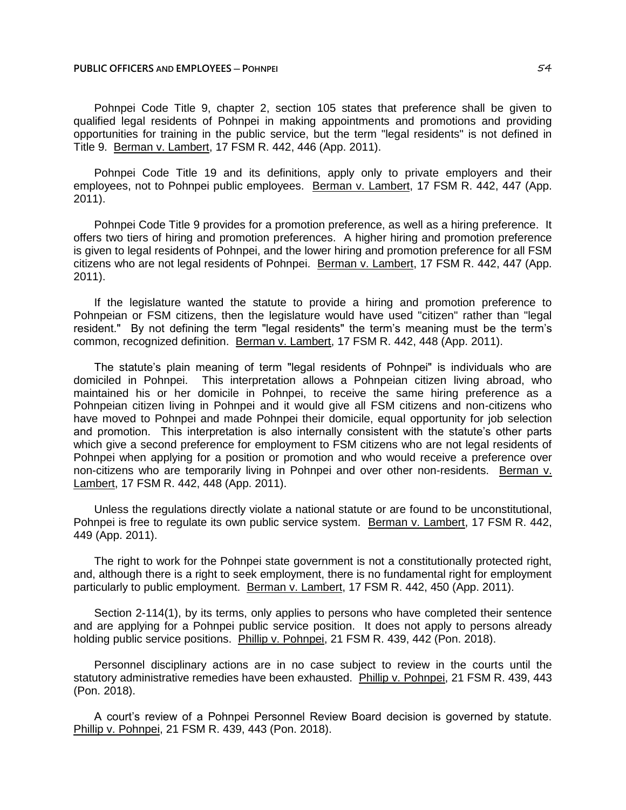#### **PUBLIC OFFICERS AND EMPLOYEES ─ POHNPEI** 54

Pohnpei Code Title 9, chapter 2, section 105 states that preference shall be given to qualified legal residents of Pohnpei in making appointments and promotions and providing opportunities for training in the public service, but the term "legal residents" is not defined in Title 9. Berman v. Lambert, 17 FSM R. 442, 446 (App. 2011).

Pohnpei Code Title 19 and its definitions, apply only to private employers and their employees, not to Pohnpei public employees. Berman v. Lambert, 17 FSM R. 442, 447 (App. 2011).

Pohnpei Code Title 9 provides for a promotion preference, as well as a hiring preference. It offers two tiers of hiring and promotion preferences. A higher hiring and promotion preference is given to legal residents of Pohnpei, and the lower hiring and promotion preference for all FSM citizens who are not legal residents of Pohnpei. Berman v. Lambert, 17 FSM R. 442, 447 (App. 2011).

If the legislature wanted the statute to provide a hiring and promotion preference to Pohnpeian or FSM citizens, then the legislature would have used "citizen" rather than "legal resident." By not defining the term "legal residents" the term's meaning must be the term's common, recognized definition. Berman v. Lambert, 17 FSM R. 442, 448 (App. 2011).

The statute's plain meaning of term "legal residents of Pohnpei" is individuals who are domiciled in Pohnpei. This interpretation allows a Pohnpeian citizen living abroad, who maintained his or her domicile in Pohnpei, to receive the same hiring preference as a Pohnpeian citizen living in Pohnpei and it would give all FSM citizens and non-citizens who have moved to Pohnpei and made Pohnpei their domicile, equal opportunity for job selection and promotion. This interpretation is also internally consistent with the statute's other parts which give a second preference for employment to FSM citizens who are not legal residents of Pohnpei when applying for a position or promotion and who would receive a preference over non-citizens who are temporarily living in Pohnpei and over other non-residents. Berman v. Lambert, 17 FSM R. 442, 448 (App. 2011).

Unless the regulations directly violate a national statute or are found to be unconstitutional, Pohnpei is free to regulate its own public service system. Berman v. Lambert, 17 FSM R. 442, 449 (App. 2011).

The right to work for the Pohnpei state government is not a constitutionally protected right, and, although there is a right to seek employment, there is no fundamental right for employment particularly to public employment. Berman v. Lambert, 17 FSM R. 442, 450 (App. 2011).

Section 2-114(1), by its terms, only applies to persons who have completed their sentence and are applying for a Pohnpei public service position. It does not apply to persons already holding public service positions. Phillip v. Pohnpei, 21 FSM R. 439, 442 (Pon. 2018).

Personnel disciplinary actions are in no case subject to review in the courts until the statutory administrative remedies have been exhausted. Phillip v. Pohnpei, 21 FSM R. 439, 443 (Pon. 2018).

A court's review of a Pohnpei Personnel Review Board decision is governed by statute. Phillip v. Pohnpei, 21 FSM R. 439, 443 (Pon. 2018).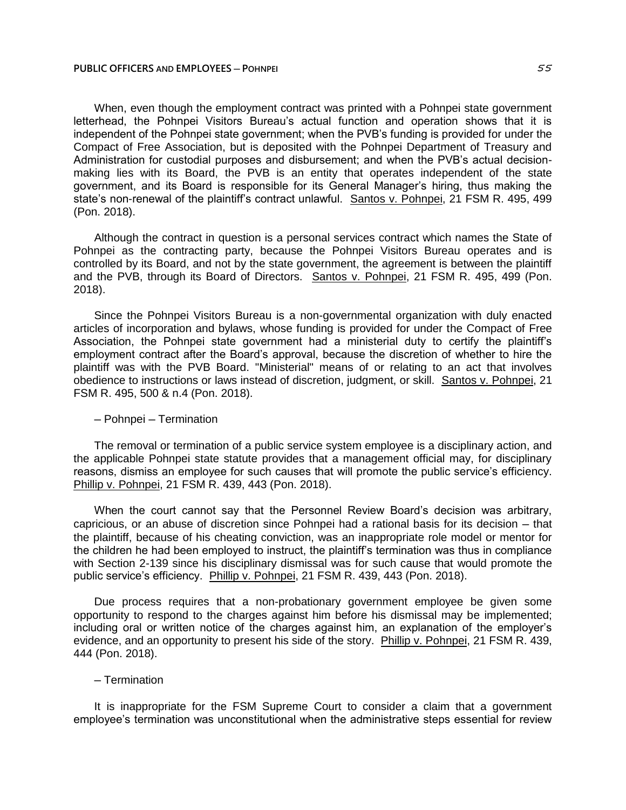#### **PUBLIC OFFICERS AND EMPLOYEES ─ POHNPEI** 55

When, even though the employment contract was printed with a Pohnpei state government letterhead, the Pohnpei Visitors Bureau's actual function and operation shows that it is independent of the Pohnpei state government; when the PVB's funding is provided for under the Compact of Free Association, but is deposited with the Pohnpei Department of Treasury and Administration for custodial purposes and disbursement; and when the PVB's actual decisionmaking lies with its Board, the PVB is an entity that operates independent of the state government, and its Board is responsible for its General Manager's hiring, thus making the state's non-renewal of the plaintiff's contract unlawful. Santos v. Pohnpei, 21 FSM R. 495, 499 (Pon. 2018).

Although the contract in question is a personal services contract which names the State of Pohnpei as the contracting party, because the Pohnpei Visitors Bureau operates and is controlled by its Board, and not by the state government, the agreement is between the plaintiff and the PVB, through its Board of Directors. Santos v. Pohnpei, 21 FSM R. 495, 499 (Pon. 2018).

Since the Pohnpei Visitors Bureau is a non-governmental organization with duly enacted articles of incorporation and bylaws, whose funding is provided for under the Compact of Free Association, the Pohnpei state government had a ministerial duty to certify the plaintiff's employment contract after the Board's approval, because the discretion of whether to hire the plaintiff was with the PVB Board. "Ministerial" means of or relating to an act that involves obedience to instructions or laws instead of discretion, judgment, or skill. Santos v. Pohnpei, 21 FSM R. 495, 500 & n.4 (Pon. 2018).

#### ─ Pohnpei ─ Termination

The removal or termination of a public service system employee is a disciplinary action, and the applicable Pohnpei state statute provides that a management official may, for disciplinary reasons, dismiss an employee for such causes that will promote the public service's efficiency. Phillip v. Pohnpei, 21 FSM R. 439, 443 (Pon. 2018).

When the court cannot say that the Personnel Review Board's decision was arbitrary, capricious, or an abuse of discretion since Pohnpei had a rational basis for its decision – that the plaintiff, because of his cheating conviction, was an inappropriate role model or mentor for the children he had been employed to instruct, the plaintiff's termination was thus in compliance with Section 2-139 since his disciplinary dismissal was for such cause that would promote the public service's efficiency. Phillip v. Pohnpei, 21 FSM R. 439, 443 (Pon. 2018).

Due process requires that a non-probationary government employee be given some opportunity to respond to the charges against him before his dismissal may be implemented; including oral or written notice of the charges against him, an explanation of the employer's evidence, and an opportunity to present his side of the story. Phillip v. Pohnpei, 21 FSM R. 439, 444 (Pon. 2018).

### ─ Termination

It is inappropriate for the FSM Supreme Court to consider a claim that a government employee's termination was unconstitutional when the administrative steps essential for review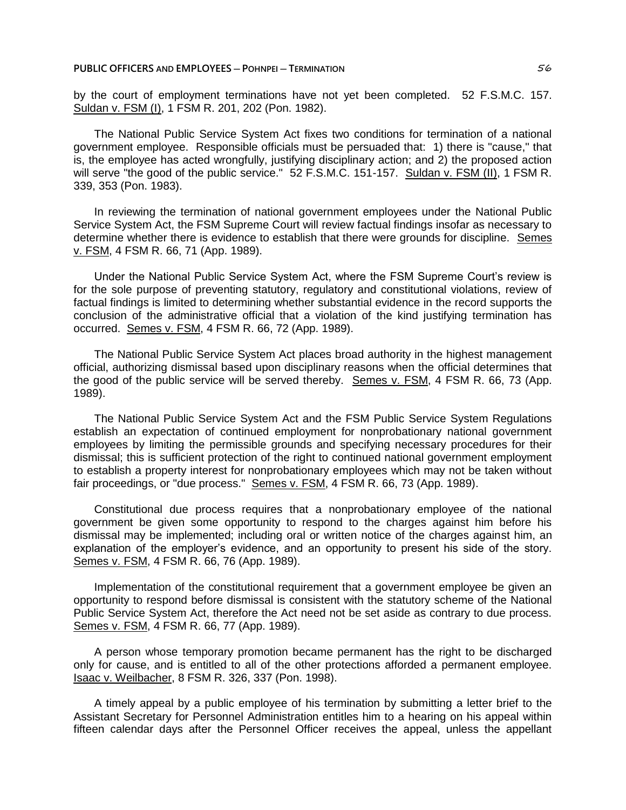by the court of employment terminations have not yet been completed. 52 F.S.M.C. 157. Suldan v. FSM (I), 1 FSM R. 201, 202 (Pon. 1982).

The National Public Service System Act fixes two conditions for termination of a national government employee. Responsible officials must be persuaded that: 1) there is "cause," that is, the employee has acted wrongfully, justifying disciplinary action; and 2) the proposed action will serve "the good of the public service." 52 F.S.M.C. 151-157. Suldan v. FSM (II), 1 FSM R. 339, 353 (Pon. 1983).

In reviewing the termination of national government employees under the National Public Service System Act, the FSM Supreme Court will review factual findings insofar as necessary to determine whether there is evidence to establish that there were grounds for discipline. Semes v. FSM, 4 FSM R. 66, 71 (App. 1989).

Under the National Public Service System Act, where the FSM Supreme Court's review is for the sole purpose of preventing statutory, regulatory and constitutional violations, review of factual findings is limited to determining whether substantial evidence in the record supports the conclusion of the administrative official that a violation of the kind justifying termination has occurred. Semes v. FSM, 4 FSM R. 66, 72 (App. 1989).

The National Public Service System Act places broad authority in the highest management official, authorizing dismissal based upon disciplinary reasons when the official determines that the good of the public service will be served thereby. Semes v. FSM, 4 FSM R. 66, 73 (App. 1989).

The National Public Service System Act and the FSM Public Service System Regulations establish an expectation of continued employment for nonprobationary national government employees by limiting the permissible grounds and specifying necessary procedures for their dismissal; this is sufficient protection of the right to continued national government employment to establish a property interest for nonprobationary employees which may not be taken without fair proceedings, or "due process." Semes v. FSM, 4 FSM R. 66, 73 (App. 1989).

Constitutional due process requires that a nonprobationary employee of the national government be given some opportunity to respond to the charges against him before his dismissal may be implemented; including oral or written notice of the charges against him, an explanation of the employer's evidence, and an opportunity to present his side of the story. Semes v. FSM, 4 FSM R. 66, 76 (App. 1989).

Implementation of the constitutional requirement that a government employee be given an opportunity to respond before dismissal is consistent with the statutory scheme of the National Public Service System Act, therefore the Act need not be set aside as contrary to due process. Semes v. FSM, 4 FSM R. 66, 77 (App. 1989).

A person whose temporary promotion became permanent has the right to be discharged only for cause, and is entitled to all of the other protections afforded a permanent employee. Isaac v. Weilbacher, 8 FSM R. 326, 337 (Pon. 1998).

A timely appeal by a public employee of his termination by submitting a letter brief to the Assistant Secretary for Personnel Administration entitles him to a hearing on his appeal within fifteen calendar days after the Personnel Officer receives the appeal, unless the appellant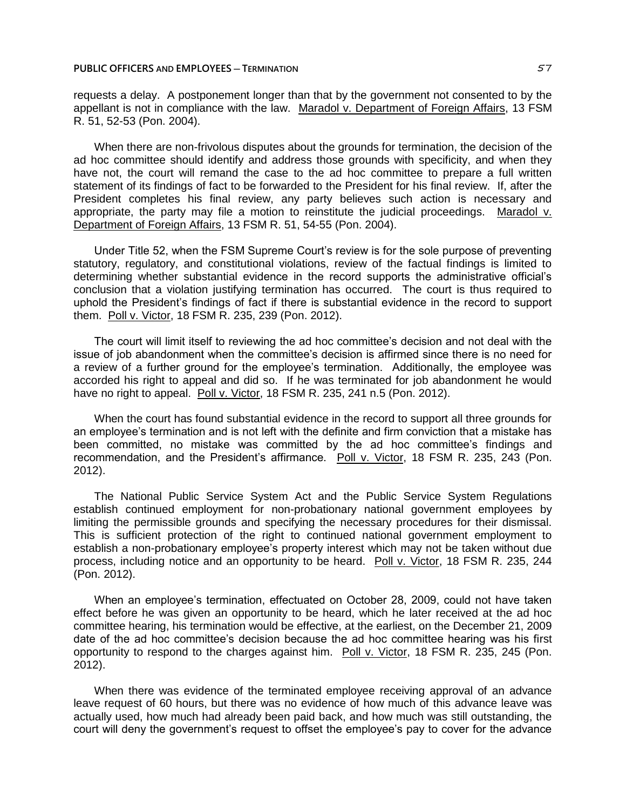requests a delay. A postponement longer than that by the government not consented to by the appellant is not in compliance with the law. Maradol v. Department of Foreign Affairs, 13 FSM R. 51, 52-53 (Pon. 2004).

When there are non-frivolous disputes about the grounds for termination, the decision of the ad hoc committee should identify and address those grounds with specificity, and when they have not, the court will remand the case to the ad hoc committee to prepare a full written statement of its findings of fact to be forwarded to the President for his final review. If, after the President completes his final review, any party believes such action is necessary and appropriate, the party may file a motion to reinstitute the judicial proceedings. Maradol v. Department of Foreign Affairs, 13 FSM R. 51, 54-55 (Pon. 2004).

Under Title 52, when the FSM Supreme Court's review is for the sole purpose of preventing statutory, regulatory, and constitutional violations, review of the factual findings is limited to determining whether substantial evidence in the record supports the administrative official's conclusion that a violation justifying termination has occurred. The court is thus required to uphold the President's findings of fact if there is substantial evidence in the record to support them. Poll v. Victor, 18 FSM R. 235, 239 (Pon. 2012).

The court will limit itself to reviewing the ad hoc committee's decision and not deal with the issue of job abandonment when the committee's decision is affirmed since there is no need for a review of a further ground for the employee's termination. Additionally, the employee was accorded his right to appeal and did so. If he was terminated for job abandonment he would have no right to appeal. Poll v. Victor, 18 FSM R. 235, 241 n.5 (Pon. 2012).

When the court has found substantial evidence in the record to support all three grounds for an employee's termination and is not left with the definite and firm conviction that a mistake has been committed, no mistake was committed by the ad hoc committee's findings and recommendation, and the President's affirmance. Poll v. Victor, 18 FSM R. 235, 243 (Pon. 2012).

The National Public Service System Act and the Public Service System Regulations establish continued employment for non-probationary national government employees by limiting the permissible grounds and specifying the necessary procedures for their dismissal. This is sufficient protection of the right to continued national government employment to establish a non-probationary employee's property interest which may not be taken without due process, including notice and an opportunity to be heard. Poll v. Victor, 18 FSM R. 235, 244 (Pon. 2012).

When an employee's termination, effectuated on October 28, 2009, could not have taken effect before he was given an opportunity to be heard, which he later received at the ad hoc committee hearing, his termination would be effective, at the earliest, on the December 21, 2009 date of the ad hoc committee's decision because the ad hoc committee hearing was his first opportunity to respond to the charges against him. Poll v. Victor, 18 FSM R. 235, 245 (Pon. 2012).

When there was evidence of the terminated employee receiving approval of an advance leave request of 60 hours, but there was no evidence of how much of this advance leave was actually used, how much had already been paid back, and how much was still outstanding, the court will deny the government's request to offset the employee's pay to cover for the advance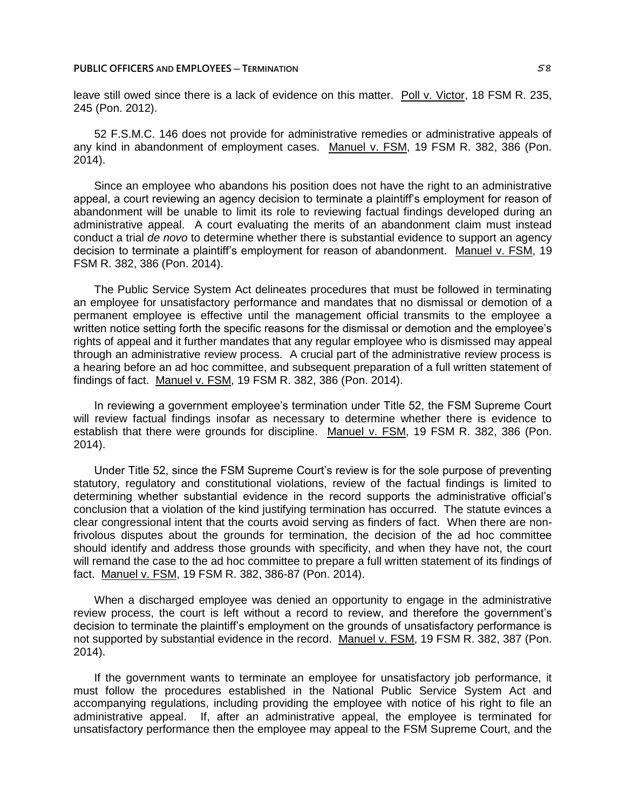leave still owed since there is a lack of evidence on this matter. Poll v. Victor, 18 FSM R. 235, 245 (Pon. 2012).

52 F.S.M.C. 146 does not provide for administrative remedies or administrative appeals of any kind in abandonment of employment cases. Manuel v. FSM, 19 FSM R. 382, 386 (Pon. 2014).

Since an employee who abandons his position does not have the right to an administrative appeal, a court reviewing an agency decision to terminate a plaintiff's employment for reason of abandonment will be unable to limit its role to reviewing factual findings developed during an administrative appeal. A court evaluating the merits of an abandonment claim must instead conduct a trial *de novo* to determine whether there is substantial evidence to support an agency decision to terminate a plaintiff's employment for reason of abandonment. Manuel v. FSM, 19 FSM R. 382, 386 (Pon. 2014).

The Public Service System Act delineates procedures that must be followed in terminating an employee for unsatisfactory performance and mandates that no dismissal or demotion of a permanent employee is effective until the management official transmits to the employee a written notice setting forth the specific reasons for the dismissal or demotion and the employee's rights of appeal and it further mandates that any regular employee who is dismissed may appeal through an administrative review process. A crucial part of the administrative review process is a hearing before an ad hoc committee, and subsequent preparation of a full written statement of findings of fact. Manuel v. FSM, 19 FSM R. 382, 386 (Pon. 2014).

In reviewing a government employee's termination under Title 52, the FSM Supreme Court will review factual findings insofar as necessary to determine whether there is evidence to establish that there were grounds for discipline. Manuel v. FSM, 19 FSM R. 382, 386 (Pon. 2014).

Under Title 52, since the FSM Supreme Court's review is for the sole purpose of preventing statutory, regulatory and constitutional violations, review of the factual findings is limited to determining whether substantial evidence in the record supports the administrative official's conclusion that a violation of the kind justifying termination has occurred. The statute evinces a clear congressional intent that the courts avoid serving as finders of fact. When there are nonfrivolous disputes about the grounds for termination, the decision of the ad hoc committee should identify and address those grounds with specificity, and when they have not, the court will remand the case to the ad hoc committee to prepare a full written statement of its findings of fact. Manuel v. FSM, 19 FSM R. 382, 386-87 (Pon. 2014).

When a discharged employee was denied an opportunity to engage in the administrative review process, the court is left without a record to review, and therefore the government's decision to terminate the plaintiff's employment on the grounds of unsatisfactory performance is not supported by substantial evidence in the record. Manuel v. FSM, 19 FSM R. 382, 387 (Pon. 2014).

If the government wants to terminate an employee for unsatisfactory job performance, it must follow the procedures established in the National Public Service System Act and accompanying regulations, including providing the employee with notice of his right to file an administrative appeal. If, after an administrative appeal, the employee is terminated for unsatisfactory performance then the employee may appeal to the FSM Supreme Court, and the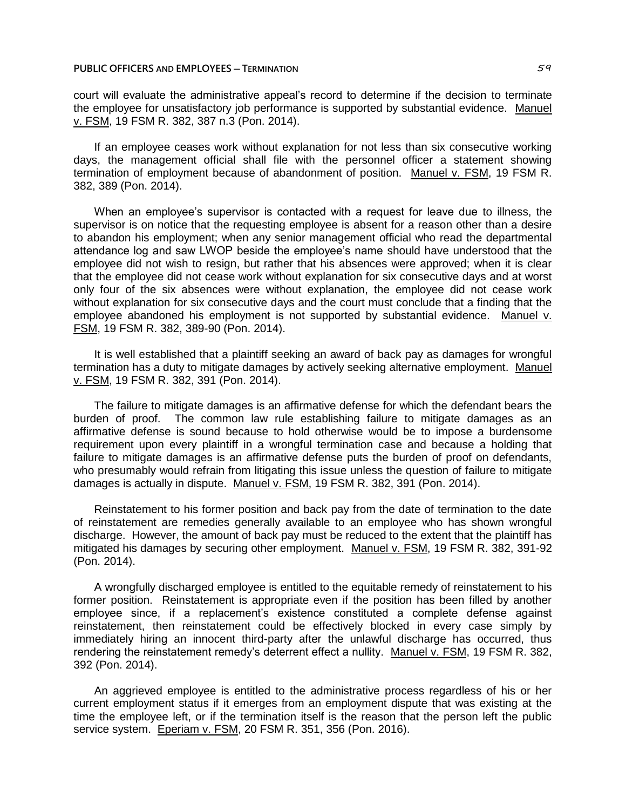court will evaluate the administrative appeal's record to determine if the decision to terminate the employee for unsatisfactory job performance is supported by substantial evidence. Manuel v. FSM, 19 FSM R. 382, 387 n.3 (Pon. 2014).

If an employee ceases work without explanation for not less than six consecutive working days, the management official shall file with the personnel officer a statement showing termination of employment because of abandonment of position. Manuel v. FSM, 19 FSM R. 382, 389 (Pon. 2014).

When an employee's supervisor is contacted with a request for leave due to illness, the supervisor is on notice that the requesting employee is absent for a reason other than a desire to abandon his employment; when any senior management official who read the departmental attendance log and saw LWOP beside the employee's name should have understood that the employee did not wish to resign, but rather that his absences were approved; when it is clear that the employee did not cease work without explanation for six consecutive days and at worst only four of the six absences were without explanation, the employee did not cease work without explanation for six consecutive days and the court must conclude that a finding that the employee abandoned his employment is not supported by substantial evidence. Manuel v. FSM, 19 FSM R. 382, 389-90 (Pon. 2014).

It is well established that a plaintiff seeking an award of back pay as damages for wrongful termination has a duty to mitigate damages by actively seeking alternative employment. Manuel v. FSM, 19 FSM R. 382, 391 (Pon. 2014).

The failure to mitigate damages is an affirmative defense for which the defendant bears the burden of proof. The common law rule establishing failure to mitigate damages as an affirmative defense is sound because to hold otherwise would be to impose a burdensome requirement upon every plaintiff in a wrongful termination case and because a holding that failure to mitigate damages is an affirmative defense puts the burden of proof on defendants, who presumably would refrain from litigating this issue unless the question of failure to mitigate damages is actually in dispute. Manuel v. FSM, 19 FSM R. 382, 391 (Pon. 2014).

Reinstatement to his former position and back pay from the date of termination to the date of reinstatement are remedies generally available to an employee who has shown wrongful discharge. However, the amount of back pay must be reduced to the extent that the plaintiff has mitigated his damages by securing other employment. Manuel v. FSM, 19 FSM R. 382, 391-92 (Pon. 2014).

A wrongfully discharged employee is entitled to the equitable remedy of reinstatement to his former position. Reinstatement is appropriate even if the position has been filled by another employee since, if a replacement's existence constituted a complete defense against reinstatement, then reinstatement could be effectively blocked in every case simply by immediately hiring an innocent third-party after the unlawful discharge has occurred, thus rendering the reinstatement remedy's deterrent effect a nullity. Manuel v. FSM, 19 FSM R. 382, 392 (Pon. 2014).

An aggrieved employee is entitled to the administrative process regardless of his or her current employment status if it emerges from an employment dispute that was existing at the time the employee left, or if the termination itself is the reason that the person left the public service system. Eperiam v. FSM, 20 FSM R. 351, 356 (Pon. 2016).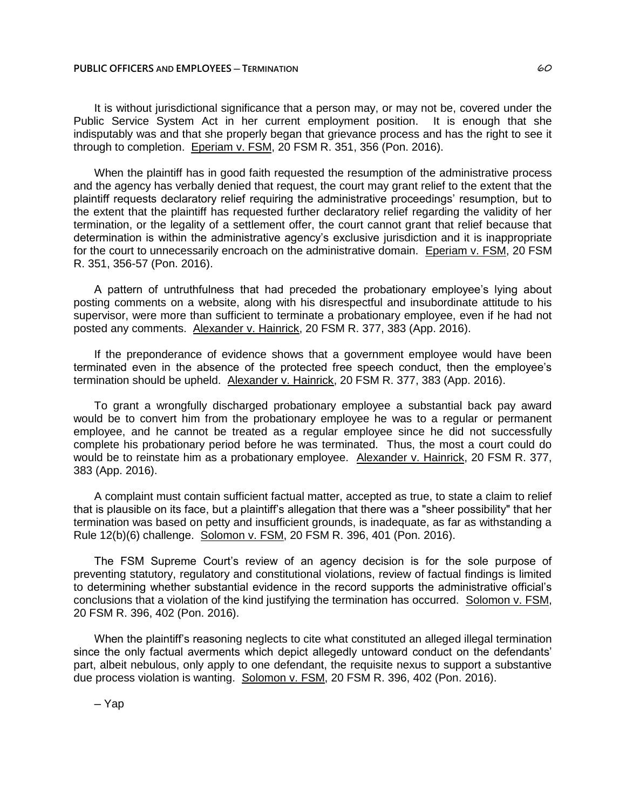It is without jurisdictional significance that a person may, or may not be, covered under the Public Service System Act in her current employment position. It is enough that she indisputably was and that she properly began that grievance process and has the right to see it through to completion. Eperiam v. FSM, 20 FSM R. 351, 356 (Pon. 2016).

When the plaintiff has in good faith requested the resumption of the administrative process and the agency has verbally denied that request, the court may grant relief to the extent that the plaintiff requests declaratory relief requiring the administrative proceedings' resumption, but to the extent that the plaintiff has requested further declaratory relief regarding the validity of her termination, or the legality of a settlement offer, the court cannot grant that relief because that determination is within the administrative agency's exclusive jurisdiction and it is inappropriate for the court to unnecessarily encroach on the administrative domain. Eperiam v. FSM, 20 FSM R. 351, 356-57 (Pon. 2016).

A pattern of untruthfulness that had preceded the probationary employee's lying about posting comments on a website, along with his disrespectful and insubordinate attitude to his supervisor, were more than sufficient to terminate a probationary employee, even if he had not posted any comments. Alexander v. Hainrick, 20 FSM R. 377, 383 (App. 2016).

If the preponderance of evidence shows that a government employee would have been terminated even in the absence of the protected free speech conduct, then the employee's termination should be upheld. Alexander v. Hainrick, 20 FSM R. 377, 383 (App. 2016).

To grant a wrongfully discharged probationary employee a substantial back pay award would be to convert him from the probationary employee he was to a regular or permanent employee, and he cannot be treated as a regular employee since he did not successfully complete his probationary period before he was terminated. Thus, the most a court could do would be to reinstate him as a probationary employee. Alexander v. Hainrick, 20 FSM R. 377, 383 (App. 2016).

A complaint must contain sufficient factual matter, accepted as true, to state a claim to relief that is plausible on its face, but a plaintiff's allegation that there was a "sheer possibility" that her termination was based on petty and insufficient grounds, is inadequate, as far as withstanding a Rule 12(b)(6) challenge. Solomon v. FSM, 20 FSM R. 396, 401 (Pon. 2016).

The FSM Supreme Court's review of an agency decision is for the sole purpose of preventing statutory, regulatory and constitutional violations, review of factual findings is limited to determining whether substantial evidence in the record supports the administrative official's conclusions that a violation of the kind justifying the termination has occurred. Solomon v. FSM, 20 FSM R. 396, 402 (Pon. 2016).

When the plaintiff's reasoning neglects to cite what constituted an alleged illegal termination since the only factual averments which depict allegedly untoward conduct on the defendants' part, albeit nebulous, only apply to one defendant, the requisite nexus to support a substantive due process violation is wanting. Solomon v. FSM, 20 FSM R. 396, 402 (Pon. 2016).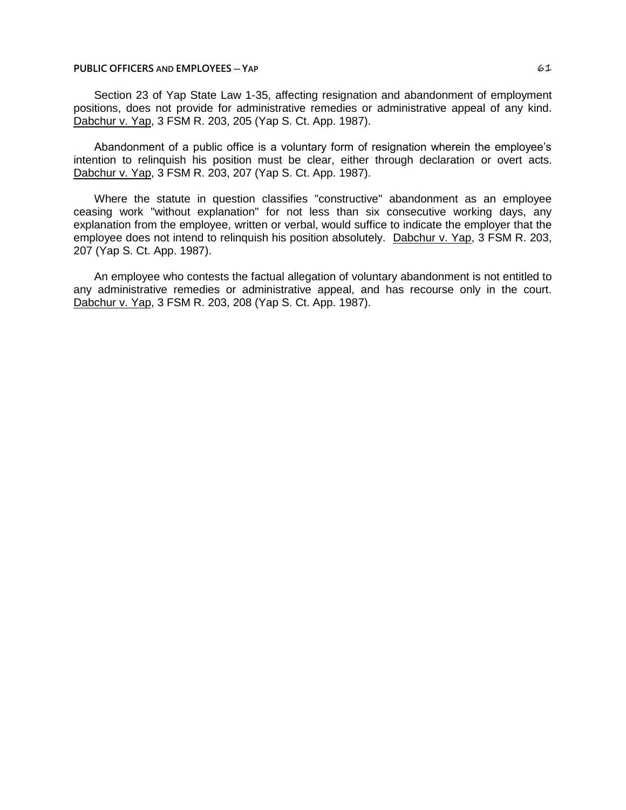Section 23 of Yap State Law 1-35, affecting resignation and abandonment of employment positions, does not provide for administrative remedies or administrative appeal of any kind. Dabchur v. Yap, 3 FSM R. 203, 205 (Yap S. Ct. App. 1987).

Abandonment of a public office is a voluntary form of resignation wherein the employee's intention to relinquish his position must be clear, either through declaration or overt acts. Dabchur v. Yap, 3 FSM R. 203, 207 (Yap S. Ct. App. 1987).

Where the statute in question classifies "constructive" abandonment as an employee ceasing work "without explanation" for not less than six consecutive working days, any explanation from the employee, written or verbal, would suffice to indicate the employer that the employee does not intend to relinquish his position absolutely. Dabchur v. Yap, 3 FSM R. 203, 207 (Yap S. Ct. App. 1987).

An employee who contests the factual allegation of voluntary abandonment is not entitled to any administrative remedies or administrative appeal, and has recourse only in the court. Dabchur v. Yap, 3 FSM R. 203, 208 (Yap S. Ct. App. 1987).